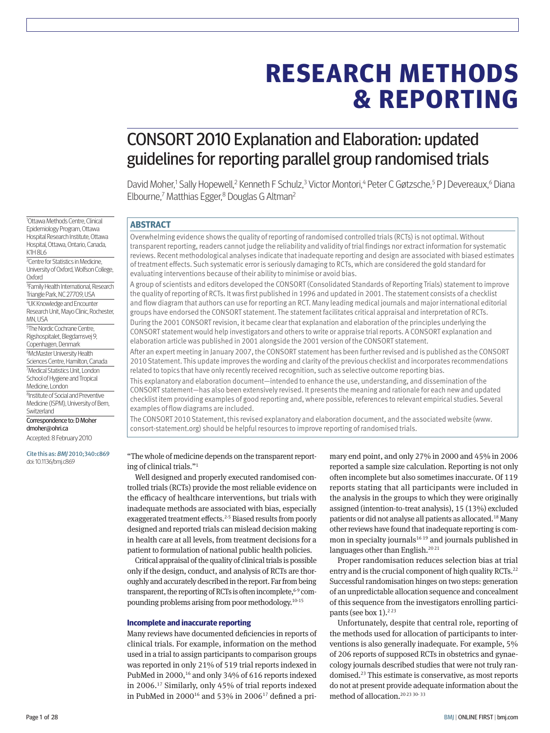# **RESEARCH METHODS & REPORTING**

# CONSORT 2010 Explanation and Elaboration: updated guidelines for reporting parallel group randomised trials

David Moher,<sup>1</sup> Sally Hopewell,<sup>2</sup> Kenneth F Schulz,<sup>3</sup> Victor Montori,<sup>4</sup> Peter C Gøtzsche,<sup>5</sup> P J Devereaux,<sup>6</sup> Diana Elbourne,<sup>7</sup> Matthias Egger,<sup>8</sup> Douglas G Altman<sup>2</sup>

# **ABSTRACT**

Overwhelming evidence shows the quality of reporting of randomised controlled trials (RCTs) is not optimal. Without transparent reporting, readers cannot judge the reliability and validity of trial findings nor extract information for systematic reviews. Recent methodological analyses indicate that inadequate reporting and design are associated with biased estimates of treatment effects. Such systematic error is seriously damaging to RCTs, which are considered the gold standard for evaluating interventions because of their ability to minimise or avoid bias.

A group of scientists and editors developed the CONSORT (Consolidated Standards of Reporting Trials) statement to improve the quality of reporting of RCTs. It was first published in 1996 and updated in 2001. The statement consists of a checklist and flow diagram that authors can use for reporting an RCT. Many leading medical journals and major international editorial groups have endorsed the CONSORT statement. The statement facilitates critical appraisal and interpretation of RCTs. During the 2001 CONSORT revision, it became clear that explanation and elaboration of the principles underlying the CONSORT statement would help investigators and others to write or appraise trial reports. A CONSORT explanation and elaboration article was published in 2001 alongside the 2001 version of the CONSORT statement.

After an expert meeting in January 2007, the CONSORT statement has been further revised and is published as the CONSORT 2010 Statement. This update improves the wording and clarity of the previous checklist and incorporates recommendations related to topics that have only recently received recognition, such as selective outcome reporting bias.

This explanatory and elaboration document—intended to enhance the use, understanding, and dissemination of the CONSORT statement—has also been extensively revised. It presents the meaning and rationale for each new and updated checklist item providing examples of good reporting and, where possible, references to relevant empirical studies. Several examples of flow diagrams are included.

The CONSORT 2010 Statement, this revised explanatory and elaboration document, and the associated website (www. consort-statement.org) should be helpful resources to improve reporting of randomised trials.

Accepted: 8 February 2010

Correspondence to: D Moher dmoher@ohri.ca

8 Institute of Social and Preventive Medicine (ISPM), University of Bern,

1 Ottawa Methods Centre, Clinical Epidemiology Program, Ottawa Hospital Research Institute, Ottawa Hospital, Ottawa, Ontario, Canada,

2 Centre for Statistics in Medicine, University of Oxford, Wolfson College,

5 The Nordic Cochrane Centre, Rigshospitalet, Blegdamsvej 9, Copenhagen, Denmark 6 McMaster University Health Sciences Centre, Hamilton, Canada 7 Medical Statistics Unit, London School of Hygiene and Tropical Medicine, London

3 Family Health International, Research Triangle Park, NC 27709, USA 4 UK Knowledge and Encounter Research Unit, Mayo Clinic, Rochester,

K1H 8L6

**Oxford** 

MN, USA

**Switzerland** 

#### Cite this as: *BMJ* 2010;340:c869

doi: 10.1136/bmj.c869

"The whole of medicine depends on the transparent reporting of clinical trials."1

Well designed and properly executed randomised controlled trials (RCTs) provide the most reliable evidence on the efficacy of healthcare interventions, but trials with inadequate methods are associated with bias, especially exaggerated treatment effects.<sup>2-5</sup> Biased results from poorly designed and reported trials can mislead decision making in health care at all levels, from treatment decisions for a patient to formulation of national public health policies.

Critical appraisal of the quality of clinical trials is possible only if the design, conduct, and analysis of RCTs are thoroughly and accurately described in the report. Far from being transparent, the reporting of RCTs is often incomplete, <sup>6-9</sup> compounding problems arising from poor methodology.10-15

#### **Incomplete and inaccurate reporting**

Many reviews have documented deficiencies in reports of clinical trials. For example, information on the method used in a trial to assign participants to comparison groups was reported in only 21% of 519 trial reports indexed in PubMed in 2000, 16 and only 34% of 616 reports indexed in 2006. 17 Similarly, only 45% of trial reports indexed in PubMed in 200016 and 53% in 200617 defined a primary end point, and only 27% in 2000 and 45% in 2006 reported a sample size calculation. Reporting is not only often incomplete but also sometimes inaccurate. Of 119 reports stating that all participants were included in the analysis in the groups to which they were originally assigned (intention-to-treat analysis), 15 (13%) excluded patients or did not analyse all patients as allocated.18 Many other reviews have found that inadequate reporting is common in specialty journals<sup>16 19</sup> and journals published in languages other than English.<sup>2021</sup>

Proper randomisation reduces selection bias at trial entry and is the crucial component of high quality RCTs.<sup>22</sup> Successful randomisation hinges on two steps: generation of an unpredictable allocation sequence and concealment of this sequence from the investigators enrolling participants (see box  $1$ ).<sup>223</sup>

Unfortunately, despite that central role, reporting of the methods used for allocation of participants to interventions is also generally inadequate. For example, 5% of 206 reports of supposed RCTs in obstetrics and gynaecology journals described studies that were not truly randomised.23 This estimate is conservative, as most reports do not at present provide adequate information about the method of allocation.20 <sup>23</sup> 30- <sup>33</sup>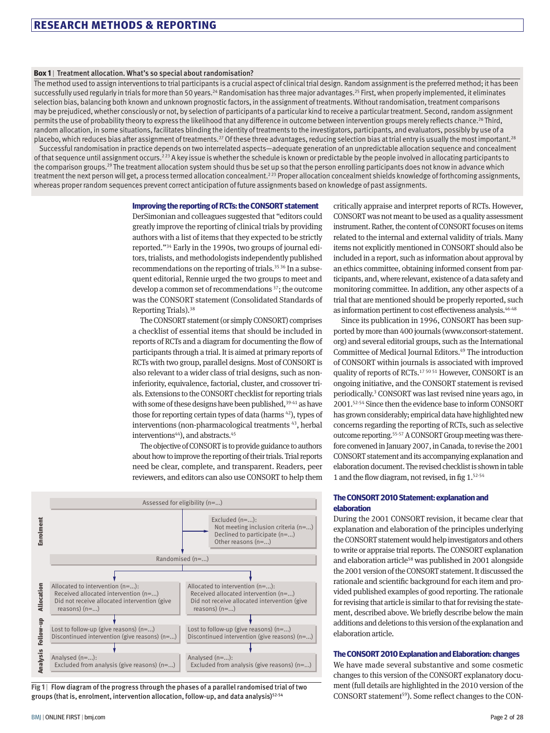#### **Box 1** | Treatment allocation. What's so special about randomisation?

The method used to assign interventions to trial participants is a crucial aspect of clinical trial design. Random assignment is the preferred method; it has been successfully used regularly in trials for more than 50 years.<sup>24</sup> Randomisation has three major advantages.<sup>25</sup> First, when properly implemented, it eliminates selection bias, balancing both known and unknown prognostic factors, in the assignment of treatments. Without randomisation, treatment comparisons may be prejudiced, whether consciously or not, by selection of participants of a particular kind to receive a particular treatment. Second, random assignment permits the use of probability theory to express the likelihood that any difference in outcome between intervention groups merely reflects chance.<sup>26</sup> Third, random allocation, in some situations, facilitates blinding the identity of treatments to the investigators, participants, and evaluators, possibly by use of a placebo, which reduces bias after assignment of treatments.<sup>27</sup> Of these three advantages, reducing selection bias at trial entry is usually the most important.<sup>28</sup> Successful randomisation in practice depends on two interrelated aspects—adequate generation of an unpredictable allocation sequence and concealment of that sequence until assignment occurs.<sup>223</sup> A key issue is whether the schedule is known or predictable by the people involved in allocating participants to the comparison groups.<sup>29</sup> The treatment allocation system should thus be set up so that the person enrolling participants does not know in advance which

treatment the next person will get, a process termed allocation concealment.<sup>223</sup> Proper allocation concealment shields knowledge of forthcoming assignments, whereas proper random sequences prevent correct anticipation of future assignments based on knowledge of past assignments.

#### **Improving the reporting of RCTs: the CONSORT statement**

DerSimonian and colleagues suggested that "editors could greatly improve the reporting of clinical trials by providing authors with a list of items that they expected to be strictly reported."34 Early in the 1990s, two groups of journal editors, trialists, and methodologists independently published recommendations on the reporting of trials.<sup>35 36</sup> In a subsequent editorial, Rennie urged the two groups to meet and develop a common set of recommendations 37; the outcome was the CONSORT statement (Consolidated Standards of Reporting Trials).<sup>38</sup>

The CONSORT statement (or simply CONSORT) comprises a checklist of essential items that should be included in reports of RCTs and a diagram for documenting the flow of participants through a trial. It is aimed at primary reports of RCTs with two group, parallel designs. Most of CONSORT is also relevant to a wider class of trial designs, such as noninferiority, equivalence, factorial, cluster, and crossover trials. Extensions to the CONSORT checklist for reporting trials with some of these designs have been published, 39-41 as have those for reporting certain types of data (harms <sup>42</sup>), types of interventions (non-pharmacological treatments 43, herbal interventions<sup>44</sup>), and abstracts.<sup>45</sup>

The objective of CONSORT is to provide guidance to authors about how to improve the reporting of their trials. Trial reports need be clear, complete, and transparent. Readers, peer reviewers, and editors can also use CONSORT to help them



**Fig 1** | Flow diagram of the progress through the phases of a parallel randomised trial of two groups (that is, enrolment, intervention allocation, follow-up, and data analysis)<sup>52-54</sup>

BMJ | ONLINE FIRST | bmj.com Page 2 of 28

critically appraise and interpret reports of RCTs. However, CONSORT was not meant to be used as a quality assessment instrument. Rather, the content of CONSORT focuses on items related to the internal and external validity of trials. Many items not explicitly mentioned in CONSORT should also be included in a report, such as information about approval by an ethics committee, obtaining informed consent from participants, and, where relevant, existence of a data safety and monitoring committee. In addition, any other aspects of a trial that are mentioned should be properly reported, such as information pertinent to cost effectiveness analysis.46-48

Since its publication in 1996, CONSORT has been supported by more than 400 journals (www.consort-statement. org) and several editorial groups, such as the International Committee of Medical Journal Editors.<sup>49</sup> The introduction of CONSORT within journals is associated with improved quality of reports of RCTs.<sup>17 50 51</sup> However, CONSORT is an ongoing initiative, and the CONSORT statement is revised periodically.3 CONSORT was last revised nine years ago, in 2001. 52-54 Since then the evidence base to inform CONSORT has grown considerably; empirical data have highlighted new concerns regarding the reporting of RCTs, such as selective outcome reporting.55-57 A CONSORT Group meeting was therefore convened in January 2007, in Canada, to revise the 2001 CONSORT statement and its accompanying explanation and elaboration document. The revised checklist is shown in table 1 and the flow diagram, not revised, in fig 1. 52-54

# **The CONSORT 2010 Statement: explanation and elaboration**

During the 2001 CONSORT revision, it became clear that explanation and elaboration of the principles underlying the CONSORT statement would help investigators and others to write or appraise trial reports. The CONSORT explanation and elaboration article<sup>58</sup> was published in 2001 alongside the 2001 version of the CONSORT statement. It discussed the rationale and scientific background for each item and provided published examples of good reporting. The rationale for revising that article is similar to that for revising the statement, described above. We briefly describe below the main additions and deletions to this version of the explanation and elaboration article.

#### **The CONSORT 2010 Explanation and Elaboration: changes**

We have made several substantive and some cosmetic changes to this version of the CONSORT explanatory document (full details are highlighted in the 2010 version of the CONSORT statement59). Some reflect changes to the CON-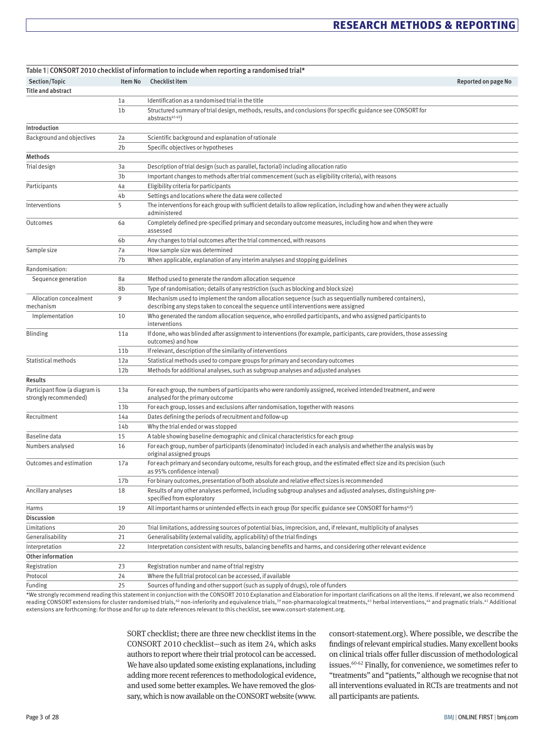|                                                         |                 | Table 1   CONSORT 2010 checklist of information to include when reporting a randomised trial*                                                                                                  |                     |
|---------------------------------------------------------|-----------------|------------------------------------------------------------------------------------------------------------------------------------------------------------------------------------------------|---------------------|
| Section/Topic                                           | Item No         | Checklist item                                                                                                                                                                                 | Reported on page No |
| <b>Title and abstract</b>                               |                 |                                                                                                                                                                                                |                     |
|                                                         | 1a              | Identification as a randomised trial in the title                                                                                                                                              |                     |
|                                                         | 1 <sub>b</sub>  | Structured summary of trial design, methods, results, and conclusions (for specific guidance see CONSORT for<br>abstracts <sup>4565</sup> )                                                    |                     |
| Introduction                                            |                 |                                                                                                                                                                                                |                     |
| Background and objectives                               | 2a              | Scientific background and explanation of rationale                                                                                                                                             |                     |
|                                                         | 2 <sub>b</sub>  | Specific objectives or hypotheses                                                                                                                                                              |                     |
| Methods                                                 |                 |                                                                                                                                                                                                |                     |
| Trial design                                            | 3a              | Description of trial design (such as parallel, factorial) including allocation ratio                                                                                                           |                     |
|                                                         | 3b              | Important changes to methods after trial commencement (such as eligibility criteria), with reasons                                                                                             |                     |
| Participants                                            | 4a              | Eligibility criteria for participants                                                                                                                                                          |                     |
|                                                         | 4b              | Settings and locations where the data were collected                                                                                                                                           |                     |
| Interventions                                           | 5               | The interventions for each group with sufficient details to allow replication, including how and when they were actually<br>administered                                                       |                     |
| Outcomes                                                | 6a              | Completely defined pre-specified primary and secondary outcome measures, including how and when they were<br>assessed                                                                          |                     |
|                                                         | 6b              | Any changes to trial outcomes after the trial commenced, with reasons                                                                                                                          |                     |
| Sample size                                             | 7a              | How sample size was determined                                                                                                                                                                 |                     |
|                                                         | 7b              | When applicable, explanation of any interim analyses and stopping guidelines                                                                                                                   |                     |
| Randomisation:                                          |                 |                                                                                                                                                                                                |                     |
| Sequence generation                                     | 8a              | Method used to generate the random allocation sequence                                                                                                                                         |                     |
|                                                         | 8b              | Type of randomisation; details of any restriction (such as blocking and block size)                                                                                                            |                     |
| Allocation concealment<br>mechanism                     | 9               | Mechanism used to implement the random allocation sequence (such as sequentially numbered containers),<br>describing any steps taken to conceal the sequence until interventions were assigned |                     |
| Implementation                                          | 10              | Who generated the random allocation sequence, who enrolled participants, and who assigned participants to<br>interventions                                                                     |                     |
| <b>Blinding</b>                                         | 11a             | If done, who was blinded after assignment to interventions (for example, participants, care providers, those assessing<br>outcomes) and how                                                    |                     |
|                                                         | 11 <sub>b</sub> | If relevant, description of the similarity of interventions                                                                                                                                    |                     |
| Statistical methods                                     | 12a             | Statistical methods used to compare groups for primary and secondary outcomes                                                                                                                  |                     |
|                                                         | 12 <sub>b</sub> | Methods for additional analyses, such as subgroup analyses and adjusted analyses                                                                                                               |                     |
| Results                                                 |                 |                                                                                                                                                                                                |                     |
| Participant flow (a diagram is<br>strongly recommended) | 13a             | For each group, the numbers of participants who were randomly assigned, received intended treatment, and were<br>analysed for the primary outcome                                              |                     |
|                                                         | 13 <sub>b</sub> | For each group, losses and exclusions after randomisation, together with reasons                                                                                                               |                     |
| Recruitment                                             | 14a             | Dates defining the periods of recruitment and follow-up                                                                                                                                        |                     |
|                                                         | 14b             | Why the trial ended or was stopped                                                                                                                                                             |                     |
| Baseline data                                           | 15              | A table showing baseline demographic and clinical characteristics for each group                                                                                                               |                     |
| Numbers analysed                                        | 16              | For each group, number of participants (denominator) included in each analysis and whether the analysis was by<br>original assigned groups                                                     |                     |
| Outcomes and estimation                                 | 17a             | For each primary and secondary outcome, results for each group, and the estimated effect size and its precision (such<br>as 95% confidence interval)                                           |                     |
|                                                         | 17 <sub>b</sub> | For binary outcomes, presentation of both absolute and relative effect sizes is recommended                                                                                                    |                     |
| Ancillary analyses                                      | 18              | Results of any other analyses performed, including subgroup analyses and adjusted analyses, distinguishing pre-<br>specified from exploratory                                                  |                     |
| Harms                                                   | 19              | All important harms or unintended effects in each group (for specific guidance see CONSORT for harms <sup>42</sup> )                                                                           |                     |
| Discussion                                              |                 |                                                                                                                                                                                                |                     |
| Limitations                                             | 20              | Trial limitations, addressing sources of potential bias, imprecision, and, if relevant, multiplicity of analyses                                                                               |                     |
| Generalisability                                        | 21              | Generalisability (external validity, applicability) of the trial findings                                                                                                                      |                     |
| Interpretation                                          | 22              | Interpretation consistent with results, balancing benefits and harms, and considering other relevant evidence                                                                                  |                     |
| Other information                                       |                 |                                                                                                                                                                                                |                     |
| Registration                                            | 23              | Registration number and name of trial registry                                                                                                                                                 |                     |
| Protocol                                                | 24              | Where the full trial protocol can be accessed, if available                                                                                                                                    |                     |
| Funding                                                 | 25              | Sources of funding and other support (such as supply of drugs), role of funders                                                                                                                |                     |

\*We strongly recommend reading this statement in conjunction with the CONSORT 2010 Explanation and Elaboration for important clarifications on all the items. If relevant, we also recommend reading CONSORT extensions for cluster randomised trials,<sup>40</sup> non-inferiority and equivalence trials,<sup>39</sup> non-pharmacological treatments,<sup>43</sup> herbal interventions,<sup>44</sup> and pragmatic trials.<sup>41</sup> Additional extensions are forthcoming: for those and for up to date references relevant to this checklist, see www.consort-statement.org.

> SORT checklist; there are three new checklist items in the CONSORT 2010 checklist—such as item 24, which asks authors to report where their trial protocol can be accessed. We have also updated some existing explanations, including adding more recent references to methodological evidence, and used some better examples. We have removed the glossary, which is now available on the CONSORT website (www.

consort-statement.org). Where possible, we describe the findings of relevant empirical studies. Many excellent books on clinical trials offer fuller discussion of methodological issues.60-62 Finally, for convenience, we sometimes refer to "treatments" and "patients," although we recognise that not all interventions evaluated in RCTs are treatments and not all participants are patients.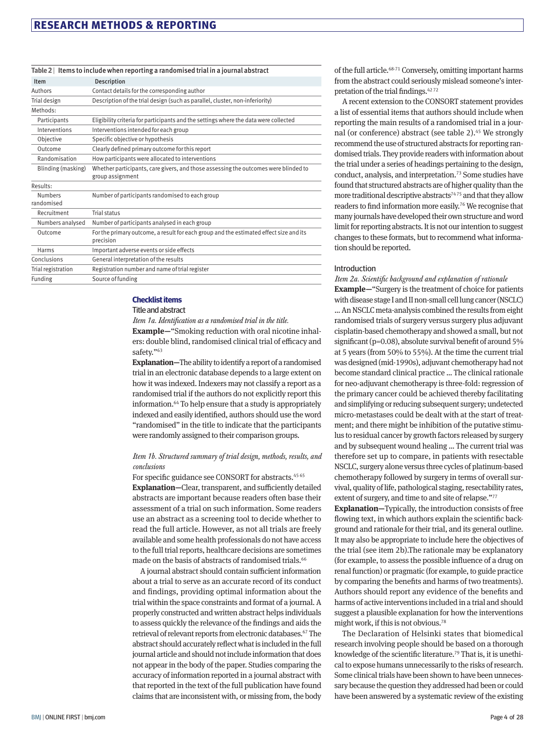| Table 2   Items to include when reporting a randomised trial in a journal abstract |                                                                                                         |  |  |  |
|------------------------------------------------------------------------------------|---------------------------------------------------------------------------------------------------------|--|--|--|
| Item                                                                               | Description                                                                                             |  |  |  |
| Authors                                                                            | Contact details for the corresponding author                                                            |  |  |  |
| Trial design                                                                       | Description of the trial design (such as parallel, cluster, non-inferiority)                            |  |  |  |
| Methods:                                                                           |                                                                                                         |  |  |  |
| Participants                                                                       | Eligibility criteria for participants and the settings where the data were collected                    |  |  |  |
| Interventions                                                                      | Interventions intended for each group                                                                   |  |  |  |
| Objective                                                                          | Specific objective or hypothesis                                                                        |  |  |  |
| Outcome                                                                            | Clearly defined primary outcome for this report                                                         |  |  |  |
| Randomisation                                                                      | How participants were allocated to interventions                                                        |  |  |  |
| Blinding (masking)                                                                 | Whether participants, care givers, and those assessing the outcomes were blinded to<br>group assignment |  |  |  |
| Results:                                                                           |                                                                                                         |  |  |  |
| <b>Numbers</b><br>randomised                                                       | Number of participants randomised to each group                                                         |  |  |  |
| Recruitment                                                                        | Trial status                                                                                            |  |  |  |
| Numbers analysed                                                                   | Number of participants analysed in each group                                                           |  |  |  |
| Outcome                                                                            | For the primary outcome, a result for each group and the estimated effect size and its<br>precision     |  |  |  |
| Harms                                                                              | Important adverse events or side effects                                                                |  |  |  |
| Conclusions                                                                        | General interpretation of the results                                                                   |  |  |  |
| Trial registration                                                                 | Registration number and name of trial register                                                          |  |  |  |
| Funding                                                                            | Source of funding                                                                                       |  |  |  |

# **Checklist items**

#### Title and abstract

*Item 1a. Identification as a randomised trial in the title.*

**Example—**"Smoking reduction with oral nicotine inhalers: double blind, randomised clinical trial of efficacy and safety."<sup>63</sup>

**Explanation—**The ability to identify a report of a randomised trial in an electronic database depends to a large extent on how it was indexed. Indexers may not classify a report as a randomised trial if the authors do not explicitly report this information.<sup>64</sup> To help ensure that a study is appropriately indexed and easily identified, authors should use the word "randomised" in the title to indicate that the participants were randomly assigned to their comparison groups.

#### *Item 1b. Structured summary of trial design, methods, results, and conclusions*

For specific guidance see CONSORT for abstracts.<sup>45 65</sup> **Explanation—**Clear, transparent, and sufficiently detailed abstracts are important because readers often base their assessment of a trial on such information. Some readers use an abstract as a screening tool to decide whether to read the full article. However, as not all trials are freely available and some health professionals do not have access to the full trial reports, healthcare decisions are sometimes made on the basis of abstracts of randomised trials.<sup>66</sup>

A journal abstract should contain sufficient information about a trial to serve as an accurate record of its conduct and findings, providing optimal information about the trial within the space constraints and format of a journal. A properly constructed and written abstract helps individuals to assess quickly the relevance of the findings and aids the retrieval of relevant reports from electronic databases.<sup>67</sup> The abstract should accurately reflect what is included in the full journal article and should not include information that does not appear in the body of the paper. Studies comparing the accuracy of information reported in a journal abstract with that reported in the text of the full publication have found claims that are inconsistent with, or missing from, the body of the full article.68-71 Conversely, omitting important harms from the abstract could seriously mislead someone's interpretation of the trial findings.  $4272$ 

A recent extension to the CONSORT statement provides a list of essential items that authors should include when reporting the main results of a randomised trial in a journal (or conference) abstract (see table 2).<sup>45</sup> We strongly recommend the use of structured abstracts for reporting randomised trials. They provide readers with information about the trial under a series of headings pertaining to the design, conduct, analysis, and interpretation.73 Some studies have found that structured abstracts are of higher quality than the more traditional descriptive abstracts<sup>7475</sup> and that they allow readers to find information more easily.76 We recognise that many journals have developed their own structure and word limit for reporting abstracts. It is not our intention to suggest changes to these formats, but to recommend what information should be reported.

#### Introduction

*Item 2a. Scientific background and explanation of rationale* **Example—**"Surgery is the treatment of choice for patients with disease stage I and II non-small cell lung cancer (NSCLC) … An NSCLC meta-analysis combined the results from eight randomised trials of surgery versus surgery plus adjuvant cisplatin-based chemotherapy and showed a small, but not significant (p=0.08), absolute survival benefit of around 5% at 5 years (from 50% to 55%). At the time the current trial was designed (mid-1990s), adjuvant chemotherapy had not become standard clinical practice … The clinical rationale for neo-adjuvant chemotherapy is three-fold: regression of the primary cancer could be achieved thereby facilitating and simplifying or reducing subsequent surgery; undetected micro-metastases could be dealt with at the start of treatment; and there might be inhibition of the putative stimulus to residual cancer by growth factors released by surgery and by subsequent wound healing … The current trial was therefore set up to compare, in patients with resectable NSCLC, surgery alone versus three cycles of platinum-based chemotherapy followed by surgery in terms of overall survival, quality of life, pathological staging, resectability rates, extent of surgery, and time to and site of relapse."77

**Explanation—**Typically, the introduction consists of free flowing text, in which authors explain the scientific background and rationale for their trial, and its general outline. It may also be appropriate to include here the objectives of the trial (see item 2b).The rationale may be explanatory (for example, to assess the possible influence of a drug on renal function) or pragmatic (for example, to guide practice by comparing the benefits and harms of two treatments). Authors should report any evidence of the benefits and harms of active interventions included in a trial and should suggest a plausible explanation for how the interventions might work, if this is not obvious.78

The Declaration of Helsinki states that biomedical research involving people should be based on a thorough knowledge of the scientific literature.79 That is, it is unethical to expose humans unnecessarily to the risks of research. Some clinical trials have been shown to have been unnecessary because the question they addressed had been or could have been answered by a systematic review of the existing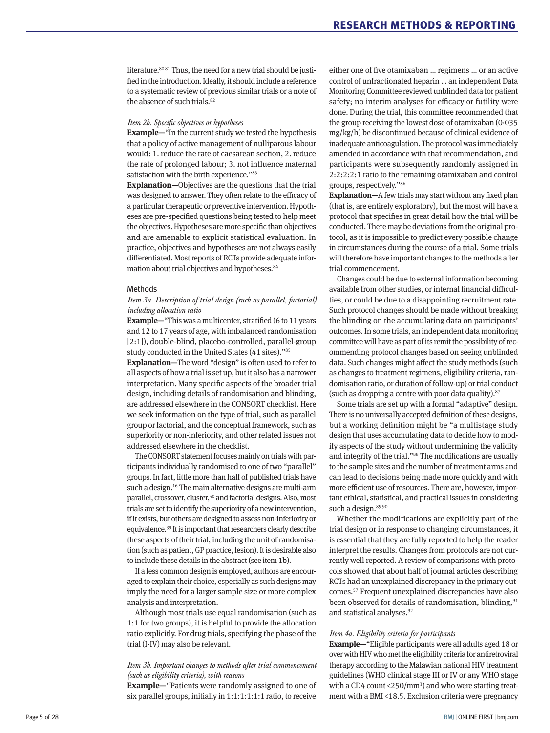literature.<sup>80 81</sup> Thus, the need for a new trial should be justified in the introduction. Ideally, it should include a reference to a systematic review of previous similar trials or a note of the absence of such trials.<sup>82</sup>

# *Item 2b. Specific objectives or hypotheses*

**Example—**"In the current study we tested the hypothesis that a policy of active management of nulliparous labour would: 1. reduce the rate of caesarean section, 2. reduce the rate of prolonged labour; 3. not influence maternal satisfaction with the birth experience."83

**Explanation—**Objectives are the questions that the trial was designed to answer. They often relate to the efficacy of a particular therapeutic or preventive intervention. Hypotheses are pre-specified questions being tested to help meet the objectives. Hypotheses are more specific than objectives and are amenable to explicit statistical evaluation. In practice, objectives and hypotheses are not always easily differentiated. Most reports of RCTs provide adequate information about trial objectives and hypotheses.<sup>84</sup>

#### Methods

# *Item 3a. Description of trial design (such as parallel, factorial) including allocation ratio*

**Example—**"This was a multicenter, stratified (6 to 11 years and 12 to 17 years of age, with imbalanced randomisation [2:1]), double-blind, placebo-controlled, parallel-group study conducted in the United States (41 sites)."85

**Explanation—**The word "design" is often used to refer to all aspects of how a trial is set up, but it also has a narrower interpretation. Many specific aspects of the broader trial design, including details of randomisation and blinding, are addressed elsewhere in the CONSORT checklist. Here we seek information on the type of trial, such as parallel group or factorial, and the conceptual framework, such as superiority or non-inferiority, and other related issues not addressed elsewhere in the checklist.

The CONSORT statement focuses mainly on trials with participants individually randomised to one of two "parallel" groups. In fact, little more than half of published trials have such a design.<sup>16</sup> The main alternative designs are multi-arm parallel, crossover, cluster, <sup>40</sup> and factorial designs. Also, most trials are set to identify the superiority of a new intervention, if it exists, but others are designed to assess non-inferiority or equivalence.39 It is important that researchers clearly describe these aspects of their trial, including the unit of randomisation (such as patient, GP practice, lesion). It is desirable also to include these details in the abstract (see item 1b).

If a less common design is employed, authors are encouraged to explain their choice, especially as such designs may imply the need for a larger sample size or more complex analysis and interpretation.

Although most trials use equal randomisation (such as 1:1 for two groups), it is helpful to provide the allocation ratio explicitly. For drug trials, specifying the phase of the trial (I-IV) may also be relevant.

# *Item 3b. Important changes to methods after trial commencement (such as eligibility criteria), with reasons*

**Example—**"Patients were randomly assigned to one of six parallel groups, initially in 1:1:1:1:1:1 ratio, to receive either one of five otamixaban … regimens … or an active control of unfractionated heparin … an independent Data Monitoring Committee reviewed unblinded data for patient safety; no interim analyses for efficacy or futility were done. During the trial, this committee recommended that the group receiving the lowest dose of otamixaban (0·035 mg/kg/h) be discontinued because of clinical evidence of inadequate anticoagulation. The protocol was immediately amended in accordance with that recommendation, and participants were subsequently randomly assigned in 2:2:2:2:1 ratio to the remaining otamixaban and control groups, respectively."86

**Explanation—**A few trials may start without any fixed plan (that is, are entirely exploratory), but the most will have a protocol that specifies in great detail how the trial will be conducted. There may be deviations from the original protocol, as it is impossible to predict every possible change in circumstances during the course of a trial. Some trials will therefore have important changes to the methods after trial commencement.

Changes could be due to external information becoming available from other studies, or internal financial difficulties, or could be due to a disappointing recruitment rate. Such protocol changes should be made without breaking the blinding on the accumulating data on participants' outcomes. In some trials, an independent data monitoring committee will have as part of its remit the possibility of recommending protocol changes based on seeing unblinded data. Such changes might affect the study methods (such as changes to treatment regimens, eligibility criteria, randomisation ratio, or duration of follow-up) or trial conduct (such as dropping a centre with poor data quality).<sup>87</sup>

Some trials are set up with a formal "adaptive" design. There is no universally accepted definition of these designs, but a working definition might be "a multistage study design that uses accumulating data to decide how to modify aspects of the study without undermining the validity and integrity of the trial."88 The modifications are usually to the sample sizes and the number of treatment arms and can lead to decisions being made more quickly and with more efficient use of resources. There are, however, important ethical, statistical, and practical issues in considering such a design.<sup>89 90</sup>

Whether the modifications are explicitly part of the trial design or in response to changing circumstances, it is essential that they are fully reported to help the reader interpret the results. Changes from protocols are not currently well reported. A review of comparisons with protocols showed that about half of journal articles describing RCTs had an unexplained discrepancy in the primary outcomes.57 Frequent unexplained discrepancies have also been observed for details of randomisation, blinding, 91 and statistical analyses.92

# *Item 4a. Eligibility criteria for participants*

**Example—**"Eligible participants were all adults aged 18 or over with HIV who met the eligibility criteria for antiretroviral therapy according to the Malawian national HIV treatment guidelines (WHO clinical stage III or IV or any WHO stage with a CD4 count <250/mm<sup>3</sup>) and who were starting treatment with a BMI <18.5. Exclusion criteria were pregnancy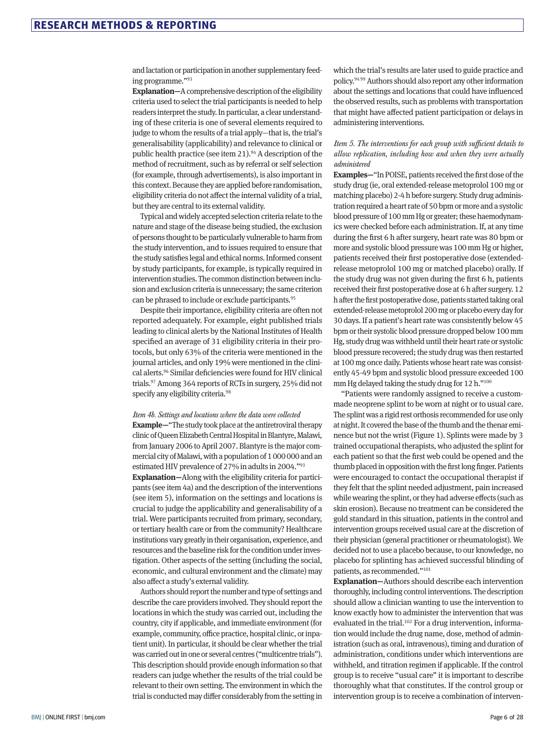and lactation or participation in another supplementary feeding programme."93

**Explanation—**A comprehensive description of the eligibility criteria used to select the trial participants is needed to help readers interpret the study. In particular, a clear understanding of these criteria is one of several elements required to judge to whom the results of a trial apply—that is, the trial's generalisability (applicability) and relevance to clinical or public health practice (see item 21).94 A description of the method of recruitment, such as by referral or self selection (for example, through advertisements), is also important in this context. Because they are applied before randomisation, eligibility criteria do not affect the internal validity of a trial, but they are central to its external validity.

Typical and widely accepted selection criteria relate to the nature and stage of the disease being studied, the exclusion of persons thought to be particularly vulnerable to harm from the study intervention, and to issues required to ensure that the study satisfies legal and ethical norms. Informed consent by study participants, for example, is typically required in intervention studies. The common distinction between inclusion and exclusion criteria is unnecessary; the same criterion can be phrased to include or exclude participants.<sup>95</sup>

Despite their importance, eligibility criteria are often not reported adequately. For example, eight published trials leading to clinical alerts by the National Institutes of Health specified an average of 31 eligibility criteria in their protocols, but only 63% of the criteria were mentioned in the journal articles, and only 19% were mentioned in the clinical alerts.96 Similar deficiencies were found for HIV clinical trials.97 Among 364 reports of RCTs in surgery, 25% did not specify any eligibility criteria.<sup>98</sup>

#### *Item 4b. Settings and locations where the data were collected*

**Example—**"The study took place at the antiretroviral therapy clinic of Queen Elizabeth Central Hospital in Blantyre, Malawi, from January 2006 to April 2007. Blantyre is the major commercial city of Malawi, with a population of 1 000 000 and an estimated HIV prevalence of 27% in adults in 2004."93 **Explanation—**Along with the eligibility criteria for partici-

pants (see item 4a) and the description of the interventions (see item 5), information on the settings and locations is crucial to judge the applicability and generalisability of a trial. Were participants recruited from primary, secondary, or tertiary health care or from the community? Healthcare institutions vary greatly in their organisation, experience, and resources and the baseline risk for the condition under investigation. Other aspects of the setting (including the social, economic, and cultural environment and the climate) may also affect a study's external validity.

Authors should report the number and type of settings and describe the care providers involved. They should report the locations in which the study was carried out, including the country, city if applicable, and immediate environment (for example, community, office practice, hospital clinic, or inpatient unit). In particular, it should be clear whether the trial was carried out in one or several centres ("multicentre trials"). This description should provide enough information so that readers can judge whether the results of the trial could be relevant to their own setting. The environment in which the trial is conducted may differ considerably from the setting in

which the trial's results are later used to guide practice and policy.94 99 Authors should also report any other information about the settings and locations that could have influenced the observed results, such as problems with transportation that might have affected patient participation or delays in administering interventions.

#### *Item 5. The interventions for each group with sufficient details to allow replication, including how and when they were actually administered*

**Examples—**"In POISE, patients received the first dose of the study drug (ie, oral extended-release metoprolol 100 mg or matching placebo) 2-4 h before surgery. Study drug administration required a heart rate of 50 bpm or more and a systolic blood pressure of 100 mm Hg or greater; these haemodynamics were checked before each administration. If, at any time during the first 6 h after surgery, heart rate was 80 bpm or more and systolic blood pressure was 100 mm Hg or higher, patients received their first postoperative dose (extendedrelease metoprolol 100 mg or matched placebo) orally. If the study drug was not given during the first 6 h, patients received their first postoperative dose at 6 h after surgery. 12 h after the first postoperative dose, patients started taking oral extended-release metoprolol 200 mg or placebo every day for 30 days. If a patient's heart rate was consistently below 45 bpm or their systolic blood pressure dropped below 100 mm Hg, study drug was withheld until their heart rate or systolic blood pressure recovered; the study drug was then restarted at 100 mg once daily. Patients whose heart rate was consistently 45-49 bpm and systolic blood pressure exceeded 100 mm Hg delayed taking the study drug for 12 h."<sup>100</sup>

"Patients were randomly assigned to receive a custommade neoprene splint to be worn at night or to usual care. The splint was a rigid rest orthosis recommended for use only at night. It covered the base of the thumb and the thenar eminence but not the wrist (Figure 1). Splints were made by 3 trained occupational therapists, who adjusted the splint for each patient so that the first web could be opened and the thumb placed in opposition with the first long finger. Patients were encouraged to contact the occupational therapist if they felt that the splint needed adjustment, pain increased while wearing the splint, or they had adverse effects (such as skin erosion). Because no treatment can be considered the gold standard in this situation, patients in the control and intervention groups received usual care at the discretion of their physician (general practitioner or rheumatologist). We decided not to use a placebo because, to our knowledge, no placebo for splinting has achieved successful blinding of patients, as recommended."101

**Explanation—**Authors should describe each intervention thoroughly, including control interventions. The description should allow a clinician wanting to use the intervention to know exactly how to administer the intervention that was evaluated in the trial.<sup>102</sup> For a drug intervention, information would include the drug name, dose, method of administration (such as oral, intravenous), timing and duration of administration, conditions under which interventions are withheld, and titration regimen if applicable. If the control group is to receive "usual care" it is important to describe thoroughly what that constitutes. If the control group or intervention group is to receive a combination of interven-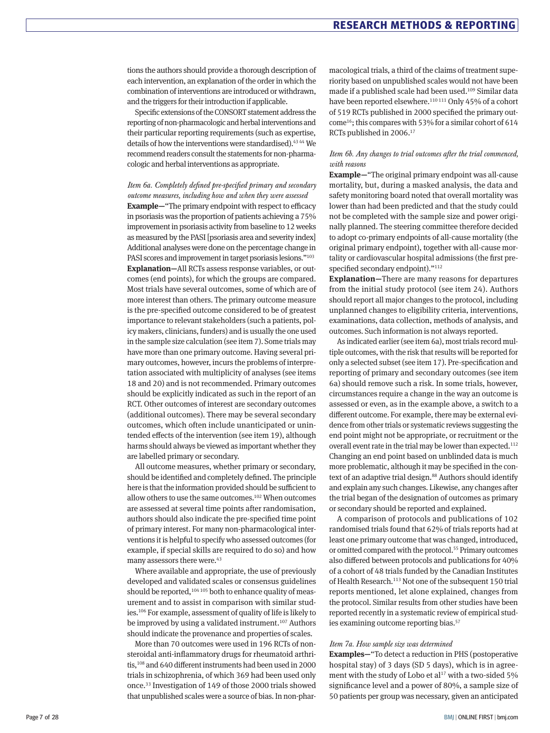tions the authors should provide a thorough description of each intervention, an explanation of the order in which the combination of interventions are introduced or withdrawn, and the triggers for their introduction if applicable.

Specific extensions of the CONSORT statement address the reporting of non-pharmacologic and herbal interventions and their particular reporting requirements (such as expertise, details of how the interventions were standardised).<sup>43 44</sup> We recommend readers consult the statements for non-pharmacologic and herbal interventions as appropriate.

#### *Item 6a. Completely defined pre-specified primary and secondary outcome measures, including how and when they were assessed*

**Example—**"The primary endpoint with respect to efficacy in psoriasis was the proportion of patients achieving a 75% improvement in psoriasis activity from baseline to 12 weeks as measured by the PASI [psoriasis area and severity index] Additional analyses were done on the percentage change in PASI scores and improvement in target psoriasis lesions."103 **Explanation—**All RCTs assess response variables, or outcomes (end points), for which the groups are compared. Most trials have several outcomes, some of which are of more interest than others. The primary outcome measure is the pre-specified outcome considered to be of greatest importance to relevant stakeholders (such a patients, policy makers, clinicians, funders) and is usually the one used in the sample size calculation (see item 7). Some trials may have more than one primary outcome. Having several primary outcomes, however, incurs the problems of interpretation associated with multiplicity of analyses (see items 18 and 20) and is not recommended. Primary outcomes should be explicitly indicated as such in the report of an RCT. Other outcomes of interest are secondary outcomes (additional outcomes). There may be several secondary outcomes, which often include unanticipated or unintended effects of the intervention (see item 19), although harms should always be viewed as important whether they are labelled primary or secondary.

All outcome measures, whether primary or secondary, should be identified and completely defined. The principle here is that the information provided should be sufficient to allow others to use the same outcomes.102 When outcomes are assessed at several time points after randomisation, authors should also indicate the pre-specified time point of primary interest. For many non-pharmacological interventions it is helpful to specify who assessed outcomes (for example, if special skills are required to do so) and how many assessors there were.<sup>43</sup>

Where available and appropriate, the use of previously developed and validated scales or consensus guidelines should be reported, $104 105$  both to enhance quality of measurement and to assist in comparison with similar studies.106 For example, assessment of quality of life is likely to be improved by using a validated instrument.<sup>107</sup> Authors should indicate the provenance and properties of scales.

More than 70 outcomes were used in 196 RCTs of nonsteroidal anti-inflammatory drugs for rheumatoid arthritis,<sup>108</sup> and 640 different instruments had been used in 2000 trials in schizophrenia, of which 369 had been used only once.33 Investigation of 149 of those 2000 trials showed that unpublished scales were a source of bias. In non-pharmacological trials, a third of the claims of treatment superiority based on unpublished scales would not have been made if a published scale had been used.<sup>109</sup> Similar data have been reported elsewhere.<sup>110 111</sup> Only 45% of a cohort of 519 RCTs published in 2000 specified the primary outcome<sup>16</sup>; this compares with 53% for a similar cohort of 614 RCTs published in 2006. 17

# *Item 6b. Any changes to trial outcomes after the trial commenced, with reasons*

**Example—**"The original primary endpoint was all-cause mortality, but, during a masked analysis, the data and safety monitoring board noted that overall mortality was lower than had been predicted and that the study could not be completed with the sample size and power originally planned. The steering committee therefore decided to adopt co-primary endpoints of all-cause mortality (the original primary endpoint), together with all-cause mortality or cardiovascular hospital admissions (the first prespecified secondary endpoint)."<sup>112</sup>

**Explanation—**There are many reasons for departures from the initial study protocol (see item 24). Authors should report all major changes to the protocol, including unplanned changes to eligibility criteria, interventions, examinations, data collection, methods of analysis, and outcomes. Such information is not always reported.

As indicated earlier (see item 6a), most trials record multiple outcomes, with the risk that results will be reported for only a selected subset (see item 17). Pre-specification and reporting of primary and secondary outcomes (see item 6a) should remove such a risk. In some trials, however, circumstances require a change in the way an outcome is assessed or even, as in the example above, a switch to a different outcome. For example, there may be external evidence from other trials or systematic reviews suggesting the end point might not be appropriate, or recruitment or the overall event rate in the trial may be lower than expected.<sup>112</sup> Changing an end point based on unblinded data is much more problematic, although it may be specified in the context of an adaptive trial design.<sup>88</sup> Authors should identify and explain any such changes. Likewise, any changes after the trial began of the designation of outcomes as primary or secondary should be reported and explained.

A comparison of protocols and publications of 102 randomised trials found that 62% of trials reports had at least one primary outcome that was changed, introduced, or omitted compared with the protocol.<sup>55</sup> Primary outcomes also differed between protocols and publications for 40% of a cohort of 48 trials funded by the Canadian Institutes of Health Research.<sup>113</sup> Not one of the subsequent 150 trial reports mentioned, let alone explained, changes from the protocol. Similar results from other studies have been reported recently in a systematic review of empirical studies examining outcome reporting bias.<sup>57</sup>

#### *Item 7a. How sample size was determined*

**Examples—**"To detect a reduction in PHS (postoperative hospital stay) of 3 days (SD 5 days), which is in agreement with the study of Lobo et al<sup>17</sup> with a two-sided 5% significance level and a power of 80%, a sample size of 50 patients per group was necessary, given an anticipated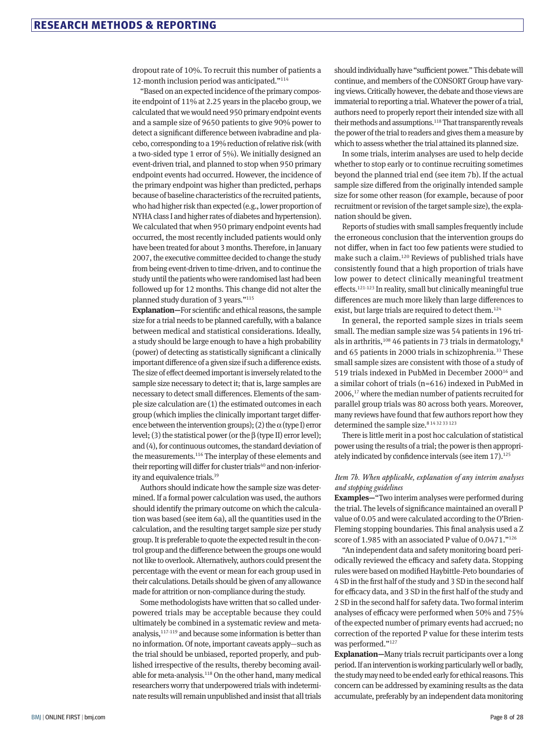dropout rate of 10%. To recruit this number of patients a 12-month inclusion period was anticipated."114

"Based on an expected incidence of the primary composite endpoint of 11% at 2.25 years in the placebo group, we calculated that we would need 950 primary endpoint events and a sample size of 9650 patients to give 90% power to detect a significant difference between ivabradine and placebo, corresponding to a 19% reduction of relative risk (with a two-sided type 1 error of 5%). We initially designed an event-driven trial, and planned to stop when 950 primary endpoint events had occurred. However, the incidence of the primary endpoint was higher than predicted, perhaps because of baseline characteristics of the recruited patients, who had higher risk than expected (e.g., lower proportion of NYHA class I and higher rates of diabetes and hypertension). We calculated that when 950 primary endpoint events had occurred, the most recently included patients would only have been treated for about 3 months. Therefore, in January 2007, the executive committee decided to change the study from being event-driven to time-driven, and to continue the study until the patients who were randomised last had been followed up for 12 months. This change did not alter the planned study duration of 3 years."115

**Explanation—**For scientific and ethical reasons, the sample size for a trial needs to be planned carefully, with a balance between medical and statistical considerations. Ideally, a study should be large enough to have a high probability (power) of detecting as statistically significant a clinically important difference of a given size if such a difference exists. The size of effect deemed important is inversely related to the sample size necessary to detect it; that is, large samples are necessary to detect small differences. Elements of the sample size calculation are (1) the estimated outcomes in each group (which implies the clinically important target difference between the intervention groups); (2) the  $\alpha$  (type I) error level; (3) the statistical power (or the  $\beta$  (type II) error level); and (4), for continuous outcomes, the standard deviation of the measurements.116 The interplay of these elements and their reporting will differ for cluster trials<sup>40</sup> and non-inferiority and equivalence trials.39

Authors should indicate how the sample size was determined. If a formal power calculation was used, the authors should identify the primary outcome on which the calculation was based (see item 6a), all the quantities used in the calculation, and the resulting target sample size per study group. It is preferable to quote the expected result in the control group and the difference between the groups one would not like to overlook. Alternatively, authors could present the percentage with the event or mean for each group used in their calculations. Details should be given of any allowance made for attrition or non-compliance during the study.

Some methodologists have written that so called underpowered trials may be acceptable because they could ultimately be combined in a systematic review and metaanalysis,117-119 and because some information is better than no information. Of note, important caveats apply—such as the trial should be unbiased, reported properly, and published irrespective of the results, thereby becoming available for meta-analysis.118 On the other hand, many medical researchers worry that underpowered trials with indeterminate results will remain unpublished and insist that all trials should individually have "sufficient power." This debate will continue, and members of the CONSORT Group have varying views. Critically however, the debate and those views are immaterial to reporting a trial. Whatever the power of a trial, authors need to properly report their intended size with all their methods and assumptions.<sup>118</sup> That transparently reveals the power of the trial to readers and gives them a measure by which to assess whether the trial attained its planned size.

In some trials, interim analyses are used to help decide whether to stop early or to continue recruiting sometimes beyond the planned trial end (see item 7b). If the actual sample size differed from the originally intended sample size for some other reason (for example, because of poor recruitment or revision of the target sample size), the explanation should be given.

Reports of studies with small samples frequently include the erroneous conclusion that the intervention groups do not differ, when in fact too few patients were studied to make such a claim.120 Reviews of published trials have consistently found that a high proportion of trials have low power to detect clinically meaningful treatment effects.<sup>121-123</sup> In reality, small but clinically meaningful true differences are much more likely than large differences to exist, but large trials are required to detect them.<sup>124</sup>

In general, the reported sample sizes in trials seem small. The median sample size was 54 patients in 196 trials in arthritis, $108$  46 patients in 73 trials in dermatology, $8$ and 65 patients in 2000 trials in schizophrenia.<sup>33</sup> These small sample sizes are consistent with those of a study of 519 trials indexed in PubMed in December 2000<sup>16</sup> and a similar cohort of trials (n=616) indexed in PubMed in 2006, 17 where the median number of patients recruited for parallel group trials was 80 across both years. Moreover, many reviews have found that few authors report how they determined the sample size.<sup>8 14 32 33 123</sup>

There is little merit in a post hoc calculation of statistical power using the results of a trial; the power is then appropriately indicated by confidence intervals (see item 17).<sup>125</sup>

#### *Item 7b. When applicable, explanation of any interim analyses and stopping guidelines*

**Examples—**"Two interim analyses were performed during the trial. The levels of significance maintained an overall P value of 0.05 and were calculated according to the O'Brien-Fleming stopping boundaries. This final analysis used a Z score of 1.985 with an associated P value of 0.0471."126

"An independent data and safety monitoring board periodically reviewed the efficacy and safety data. Stopping rules were based on modified Haybittle-Peto boundaries of 4 SD in the first half of the study and 3 SD in the second half for efficacy data, and 3 SD in the first half of the study and 2 SD in the second half for safety data. Two formal interim analyses of efficacy were performed when 50% and 75% of the expected number of primary events had accrued; no correction of the reported P value for these interim tests was performed."<sup>127</sup>

**Explanation—**Many trials recruit participants over a long period. If an intervention is working particularly well or badly, the study may need to be ended early for ethical reasons. This concern can be addressed by examining results as the data accumulate, preferably by an independent data monitoring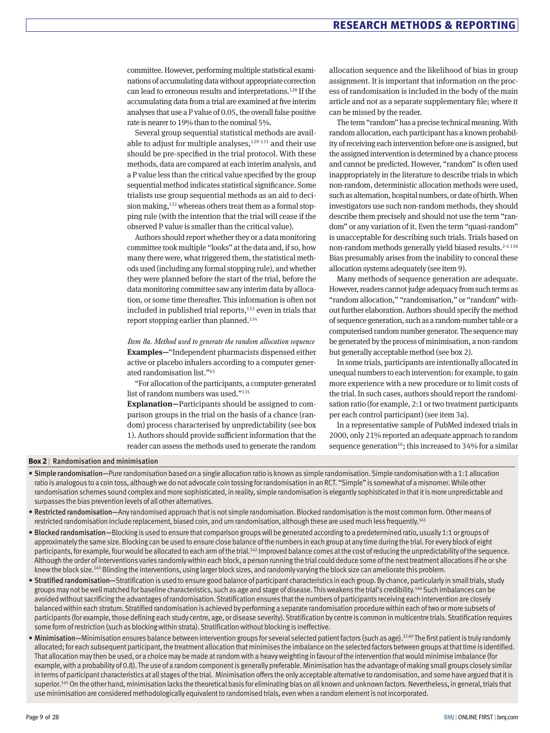committee. However, performing multiple statistical examinations of accumulating data without appropriate correction can lead to erroneous results and interpretations.128 If the accumulating data from a trial are examined at five interim analyses that use a P value of 0.05, the overall false positive rate is nearer to 19% than to the nominal 5%.

Several group sequential statistical methods are available to adjust for multiple analyses, $129-131$  and their use should be pre-specified in the trial protocol. With these methods, data are compared at each interim analysis, and a P value less than the critical value specified by the group sequential method indicates statistical significance. Some trialists use group sequential methods as an aid to decision making,<sup>132</sup> whereas others treat them as a formal stopping rule (with the intention that the trial will cease if the observed P value is smaller than the critical value).

Authors should report whether they or a data monitoring committee took multiple "looks" at the data and, if so, how many there were, what triggered them, the statistical methods used (including any formal stopping rule), and whether they were planned before the start of the trial, before the data monitoring committee saw any interim data by allocation, or some time thereafter. This information is often not included in published trial reports, $133$  even in trials that report stopping earlier than planned.134

*Item 8a. Method used to generate the random allocation sequence* **Examples—**"Independent pharmacists dispensed either active or placebo inhalers according to a computer generated randomisation list."63

"For allocation of the participants, a computer-generated list of random numbers was used."135

**Explanation—**Participants should be assigned to comparison groups in the trial on the basis of a chance (random) process characterised by unpredictability (see box 1). Authors should provide sufficient information that the reader can assess the methods used to generate the random

allocation sequence and the likelihood of bias in group assignment. It is important that information on the process of randomisation is included in the body of the main article and not as a separate supplementary file; where it can be missed by the reader.

The term "random" has a precise technical meaning. With random allocation, each participant has a known probability of receiving each intervention before one is assigned, but the assigned intervention is determined by a chance process and cannot be predicted. However, "random" is often used inappropriately in the literature to describe trials in which non-random, deterministic allocation methods were used, such as alternation, hospital numbers, or date of birth. When investigators use such non-random methods, they should describe them precisely and should not use the term "random" or any variation of it. Even the term "quasi-random" is unacceptable for describing such trials. Trials based on non-random methods generally yield biased results.<sup>2-4 136</sup> Bias presumably arises from the inability to conceal these allocation systems adequately (see item 9).

Many methods of sequence generation are adequate. However, readers cannot judge adequacy from such terms as "random allocation," "randomisation," or "random" without further elaboration. Authors should specify the method of sequence generation, such as a random-number table or a computerised random number generator. The sequence may be generated by the process of minimisation, a non-random but generally acceptable method (see box 2).

In some trials, participants are intentionally allocated in unequal numbers to each intervention: for example, to gain more experience with a new procedure or to limit costs of the trial. In such cases, authors should report the randomisation ratio (for example, 2:1 or two treatment participants per each control participant) (see item 3a).

In a representative sample of PubMed indexed trials in 2000, only 21% reported an adequate approach to random sequence generation<sup>16</sup>; this increased to 34% for a similar

#### **Box 2** | Randomisation and minimisation

- Simple randomisation—Pure randomisation based on a single allocation ratio is known as simple randomisation. Simple randomisation with a 1:1 allocation ratio is analogous to a coin toss, although we do not advocate coin tossing for randomisation in an RCT. "Simple" is somewhat of a misnomer. While other randomisation schemes sound complex and more sophisticated, in reality, simple randomisation is elegantly sophisticated in that it is more unpredictable and surpasses the bias prevention levels of all other alternatives.
- Restricted randomisation—Any randomised approach that is not simple randomisation. Blocked randomisation is the most common form. Other means of restricted randomisation include replacement, biased coin, and urn randomisation, although these are used much less frequently.141
- Blocked randomisation—Blocking is used to ensure that comparison groups will be generated according to a predetermined ratio, usually 1:1 or groups of approximately the same size. Blocking can be used to ensure close balance of the numbers in each group at any time during the trial. For every block of eight participants, for example, four would be allocated to each arm of the trial.142 Improved balance comes at the cost of reducing the unpredictability of the sequence. Although the order of interventions varies randomly within each block, a person running the trial could deduce some of the next treatment allocations if he or she knew the block size.<sup>143</sup> Blinding the interventions, using larger block sizes, and randomly varying the block size can ameliorate this problem.
- · Stratified randomisation-Stratification is used to ensure good balance of participant characteristics in each group. By chance, particularly in small trials, study groups may not be well matched for baseline characteristics, such as age and stage of disease. This weakens the trial's credibility.<sup>144</sup> Such imbalances can be avoided without sacrificing the advantages of randomisation. Stratification ensures that the numbers of participants receiving each intervention are closely balanced within each stratum. Stratified randomisation is achieved by performing a separate randomisation procedure within each of two or more subsets of participants (for example, those defining each study centre, age, or disease severity). Stratification by centre is common in multicentre trials. Stratification requires some form of restriction (such as blocking within strata). Stratification without blocking is ineffective.
- Minimisation—Minimisation ensures balance between intervention groups for several selected patient factors (such as age).<sup>2260</sup> The first patient is truly randomly allocated; for each subsequent participant, the treatment allocation that minimises the imbalance on the selected factors between groups at that time is identified. That allocation may then be used, or a choice may be made at random with a heavy weighting in favour of the intervention that would minimise imbalance (for example, with a probability of 0.8). The use of a random component is generally preferable. Minimisation has the advantage of making small groups closely similar in terms of participant characteristics at all stages of the trial. Minimisation offers the only acceptable alternative to randomisation, and some have argued that it is superior.<sup>145</sup> On the other hand, minimisation lacks the theoretical basis for eliminating bias on all known and unknown factors. Nevertheless, in general, trials that use minimisation are considered methodologically equivalent to randomised trials, even when a random element is not incorporated.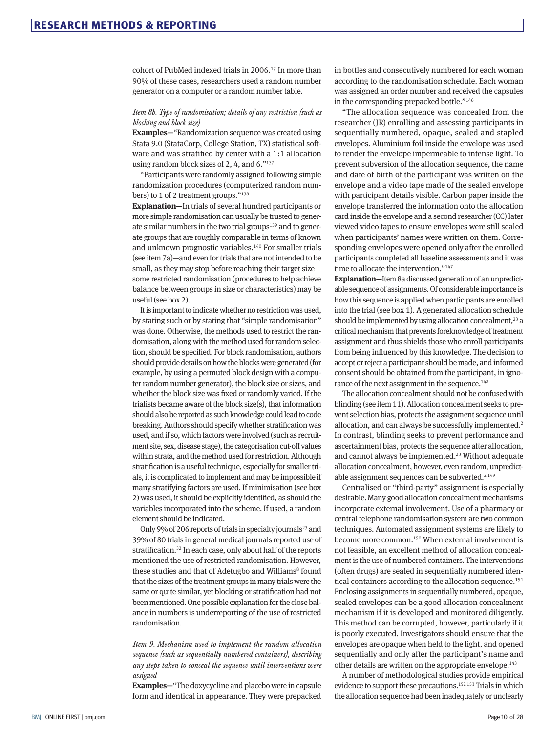cohort of PubMed indexed trials in 2006. 17 In more than 90% of these cases, researchers used a random number generator on a computer or a random number table.

#### *Item 8b. Type of randomisation; details of any restriction (such as blocking and block size)*

**Examples—**"Randomization sequence was created using Stata 9.0 (StataCorp, College Station, TX) statistical software and was stratified by center with a 1:1 allocation using random block sizes of 2, 4, and 6."137

"Participants were randomly assigned following simple randomization procedures (computerized random numbers) to 1 of 2 treatment groups."138

**Explanation—**In trials of several hundred participants or more simple randomisation can usually be trusted to generate similar numbers in the two trial groups<sup>139</sup> and to generate groups that are roughly comparable in terms of known and unknown prognostic variables.140 For smaller trials (see item 7a)—and even for trials that are not intended to be small, as they may stop before reaching their target size some restricted randomisation (procedures to help achieve balance between groups in size or characteristics) may be useful (see box 2).

It is important to indicate whether no restriction was used, by stating such or by stating that "simple randomisation" was done. Otherwise, the methods used to restrict the randomisation, along with the method used for random selection, should be specified. For block randomisation, authors should provide details on how the blocks were generated (for example, by using a permuted block design with a computer random number generator), the block size or sizes, and whether the block size was fixed or randomly varied. If the trialists became aware of the block size(s), that information should also be reported as such knowledge could lead to code breaking. Authors should specify whether stratification was used, and if so, which factors were involved (such as recruitment site, sex, disease stage), the categorisation cut-off values within strata, and the method used for restriction. Although stratification is a useful technique, especially for smaller trials, it is complicated to implement and may be impossible if many stratifying factors are used. If minimisation (see box 2) was used, it should be explicitly identified, as should the variables incorporated into the scheme. If used, a random element should be indicated.

Only 9% of 206 reports of trials in specialty journals<sup>23</sup> and 39% of 80 trials in general medical journals reported use of stratification.32 In each case, only about half of the reports mentioned the use of restricted randomisation. However, these studies and that of Adetugbo and Williams<sup>8</sup> found that the sizes of the treatment groups in many trials were the same or quite similar, yet blocking or stratification had not been mentioned. One possible explanation for the close balance in numbers is underreporting of the use of restricted randomisation.

# *Item 9. Mechanism used to implement the random allocation sequence (such as sequentially numbered containers), describing any steps taken to conceal the sequence until interventions were assigned*

**Examples—**"The doxycycline and placebo were in capsule form and identical in appearance. They were prepacked in bottles and consecutively numbered for each woman according to the randomisation schedule. Each woman was assigned an order number and received the capsules in the corresponding prepacked bottle."146

"The allocation sequence was concealed from the researcher (JR) enrolling and assessing participants in sequentially numbered, opaque, sealed and stapled envelopes. Aluminium foil inside the envelope was used to render the envelope impermeable to intense light. To prevent subversion of the allocation sequence, the name and date of birth of the participant was written on the envelope and a video tape made of the sealed envelope with participant details visible. Carbon paper inside the envelope transferred the information onto the allocation card inside the envelope and a second researcher (CC) later viewed video tapes to ensure envelopes were still sealed when participants' names were written on them. Corresponding envelopes were opened only after the enrolled participants completed all baseline assessments and it was time to allocate the intervention."<sup>147</sup>

**Explanation—**Item 8a discussed generation of an unpredictable sequence of assignments. Of considerable importance is how this sequence is applied when participants are enrolled into the trial (see box 1). A generated allocation schedule should be implemented by using allocation concealment,  $23$  a critical mechanism that prevents foreknowledge of treatment assignment and thus shields those who enroll participants from being influenced by this knowledge. The decision to accept or reject a participant should be made, and informed consent should be obtained from the participant, in ignorance of the next assignment in the sequence.<sup>148</sup>

The allocation concealment should not be confused with blinding (see item 11). Allocation concealment seeks to prevent selection bias, protects the assignment sequence until allocation, and can always be successfully implemented.<sup>2</sup> In contrast, blinding seeks to prevent performance and ascertainment bias, protects the sequence after allocation, and cannot always be implemented.<sup>23</sup> Without adequate allocation concealment, however, even random, unpredictable assignment sequences can be subverted.<sup>2149</sup>

Centralised or "third-party" assignment is especially desirable. Many good allocation concealment mechanisms incorporate external involvement. Use of a pharmacy or central telephone randomisation system are two common techniques. Automated assignment systems are likely to become more common.<sup>150</sup> When external involvement is not feasible, an excellent method of allocation concealment is the use of numbered containers. The interventions (often drugs) are sealed in sequentially numbered identical containers according to the allocation sequence.<sup>151</sup> Enclosing assignments in sequentially numbered, opaque, sealed envelopes can be a good allocation concealment mechanism if it is developed and monitored diligently. This method can be corrupted, however, particularly if it is poorly executed. Investigators should ensure that the envelopes are opaque when held to the light, and opened sequentially and only after the participant's name and other details are written on the appropriate envelope.<sup>143</sup>

A number of methodological studies provide empirical evidence to support these precautions.152 153 Trials in which the allocation sequence had been inadequately or unclearly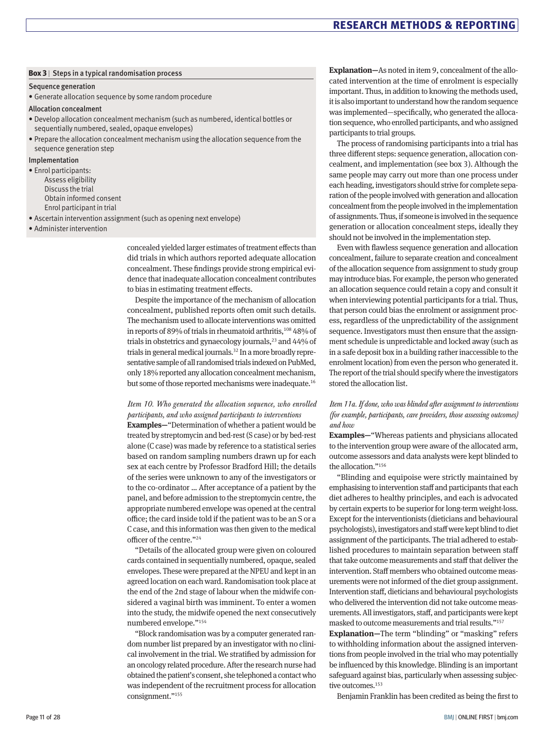#### **Box 3** | Steps in a typical randomisation process

#### Sequence generation

• Generate allocation sequence by some random procedure

#### Allocation concealment

- Develop allocation concealment mechanism (such as numbered, identical bottles or sequentially numbered, sealed, opaque envelopes)
- $\bullet$  Prepare the allocation concealment mechanism using the allocation sequence from the sequence generation step

#### Implementation

• Enrol participants: Assess eligibility Discuss the trial Obtain informed consent Enrol participant in trial

- Ascertain intervention assignment (such as opening next envelope)
- Administer intervention

concealed yielded larger estimates of treatment effects than did trials in which authors reported adequate allocation concealment. These findings provide strong empirical evidence that inadequate allocation concealment contributes to bias in estimating treatment effects.

Despite the importance of the mechanism of allocation concealment, published reports often omit such details. The mechanism used to allocate interventions was omitted in reports of 89% of trials in rheumatoid arthritis,<sup>108</sup> 48% of trials in obstetrics and gynaecology journals,<sup>23</sup> and 44% of trials in general medical journals.32 In a more broadly representative sample of all randomised trials indexed on PubMed, only 18% reported any allocation concealment mechanism, but some of those reported mechanisms were inadequate.<sup>16</sup>

#### *Item 10. Who generated the allocation sequence, who enrolled participants, and who assigned participants to interventions*

**Examples—**"Determination of whether a patient would be treated by streptomycin and bed-rest (S case) or by bed-rest alone (C case) was made by reference to a statistical series based on random sampling numbers drawn up for each sex at each centre by Professor Bradford Hill; the details of the series were unknown to any of the investigators or to the co-ordinator … After acceptance of a patient by the panel, and before admission to the streptomycin centre, the appropriate numbered envelope was opened at the central office; the card inside told if the patient was to be an S or a C case, and this information was then given to the medical officer of the centre."24

"Details of the allocated group were given on coloured cards contained in sequentially numbered, opaque, sealed envelopes. These were prepared at the NPEU and kept in an agreed location on each ward. Randomisation took place at the end of the 2nd stage of labour when the midwife considered a vaginal birth was imminent. To enter a women into the study, the midwife opened the next consecutively numbered envelope."154

"Block randomisation was by a computer generated random number list prepared by an investigator with no clinical involvement in the trial. We stratified by admission for an oncology related procedure. After the research nurse had obtained the patient's consent, she telephoned a contact who was independent of the recruitment process for allocation consignment."155

**Explanation—**As noted in item 9, concealment of the allocated intervention at the time of enrolment is especially important. Thus, in addition to knowing the methods used, it is also important to understand how the random sequence was implemented—specifically, who generated the allocation sequence, who enrolled participants, and who assigned participants to trial groups.

The process of randomising participants into a trial has three different steps: sequence generation, allocation concealment, and implementation (see box 3). Although the same people may carry out more than one process under each heading, investigators should strive for complete separation of the people involved with generation and allocation concealment from the people involved in the implementation of assignments. Thus, if someone is involved in the sequence generation or allocation concealment steps, ideally they should not be involved in the implementation step.

Even with flawless sequence generation and allocation concealment, failure to separate creation and concealment of the allocation sequence from assignment to study group may introduce bias. For example, the person who generated an allocation sequence could retain a copy and consult it when interviewing potential participants for a trial. Thus, that person could bias the enrolment or assignment process, regardless of the unpredictability of the assignment sequence. Investigators must then ensure that the assignment schedule is unpredictable and locked away (such as in a safe deposit box in a building rather inaccessible to the enrolment location) from even the person who generated it. The report of the trial should specify where the investigators stored the allocation list.

#### *Item 11a. If done, who was blinded after assignment to interventions (for example, participants, care providers, those assessing outcomes) and how*

**Examples—**"Whereas patients and physicians allocated to the intervention group were aware of the allocated arm, outcome assessors and data analysts were kept blinded to the allocation."156

"Blinding and equipoise were strictly maintained by emphasising to intervention staff and participants that each diet adheres to healthy principles, and each is advocated by certain experts to be superior for long-term weight-loss. Except for the interventionists (dieticians and behavioural psychologists), investigators and staff were kept blind to diet assignment of the participants. The trial adhered to established procedures to maintain separation between staff that take outcome measurements and staff that deliver the intervention. Staff members who obtained outcome measurements were not informed of the diet group assignment. Intervention staff, dieticians and behavioural psychologists who delivered the intervention did not take outcome measurements. All investigators, staff, and participants were kept masked to outcome measurements and trial results."157

**Explanation—**The term "blinding" or "masking" refers to withholding information about the assigned interventions from people involved in the trial who may potentially be influenced by this knowledge. Blinding is an important safeguard against bias, particularly when assessing subjective outcomes.<sup>153</sup>

Benjamin Franklin has been credited as being the first to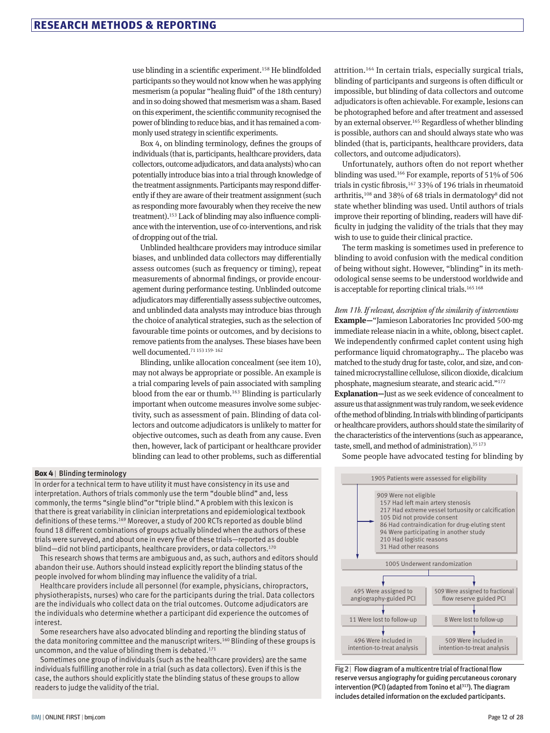use blinding in a scientific experiment.<sup>158</sup> He blindfolded participants so they would not know when he was applying mesmerism (a popular "healing fluid" of the 18th century) and in so doing showed that mesmerism was a sham. Based on this experiment, the scientific community recognised the power of blinding to reduce bias, and it has remained a commonly used strategy in scientific experiments.

Box 4, on blinding terminology, defines the groups of individuals (that is, participants, healthcare providers, data collectors, outcome adjudicators, and data analysts) who can potentially introduce bias into a trial through knowledge of the treatment assignments. Participants may respond differently if they are aware of their treatment assignment (such as responding more favourably when they receive the new treatment).153 Lack of blinding may also influence compliance with the intervention, use of co-interventions, and risk of dropping out of the trial.

Unblinded healthcare providers may introduce similar biases, and unblinded data collectors may differentially assess outcomes (such as frequency or timing), repeat measurements of abnormal findings, or provide encouragement during performance testing. Unblinded outcome adjudicators may differentially assess subjective outcomes, and unblinded data analysts may introduce bias through the choice of analytical strategies, such as the selection of favourable time points or outcomes, and by decisions to remove patients from the analyses. These biases have been well documented.71 <sup>153</sup> 159- <sup>162</sup>

Blinding, unlike allocation concealment (see item 10), may not always be appropriate or possible. An example is a trial comparing levels of pain associated with sampling blood from the ear or thumb.<sup>163</sup> Blinding is particularly important when outcome measures involve some subjectivity, such as assessment of pain. Blinding of data collectors and outcome adjudicators is unlikely to matter for objective outcomes, such as death from any cause. Even then, however, lack of participant or healthcare provider blinding can lead to other problems, such as differential

#### **Box 4** | Blinding terminology

In order for a technical term to have utility it must have consistency in its use and interpretation. Authors of trials commonly use the term "double blind" and, less commonly, the terms "single blind"or "triple blind." A problem with this lexicon is that there is great variability in clinician interpretations and epidemiological textbook definitions of these terms.169 Moreover, a study of 200 RCTs reported as double blind found 18 different combinations of groups actually blinded when the authors of these trials were surveyed, and about one in every five of these trials—reported as double blind-did not blind participants, healthcare providers, or data collectors.<sup>170</sup>

This research shows that terms are ambiguous and, as such, authors and editors should abandon their use. Authors should instead explicitly report the blinding status of the people involved for whom blinding may influence the validity of a trial.

Healthcare providers include all personnel (for example, physicians, chiropractors, physiotherapists, nurses) who care for the participants during the trial. Data collectors are the individuals who collect data on the trial outcomes. Outcome adjudicators are the individuals who determine whether a participant did experience the outcomes of interest.

Some researchers have also advocated blinding and reporting the blinding status of the data monitoring committee and the manuscript writers.<sup>160</sup> Blinding of these groups is uncommon, and the value of blinding them is debated.<sup>171</sup>

Sometimes one group of individuals (such as the healthcare providers) are the same individuals fulfilling another role in a trial (such as data collectors). Even if this is the case, the authors should explicitly state the blinding status of these groups to allow readers to judge the validity of the trial.

attrition.164 In certain trials, especially surgical trials, blinding of participants and surgeons is often difficult or impossible, but blinding of data collectors and outcome adjudicators is often achievable. For example, lesions can be photographed before and after treatment and assessed by an external observer.<sup>165</sup> Regardless of whether blinding is possible, authors can and should always state who was blinded (that is, participants, healthcare providers, data collectors, and outcome adjudicators).

Unfortunately, authors often do not report whether blinding was used.<sup>166</sup> For example, reports of 51% of 506 trials in cystic fibrosis, $167$  33% of 196 trials in rheumatoid arthritis,<sup>108</sup> and 38% of 68 trials in dermatology<sup>8</sup> did not state whether blinding was used. Until authors of trials improve their reporting of blinding, readers will have difficulty in judging the validity of the trials that they may wish to use to guide their clinical practice.

The term masking is sometimes used in preference to blinding to avoid confusion with the medical condition of being without sight. However, "blinding" in its methodological sense seems to be understood worldwide and is acceptable for reporting clinical trials.<sup>165 168</sup>

*Item 11b. If relevant, description of the similarity of interventions* **Example—**"Jamieson Laboratories Inc provided 500-mg immediate release niacin in a white, oblong, bisect caplet. We independently confirmed caplet content using high performance liquid chromatography… The placebo was matched to the study drug for taste, color, and size, and contained microcrystalline cellulose, silicon dioxide, dicalcium phosphate, magnesium stearate, and stearic acid."172 **Explanation—**Just as we seek evidence of concealment to

assure us that assignment was truly random, we seek evidence of the method of blinding. In trials with blinding of participants or healthcare providers, authors should state the similarity of the characteristics of the interventions (such as appearance, taste, smell, and method of administration).<sup>35 173</sup>

Some people have advocated testing for blinding by



**Fig 2** | Flow diagram of a multicentre trial of fractional flow reserve versus angiography for guiding percutaneous coronary intervention (PCI) (adapted from Tonino et al $313$ ). The diagram includes detailed information on the excluded participants.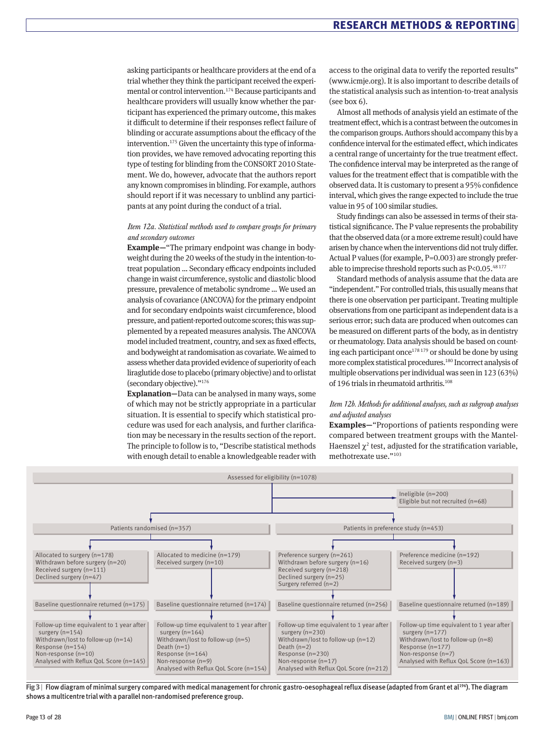asking participants or healthcare providers at the end of a trial whether they think the participant received the experimental or control intervention.174 Because participants and healthcare providers will usually know whether the participant has experienced the primary outcome, this makes it difficult to determine if their responses reflect failure of blinding or accurate assumptions about the efficacy of the intervention.175 Given the uncertainty this type of information provides, we have removed advocating reporting this type of testing for blinding from the CONSORT 2010 Statement. We do, however, advocate that the authors report any known compromises in blinding. For example, authors should report if it was necessary to unblind any participants at any point during the conduct of a trial.

# *Item 12a. Statistical methods used to compare groups for primary and secondary outcomes*

**Example—**"The primary endpoint was change in bodyweight during the 20 weeks of the study in the intention-totreat population … Secondary efficacy endpoints included change in waist circumference, systolic and diastolic blood pressure, prevalence of metabolic syndrome … We used an analysis of covariance (ANCOVA) for the primary endpoint and for secondary endpoints waist circumference, blood pressure, and patient-reported outcome scores; this was supplemented by a repeated measures analysis. The ANCOVA model included treatment, country, and sex as fixed effects, and bodyweight at randomisation as covariate. We aimed to assess whether data provided evidence of superiority of each liraglutide dose to placebo (primary objective) and to orlistat (secondary objective)."176

**Explanation—**Data can be analysed in many ways, some of which may not be strictly appropriate in a particular situation. It is essential to specify which statistical procedure was used for each analysis, and further clarification may be necessary in the results section of the report. The principle to follow is to, "Describe statistical methods with enough detail to enable a knowledgeable reader with access to the original data to verify the reported results" (www.icmje.org). It is also important to describe details of the statistical analysis such as intention-to-treat analysis (see box 6).

Almost all methods of analysis yield an estimate of the treatment effect, which is a contrast between the outcomes in the comparison groups. Authors should accompany this by a confidence interval for the estimated effect, which indicates a central range of uncertainty for the true treatment effect. The confidence interval may be interpreted as the range of values for the treatment effect that is compatible with the observed data. It is customary to present a 95% confidence interval, which gives the range expected to include the true value in 95 of 100 similar studies.

Study findings can also be assessed in terms of their statistical significance. The P value represents the probability that the observed data (or a more extreme result) could have arisen by chance when the interventions did not truly differ. Actual P values (for example, P=0.003) are strongly preferable to imprecise threshold reports such as P<0.05. 48 177

Standard methods of analysis assume that the data are "independent." For controlled trials, this usually means that there is one observation per participant. Treating multiple observations from one participant as independent data is a serious error; such data are produced when outcomes can be measured on different parts of the body, as in dentistry or rheumatology. Data analysis should be based on counting each participant once<sup>178 179</sup> or should be done by using more complex statistical procedures.180 Incorrect analysis of multiple observations per individual was seen in 123 (63%) of 196 trials in rheumatoid arthritis.<sup>108</sup>

#### *Item 12b. Methods for additional analyses, such as subgroup analyses and adjusted analyses*

**Examples—**"Proportions of patients responding were compared between treatment groups with the Mantel-Haenszel  $\chi^2$  test, adjusted for the stratification variable, methotrexate use."103



**Fig 3** | Flow diagram of minimal surgery compared with medical management for chronic gastro-oesophageal reflux disease (adapted from Grant et al196). The diagram shows a multicentre trial with a parallel non-randomised preference group.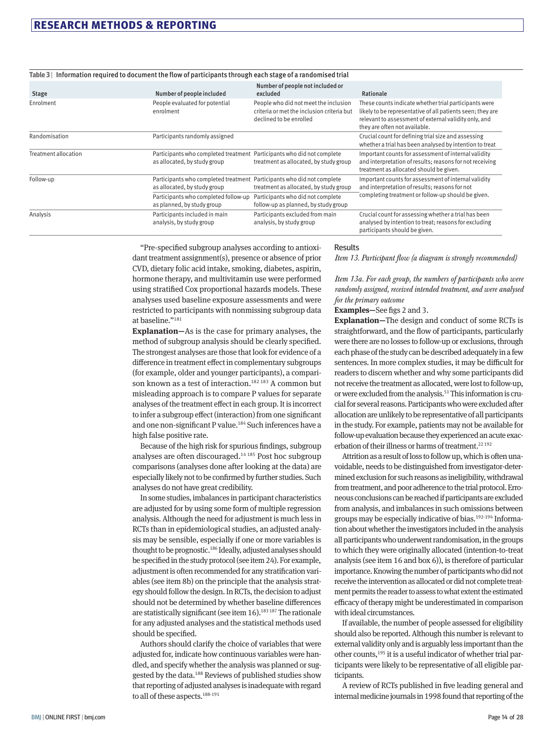| Table 3   Information required to document the flow of participants through each stage of a randomised trial |                                                                                                                |                                                                                                                                                                                                               |  |  |  |  |
|--------------------------------------------------------------------------------------------------------------|----------------------------------------------------------------------------------------------------------------|---------------------------------------------------------------------------------------------------------------------------------------------------------------------------------------------------------------|--|--|--|--|
| Number of people included                                                                                    | Number of people not included or<br>excluded                                                                   | Rationale                                                                                                                                                                                                     |  |  |  |  |
| People evaluated for potential<br>enrolment                                                                  | People who did not meet the inclusion<br>criteria or met the inclusion criteria but<br>declined to be enrolled | These counts indicate whether trial participants were<br>likely to be representative of all patients seen; they are<br>relevant to assessment of external validity only, and<br>they are often not available. |  |  |  |  |
| Participants randomly assigned                                                                               |                                                                                                                | Crucial count for defining trial size and assessing<br>whether a trial has been analysed by intention to treat                                                                                                |  |  |  |  |
| as allocated, by study group                                                                                 | treatment as allocated, by study group                                                                         | Important counts for assessment of internal validity<br>and interpretation of results; reasons for not receiving<br>treatment as allocated should be given.                                                   |  |  |  |  |
| Participants who completed treatment<br>as allocated, by study group                                         | Participants who did not complete<br>treatment as allocated, by study group                                    | Important counts for assessment of internal validity<br>and interpretation of results; reasons for not<br>completing treatment or follow-up should be given.                                                  |  |  |  |  |
| Participants who completed follow-up<br>as planned, by study group                                           | Participants who did not complete<br>follow-up as planned, by study group                                      |                                                                                                                                                                                                               |  |  |  |  |
| Participants included in main<br>analysis, by study group                                                    | Participants excluded from main<br>analysis, by study group                                                    | Crucial count for assessing whether a trial has been<br>analysed by intention to treat; reasons for excluding<br>participants should be given.                                                                |  |  |  |  |
|                                                                                                              |                                                                                                                | Participants who completed treatment Participants who did not complete                                                                                                                                        |  |  |  |  |

#### Results *Item 13. Participant flow (a diagram is strongly recommended)*

"Pre-specified subgroup analyses according to antioxidant treatment assignment(s), presence or absence of prior CVD, dietary folic acid intake, smoking, diabetes, aspirin, hormone therapy, and multivitamin use were performed using stratified Cox proportional hazards models. These analyses used baseline exposure assessments and were restricted to participants with nonmissing subgroup data at baseline."181

**Explanation—**As is the case for primary analyses, the method of subgroup analysis should be clearly specified. The strongest analyses are those that look for evidence of a difference in treatment effect in complementary subgroups (for example, older and younger participants), a comparison known as a test of interaction.<sup>182 183</sup> A common but misleading approach is to compare P values for separate analyses of the treatment effect in each group. It is incorrect to infer a subgroup effect (interaction) from one significant and one non-significant P value.184 Such inferences have a high false positive rate.

Because of the high risk for spurious findings, subgroup analyses are often discouraged.14 185 Post hoc subgroup comparisons (analyses done after looking at the data) are especially likely not to be confirmed by further studies. Such analyses do not have great credibility.

In some studies, imbalances in participant characteristics are adjusted for by using some form of multiple regression analysis. Although the need for adjustment is much less in RCTs than in epidemiological studies, an adjusted analysis may be sensible, especially if one or more variables is thought to be prognostic.186 Ideally, adjusted analyses should be specified in the study protocol (see item 24). For example, adjustment is often recommended for any stratification variables (see item 8b) on the principle that the analysis strategy should follow the design. In RCTs, the decision to adjust should not be determined by whether baseline differences are statistically significant (see item 16).<sup>183 187</sup> The rationale for any adjusted analyses and the statistical methods used should be specified.

Authors should clarify the choice of variables that were adjusted for, indicate how continuous variables were handled, and specify whether the analysis was planned or suggested by the data.<sup>188</sup> Reviews of published studies show that reporting of adjusted analyses is inadequate with regard to all of these aspects.<sup>188-191</sup>

*Item 13a. For each group, the numbers of participants who were randomly assigned, received intended treatment, and were analysed for the primary outcome*

**Examples—**See figs 2 and 3.

**Explanation—**The design and conduct of some RCTs is straightforward, and the flow of participants, particularly were there are no losses to follow-up or exclusions, through each phase of the study can be described adequately in a few sentences. In more complex studies, it may be difficult for readers to discern whether and why some participants did not receive the treatment as allocated, were lost to follow-up, or were excluded from the analysis.<sup>51</sup> This information is crucial for several reasons. Participants who were excluded after allocation are unlikely to be representative of all participants in the study. For example, patients may not be available for follow-up evaluation because they experienced an acute exacerbation of their illness or harms of treatment.<sup>22 192</sup>

Attrition as a result of loss to follow up, which is often unavoidable, needs to be distinguished from investigator-determined exclusion for such reasons as ineligibility, withdrawal from treatment, and poor adherence to the trial protocol. Erroneous conclusions can be reached if participants are excluded from analysis, and imbalances in such omissions between groups may be especially indicative of bias.192-194 Information about whether the investigators included in the analysis all participants who underwent randomisation, in the groups to which they were originally allocated (intention-to-treat analysis (see item 16 and box 6)), is therefore of particular importance. Knowing the number of participants who did not receive the intervention as allocated or did not complete treatment permits the reader to assess to what extent the estimated efficacy of therapy might be underestimated in comparison with ideal circumstances.

If available, the number of people assessed for eligibility should also be reported. Although this number is relevant to external validity only and is arguably less important than the other counts,<sup>195</sup> it is a useful indicator of whether trial participants were likely to be representative of all eligible participants.

A review of RCTs published in five leading general and internal medicine journals in 1998 found that reporting of the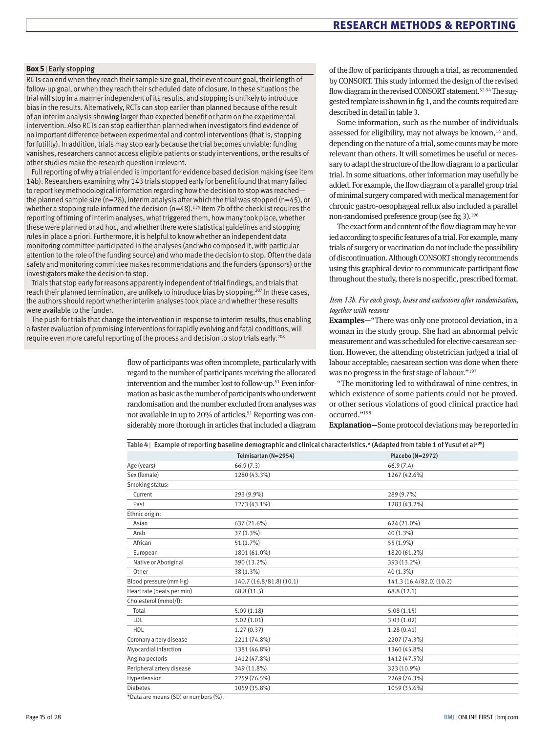# **Box 5** | Early stopping

RCTs can end when they reach their sample size goal, their event count goal, their length of follow-up goal, or when they reach their scheduled date of closure. In these situations the trial will stop in a manner independent of its results, and stopping is unlikely to introduce bias in the results. Alternatively, RCTs can stop earlier than planned because of the result of an interim analysis showing larger than expected benefit or harm on the experimental intervention. Also RCTs can stop earlier than planned when investigators find evidence of no important difference between experimental and control interventions (that is, stopping for futility). In addition, trials may stop early because the trial becomes unviable: funding vanishes, researchers cannot access eligible patients or study interventions, or the results of other studies make the research question irrelevant.

Full reporting of why a trial ended is important for evidence based decision making (see item 14b). Researchers examining why 143 trials stopped early for benefit found that many failed to report key methodological information regarding how the decision to stop was reached the planned sample size ( $n=28$ ), interim analysis after which the trial was stopped ( $n=45$ ), or whether a stopping rule informed the decision (n=48).<sup>134</sup> Item 7b of the checklist requires the reporting of timing of interim analyses, what triggered them, how many took place, whether these were planned or ad hoc, and whether there were statistical guidelines and stopping rules in place a priori. Furthermore, it is helpful to know whether an independent data monitoring committee participated in the analyses (and who composed it, with particular attention to the role of the funding source) and who made the decision to stop. Often the data safety and monitoring committee makes recommendations and the funders (sponsors) or the investigators make the decision to stop.

Trials that stop early for reasons apparently independent of trial findings, and trials that reach their planned termination, are unlikely to introduce bias by stopping.<sup>207</sup> In these cases, the authors should report whether interim analyses took place and whether these results were available to the funder.

The push for trials that change the intervention in response to interim results, thus enabling a faster evaluation of promising interventions for rapidly evolving and fatal conditions, will require even more careful reporting of the process and decision to stop trials early.<sup>208</sup>

> flow of participants was often incomplete, particularly with regard to the number of participants receiving the allocated intervention and the number lost to follow-up.<sup>51</sup> Even information as basic as the number of participants who underwent randomisation and the number excluded from analyses was not available in up to 20% of articles.<sup>51</sup> Reporting was considerably more thorough in articles that included a diagram

of the flow of participants through a trial, as recommended by CONSORT. This study informed the design of the revised flow diagram in the revised CONSORT statement.<sup>52-54</sup> The suggested template is shown in fig 1, and the counts required are described in detail in table 3.

Some information, such as the number of individuals assessed for eligibility, may not always be known, $14$  and, depending on the nature of a trial, some counts may be more relevant than others. It will sometimes be useful or necessary to adapt the structure of the flow diagram to a particular trial. In some situations, other information may usefully be added. For example, the flow diagram of a parallel group trial of minimal surgery compared with medical management for chronic gastro-oesophageal reflux also included a parallel non-randomised preference group (see fig 3).196

The exact form and content of the flow diagram may be varied according to specific features of a trial. For example, many trials of surgery or vaccination do not include the possibility of discontinuation. Although CONSORT strongly recommends using this graphical device to communicate participant flow throughout the study, there is no specific, prescribed format.

## *Item 13b. For each group, losses and exclusions after randomisation, together with reasons*

**Examples—**"There was only one protocol deviation, in a woman in the study group. She had an abnormal pelvic measurement and was scheduled for elective caesarean section. However, the attending obstetrician judged a trial of labour acceptable; caesarean section was done when there was no progress in the first stage of labour."197

"The monitoring led to withdrawal of nine centres, in which existence of some patients could not be proved, or other serious violations of good clinical practice had occurred."198

**Explanation—**Some protocol deviations may be reported in

| Table 4 Example of reporting baseline demographic and clinical characteristics.* (Adapted from table 1 of Yusuf et al <sup>209</sup> ) |                          |                          |  |  |
|----------------------------------------------------------------------------------------------------------------------------------------|--------------------------|--------------------------|--|--|
|                                                                                                                                        | Telmisartan (N=2954)     | Placebo (N=2972)         |  |  |
| Age (years)                                                                                                                            | 66.9(7.3)                | 66.9(7.4)                |  |  |
| Sex (female)                                                                                                                           | 1280 (43.3%)             | 1267 (42.6%)             |  |  |
| Smoking status:                                                                                                                        |                          |                          |  |  |
| Current                                                                                                                                | 293 (9.9%)               | 289 (9.7%)               |  |  |
| Past                                                                                                                                   | 1273 (43.1%)             | 1283 (43.2%)             |  |  |
| Ethnic origin:                                                                                                                         |                          |                          |  |  |
| Asian                                                                                                                                  | 637 (21.6%)              | 624 (21.0%)              |  |  |
| Arab                                                                                                                                   | 37 (1.3%)                | 40 (1.3%)                |  |  |
| African                                                                                                                                | 51 (1.7%)                | 55 (1.9%)                |  |  |
| European                                                                                                                               | 1801 (61.0%)             | 1820 (61.2%)             |  |  |
| Native or Aboriginal                                                                                                                   | 390 (13.2%)              | 393 (13.2%)              |  |  |
| Other                                                                                                                                  | 38 (1.3%)                | 40 (1.3%)                |  |  |
| Blood pressure (mm Hg)                                                                                                                 | 140.7 (16.8/81.8) (10.1) | 141.3 (16.4/82.0) (10.2) |  |  |
| Heart rate (beats per min)                                                                                                             | 68.8(11.5)               | 68.8(12.1)               |  |  |
| Cholesterol (mmol/l):                                                                                                                  |                          |                          |  |  |
| Total                                                                                                                                  | 5.09(1.18)               | 5.08(1.15)               |  |  |
| LDL                                                                                                                                    | 3.02(1.01)               | 3.03(1.02)               |  |  |
| HDL                                                                                                                                    | 1.27(0.37)               | 1.28(0.41)               |  |  |
| Coronary artery disease                                                                                                                | 2211 (74.8%)             | 2207 (74.3%)             |  |  |
| Myocardial infarction                                                                                                                  | 1381 (46.8%)             | 1360 (45.8%)             |  |  |
| Angina pectoris                                                                                                                        | 1412 (47.8%)             | 1412 (47.5%)             |  |  |
| Peripheral artery disease                                                                                                              | 349 (11.8%)              | 323 (10.9%)              |  |  |
| Hypertension                                                                                                                           | 2259 (76.5%)             | 2269 (76.3%)             |  |  |
| <b>Diabetes</b>                                                                                                                        | 1059 (35.8%)             | 1059 (35.6%)             |  |  |

\*Data are means (SD) or numbers (%).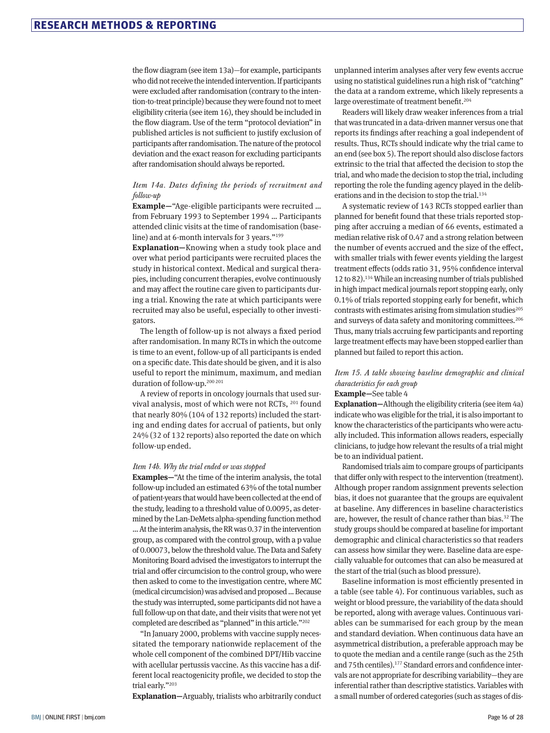the flow diagram (see item 13a)—for example, participants who did not receive the intended intervention. If participants were excluded after randomisation (contrary to the intention-to-treat principle) because they were found not to meet eligibility criteria (see item 16), they should be included in the flow diagram. Use of the term "protocol deviation" in published articles is not sufficient to justify exclusion of participants after randomisation. The nature of the protocol deviation and the exact reason for excluding participants after randomisation should always be reported.

# *Item 14a. Dates defining the periods of recruitment and follow-up*

**Example—**"Age-eligible participants were recruited … from February 1993 to September 1994 … Participants attended clinic visits at the time of randomisation (baseline) and at 6-month intervals for 3 years."199

**Explanation—**Knowing when a study took place and over what period participants were recruited places the study in historical context. Medical and surgical therapies, including concurrent therapies, evolve continuously and may affect the routine care given to participants during a trial. Knowing the rate at which participants were recruited may also be useful, especially to other investigators.

The length of follow-up is not always a fixed period after randomisation. In many RCTs in which the outcome is time to an event, follow-up of all participants is ended on a specific date. This date should be given, and it is also useful to report the minimum, maximum, and median duration of follow-up.200 <sup>201</sup>

A review of reports in oncology journals that used survival analysis, most of which were not RCTs, 201 found that nearly 80% (104 of 132 reports) included the starting and ending dates for accrual of patients, but only 24% (32 of 132 reports) also reported the date on which follow-up ended.

#### *Item 14b. Why the trial ended or was stopped*

**Examples—**"At the time of the interim analysis, the total follow-up included an estimated 63% of the total number of patient-years that would have been collected at the end of the study, leading to a threshold value of 0.0095, as determined by the Lan-DeMets alpha-spending function method … At the interim analysis, the RR was 0.37 in the intervention group, as compared with the control group, with a p value of 0.00073, below the threshold value. The Data and Safety Monitoring Board advised the investigators to interrupt the trial and offer circumcision to the control group, who were then asked to come to the investigation centre, where MC (medical circumcision) was advised and proposed … Because the study was interrupted, some participants did not have a full follow-up on that date, and their visits that were not yet completed are described as "planned" in this article."202

"In January 2000, problems with vaccine supply necessitated the temporary nationwide replacement of the whole cell component of the combined DPT/Hib vaccine with acellular pertussis vaccine. As this vaccine has a different local reactogenicity profile, we decided to stop the trial early."203

**Explanation—**Arguably, trialists who arbitrarily conduct

unplanned interim analyses after very few events accrue using no statistical guidelines run a high risk of "catching" the data at a random extreme, which likely represents a large overestimate of treatment benefit.<sup>204</sup>

Readers will likely draw weaker inferences from a trial that was truncated in a data-driven manner versus one that reports its findings after reaching a goal independent of results. Thus, RCTs should indicate why the trial came to an end (see box 5). The report should also disclose factors extrinsic to the trial that affected the decision to stop the trial, and who made the decision to stop the trial, including reporting the role the funding agency played in the deliberations and in the decision to stop the trial.<sup>134</sup>

A systematic review of 143 RCTs stopped earlier than planned for benefit found that these trials reported stopping after accruing a median of 66 events, estimated a median relative risk of 0.47 and a strong relation between the number of events accrued and the size of the effect, with smaller trials with fewer events yielding the largest treatment effects (odds ratio 31, 95% confidence interval 12 to 82).134 While an increasing number of trials published in high impact medical journals report stopping early, only 0.1% of trials reported stopping early for benefit, which contrasts with estimates arising from simulation studies $^{205}$ and surveys of data safety and monitoring committees.<sup>206</sup> Thus, many trials accruing few participants and reporting large treatment effects may have been stopped earlier than planned but failed to report this action.

# *Item 15. A table showing baseline demographic and clinical characteristics for each group*

**Example—**See table 4

**Explanation—**Although the eligibility criteria (see item 4a) indicate who was eligible for the trial, it is also important to know the characteristics of the participants who were actually included. This information allows readers, especially clinicians, to judge how relevant the results of a trial might be to an individual patient.

Randomised trials aim to compare groups of participants that differ only with respect to the intervention (treatment). Although proper random assignment prevents selection bias, it does not guarantee that the groups are equivalent at baseline. Any differences in baseline characteristics are, however, the result of chance rather than bias.<sup>32</sup> The study groups should be compared at baseline for important demographic and clinical characteristics so that readers can assess how similar they were. Baseline data are especially valuable for outcomes that can also be measured at the start of the trial (such as blood pressure).

Baseline information is most efficiently presented in a table (see table 4). For continuous variables, such as weight or blood pressure, the variability of the data should be reported, along with average values. Continuous variables can be summarised for each group by the mean and standard deviation. When continuous data have an asymmetrical distribution, a preferable approach may be to quote the median and a centile range (such as the 25th and 75th centiles).177 Standard errors and confidence intervals are not appropriate for describing variability—they are inferential rather than descriptive statistics. Variables with a small number of ordered categories (such as stages of dis-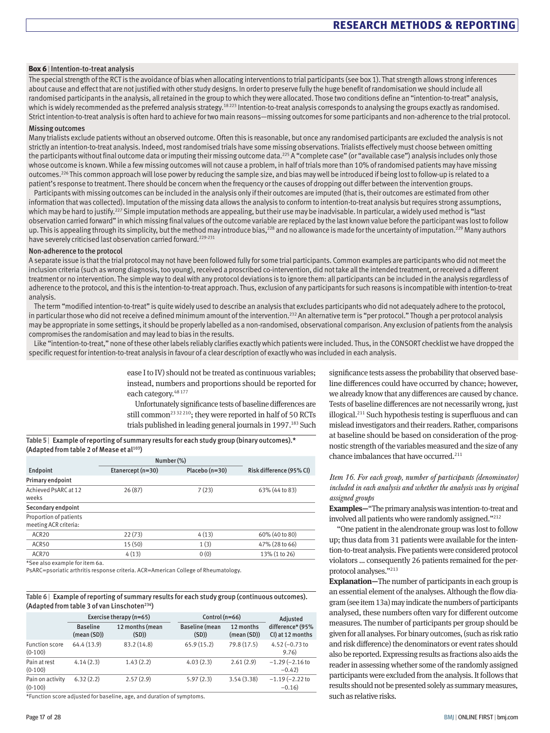#### **Box 6** | Intention-to-treat analysis

The special strength of the RCT is the avoidance of bias when allocating interventions to trial participants (see box 1). That strength allows strong inferences about cause and effect that are not justified with other study designs. In order to preserve fully the huge benefit of randomisation we should include all randomised participants in the analysis, all retained in the group to which they were allocated. Those two conditions define an "intention-to-treat" analysis, which is widely recommended as the preferred analysis strategy.<sup>18223</sup> Intention-to-treat analysis corresponds to analysing the groups exactly as randomised. Strict intention-to-treat analysis is often hard to achieve for two main reasons—missing outcomes for some participants and non-adherence to the trial protocol.

#### Missing outcomes

Many trialists exclude patients without an observed outcome. Often this is reasonable, but once any randomised participants are excluded the analysis is not strictly an intention-to-treat analysis. Indeed, most randomised trials have some missing observations. Trialists effectively must choose between omitting the participants without final outcome data or imputing their missing outcome data.<sup>225</sup> A "complete case" (or "available case") analysis includes only those whose outcome is known. While a few missing outcomes will not cause a problem, in half of trials more than 10% of randomised patients may have missing outcomes.226 This common approach will lose power by reducing the sample size, and bias may well be introduced if being lost to follow-up is related to a patient's response to treatment. There should be concern when the frequency or the causes of dropping out differ between the intervention groups.

Participants with missing outcomes can be included in the analysis only if their outcomes are imputed (that is, their outcomes are estimated from other information that was collected). Imputation of the missing data allows the analysis to conform to intention-to-treat analysis but requires strong assumptions, which may be hard to justify.<sup>227</sup> Simple imputation methods are appealing, but their use may be inadvisable. In particular, a widely used method is "last observation carried forward" in which missing final values of the outcome variable are replaced by the last known value before the participant was lost to follow up. This is appealing through its simplicity, but the method may introduce bias,  $^{228}$  and no allowance is made for the uncertainty of imputation.  $^{229}$  Many authors have severely criticised last observation carried forward.<sup>229-231</sup>

#### Non-adherence to the protocol

A separate issue is that the trial protocol may not have been followed fully for some trial participants. Common examples are participants who did not meet the inclusion criteria (such as wrong diagnosis, too young), received a proscribed co-intervention, did not take all the intended treatment, or received a different treatment or no intervention. The simple way to deal with any protocol deviations is to ignore them: all participants can be included in the analysis regardless of adherence to the protocol, and this is the intention-to-treat approach. Thus, exclusion of any participants for such reasons is incompatible with intention-to-treat analysis.

The term "modified intention-to-treat" is quite widely used to describe an analysis that excludes participants who did not adequately adhere to the protocol, in particular those who did not receive a defined minimum amount of the intervention.<sup>232</sup> An alternative term is "per protocol." Though a per protocol analysis may be appropriate in some settings, it should be properly labelled as a non-randomised, observational comparison. Any exclusion of patients from the analysis compromises the randomisation and may lead to bias in the results.

Like "intention-to-treat," none of these other labels reliably clarifies exactly which patients were included. Thus, in the CONSORT checklist we have dropped the specific request for intention-to-treat analysis in favour of a clear description of exactly who was included in each analysis.

> ease I to IV) should not be treated as continuous variables; instead, numbers and proportions should be reported for each category.  $48177$

> Unfortunately significance tests of baseline differences are still common<sup>23 32 210</sup>; they were reported in half of 50 RCTs trials published in leading general journals in 1997. 183 Such

**Table 5** | Example of reporting of summary results for each study group (binary outcomes).\* (Adapted from table 2 of Mease et al $^{103}$ )

| Endpoint                                        | Etanercept $(n=30)$ | Placebo $(n=30)$ | Risk difference (95% CI) |
|-------------------------------------------------|---------------------|------------------|--------------------------|
| Primary endpoint                                |                     |                  |                          |
| Achieved PsARC at 12<br>weeks                   | 26(87)              | 7(23)            | 63% (44 to 83)           |
| Secondary endpoint                              |                     |                  |                          |
| Proportion of patients<br>meeting ACR criteria: |                     |                  |                          |
| ACR <sub>20</sub>                               | 22(73)              | 4(13)            | 60% (40 to 80)           |
| ACR50                                           | 15(50)              | 1(3)             | 47% (28 to 66)           |
| ACR70                                           | 4(13)               | 0(0)             | 13% (1 to 26)            |
|                                                 |                     |                  |                          |

\*See also example for item 6a.

PsARC=psoriatic arthritis response criteria. ACR=American College of Rheumatology.

#### **Table 6** | Example of reporting of summary results for each study group (continuous outcomes). (Adapted from table 3 of van Linschoten<sup>234</sup>)

|                               | Exercise therapy $(n=65)$      |                         |                               | Control ( $n=66$ )      |                                                  |
|-------------------------------|--------------------------------|-------------------------|-------------------------------|-------------------------|--------------------------------------------------|
|                               | <b>Baseline</b><br>(mean (SD)) | 12 months (mean<br>(SD) | <b>Baseline</b> (mean<br>(SD) | 12 months<br>(mean(SD)) | Adjusted<br>difference* (95%<br>CI) at 12 months |
| Function score<br>$(0-100)$   | 64.4 (13.9)                    | 83.2 (14.8)             | 65.9(15.2)                    | 79.8 (17.5)             | 4.52 $(-0.73)$<br>9.76                           |
| Pain at rest<br>$(0-100)$     | 4.14(2.3)                      | 1.43(2.2)               | 4.03(2.3)                     | 2.61(2.9)               | $-1.29(-2.16$ to<br>$-0.42$                      |
| Pain on activity<br>$(0-100)$ | 6.32(2.2)                      | 2.57(2.9)               | 5.97(2.3)                     | 3.54(3.38)              | $-1.19(-2.22$ to<br>$-0.16$                      |

\*Function score adjusted for baseline, age, and duration of symptoms.

significance tests assess the probability that observed baseline differences could have occurred by chance; however, we already know that any differences are caused by chance. Tests of baseline differences are not necessarily wrong, just illogical.211 Such hypothesis testing is superfluous and can mislead investigators and their readers. Rather, comparisons at baseline should be based on consideration of the prognostic strength of the variables measured and the size of any chance imbalances that have occurred.<sup>211</sup>

# *Item 16. For each group, number of participants (denominator) included in each analysis and whether the analysis was by original assigned groups*

**Examples—**"The primary analysis was intention-to-treat and involved all patients who were randomly assigned."212

"One patient in the alendronate group was lost to follow up; thus data from 31 patients were available for the intention-to-treat analysis. Five patients were considered protocol violators … consequently 26 patients remained for the perprotocol analyses."213

**Explanation—**The number of participants in each group is an essential element of the analyses. Although the flow diagram (see item 13a) may indicate the numbers of participants analysed, these numbers often vary for different outcome measures. The number of participants per group should be given for all analyses. For binary outcomes, (such as risk ratio and risk difference) the denominators or event rates should also be reported. Expressing results as fractions also aids the reader in assessing whether some of the randomly assigned participants were excluded from the analysis. It follows that results should not be presented solely as summary measures, such as relative risks.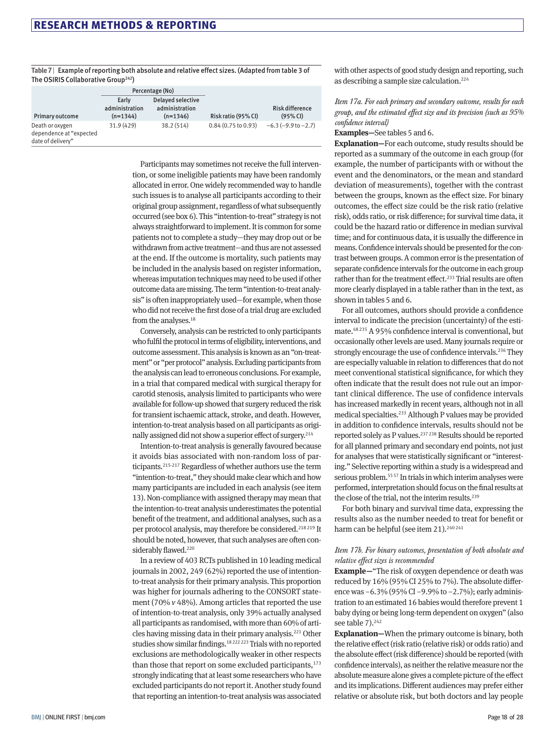| Table 7   Example of reporting both absolute and relative effect sizes. (Adapted from table 3 of |
|--------------------------------------------------------------------------------------------------|
| The OSIRIS Collaborative Group <sup>242</sup> )                                                  |

|                                                                 | Percentage (No)                       |                                                   |                               |                             |
|-----------------------------------------------------------------|---------------------------------------|---------------------------------------------------|-------------------------------|-----------------------------|
| <b>Primary outcome</b>                                          | Early<br>administration<br>$(n=1344)$ | Delayed selective<br>administration<br>$(n=1346)$ | Risk ratio (95% CI)           | Risk difference<br>(95% CI) |
| Death or oxygen<br>dependence at "expected<br>date of delivery" | 31.9(429)                             | 38.2 (514)                                        | $0.84(0.75 \text{ to } 0.93)$ | $-6.3$ ( $-9.9$ to $-2.7$ ) |

Participants may sometimes not receive the full intervention, or some ineligible patients may have been randomly allocated in error. One widely recommended way to handle such issues is to analyse all participants according to their original group assignment, regardless of what subsequently occurred (see box 6). This "intention-to-treat" strategy is not always straightforward to implement. It is common for some patients not to complete a study—they may drop out or be withdrawn from active treatment—and thus are not assessed at the end. If the outcome is mortality, such patients may be included in the analysis based on register information, whereas imputation techniques may need to be used if other outcome data are missing. The term "intention-to-treat analysis" is often inappropriately used—for example, when those who did not receive the first dose of a trial drug are excluded from the analyses.18

Conversely, analysis can be restricted to only participants who fulfil the protocol in terms of eligibility, interventions, and outcome assessment. This analysis is known as an "on-treatment" or "per protocol" analysis. Excluding participants from the analysis can lead to erroneous conclusions. For example, in a trial that compared medical with surgical therapy for carotid stenosis, analysis limited to participants who were available for follow-up showed that surgery reduced the risk for transient ischaemic attack, stroke, and death. However, intention-to-treat analysis based on all participants as originally assigned did not show a superior effect of surgery.<sup>214</sup>

Intention-to-treat analysis is generally favoured because it avoids bias associated with non-random loss of participants.<sup>215-217</sup> Regardless of whether authors use the term "intention-to-treat," they should make clear which and how many participants are included in each analysis (see item 13). Non-compliance with assigned therapy may mean that the intention-to-treat analysis underestimates the potential benefit of the treatment, and additional analyses, such as a per protocol analysis, may therefore be considered.<sup>218 219</sup> It should be noted, however, that such analyses are often considerably flawed.<sup>220</sup>

In a review of 403 RCTs published in 10 leading medical journals in 2002, 249 (62%) reported the use of intentionto-treat analysis for their primary analysis. This proportion was higher for journals adhering to the CONSORT statement (70% *v* 48%). Among articles that reported the use of intention-to-treat analysis, only 39% actually analysed all participants as randomised, with more than 60% of articles having missing data in their primary analysis.221 Other studies show similar findings.18 <sup>222</sup> 223 Trials with no reported exclusions are methodologically weaker in other respects than those that report on some excluded participants, $173$ strongly indicating that at least some researchers who have excluded participants do not report it. Another study found that reporting an intention-to-treat analysis was associated with other aspects of good study design and reporting, such as describing a sample size calculation.<sup>224</sup>

*Item 17a. For each primary and secondary outcome, results for each group, and the estimated effect size and its precision (such as 95% confidence interval)*

**Examples—**See tables 5 and 6.

**Explanation—**For each outcome, study results should be reported as a summary of the outcome in each group (for example, the number of participants with or without the event and the denominators, or the mean and standard deviation of measurements), together with the contrast between the groups, known as the effect size. For binary outcomes, the effect size could be the risk ratio (relative risk), odds ratio, or risk difference; for survival time data, it could be the hazard ratio or difference in median survival time; and for continuous data, it is usually the difference in means. Confidence intervals should be presented for the contrast between groups. A common error is the presentation of separate confidence intervals for the outcome in each group rather than for the treatment effect.<sup>233</sup> Trial results are often more clearly displayed in a table rather than in the text, as shown in tables 5 and 6.

For all outcomes, authors should provide a confidence interval to indicate the precision (uncertainty) of the estimate.48 235 A 95% confidence interval is conventional, but occasionally other levels are used. Many journals require or strongly encourage the use of confidence intervals.<sup>236</sup> They are especially valuable in relation to differences that do not meet conventional statistical significance, for which they often indicate that the result does not rule out an important clinical difference. The use of confidence intervals has increased markedly in recent years, although not in all medical specialties.233 Although P values may be provided in addition to confidence intervals, results should not be reported solely as P values.237 238 Results should be reported for all planned primary and secondary end points, not just for analyses that were statistically significant or "interesting." Selective reporting within a study is a widespread and serious problem.5557 In trials in which interim analyses were performed, interpretation should focus on the final results at the close of the trial, not the interim results.<sup>239</sup>

For both binary and survival time data, expressing the results also as the number needed to treat for benefit or harm can be helpful (see item 21).<sup>240 241</sup>

#### *Item 17b. For binary outcomes, presentation of both absolute and relative effect sizes is recommended*

**Example—**"The risk of oxygen dependence or death was reduced by 16% (95% CI 25% to 7%). The absolute difference was −6.3% (95% CI −9.9% to −2.7%); early administration to an estimated 16 babies would therefore prevent 1 baby dying or being long-term dependent on oxygen" (also see table 7).<sup>242</sup>

**Explanation—**When the primary outcome is binary, both the relative effect (risk ratio (relative risk) or odds ratio) and the absolute effect (risk difference) should be reported (with confidence intervals), as neither the relative measure nor the absolute measure alone gives a complete picture of the effect and its implications. Different audiences may prefer either relative or absolute risk, but both doctors and lay people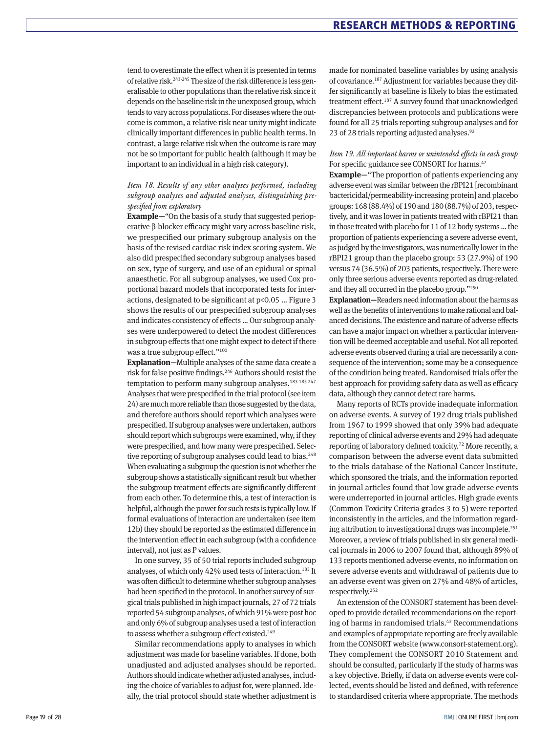tend to overestimate the effect when it is presented in terms of relative risk.<sup>243-245</sup> The size of the risk difference is less generalisable to other populations than the relative risk since it depends on the baseline risk in the unexposed group, which tends to vary across populations. For diseases where the outcome is common, a relative risk near unity might indicate clinically important differences in public health terms. In contrast, a large relative risk when the outcome is rare may not be so important for public health (although it may be important to an individual in a high risk category).

# *Item 18. Results of any other analyses performed, including subgroup analyses and adjusted analyses, distinguishing prespecified from exploratory*

**Example—**"On the basis of a study that suggested perioperative  $\beta$ -blocker efficacy might vary across baseline risk, we prespecified our primary subgroup analysis on the basis of the revised cardiac risk index scoring system. We also did prespecified secondary subgroup analyses based on sex, type of surgery, and use of an epidural or spinal anaesthetic. For all subgroup analyses, we used Cox proportional hazard models that incorporated tests for interactions, designated to be significant at p<0.05 … Figure 3 shows the results of our prespecified subgroup analyses and indicates consistency of effects … Our subgroup analyses were underpowered to detect the modest differences in subgroup effects that one might expect to detect if there was a true subgroup effect."100

**Explanation—**Multiple analyses of the same data create a risk for false positive findings.<sup>246</sup> Authors should resist the temptation to perform many subgroup analyses. $183 185 247$ Analyses that were prespecified in the trial protocol (see item 24) are much more reliable than those suggested by the data, and therefore authors should report which analyses were prespecified. If subgroup analyses were undertaken, authors should report which subgroups were examined, why, if they were prespecified, and how many were prespecified. Selective reporting of subgroup analyses could lead to bias.<sup>248</sup> When evaluating a subgroup the question is not whether the subgroup shows a statistically significant result but whether the subgroup treatment effects are significantly different from each other. To determine this, a test of interaction is helpful, although the power for such tests is typically low. If formal evaluations of interaction are undertaken (see item 12b) they should be reported as the estimated difference in the intervention effect in each subgroup (with a confidence interval), not just as P values.

In one survey, 35 of 50 trial reports included subgroup analyses, of which only 42% used tests of interaction.<sup>183</sup> It was often difficult to determine whether subgroup analyses had been specified in the protocol. In another survey of surgical trials published in high impact journals, 27 of 72 trials reported 54 subgroup analyses, of which 91% were post hoc and only 6% of subgroup analyses used a test of interaction to assess whether a subgroup effect existed.<sup>249</sup>

Similar recommendations apply to analyses in which adjustment was made for baseline variables. If done, both unadjusted and adjusted analyses should be reported. Authors should indicate whether adjusted analyses, including the choice of variables to adjust for, were planned. Ideally, the trial protocol should state whether adjustment is made for nominated baseline variables by using analysis of covariance.187 Adjustment for variables because they differ significantly at baseline is likely to bias the estimated treatment effect.187 A survey found that unacknowledged discrepancies between protocols and publications were found for all 25 trials reporting subgroup analyses and for 23 of 28 trials reporting adjusted analyses.<sup>92</sup>

# *Item 19. All important harms or unintended effects in each group* For specific guidance see CONSORT for harms.<sup>42</sup>

**Example—**"The proportion of patients experiencing any adverse event was similar between the rBPI21 [recombinant bactericidal/permeability-increasing protein] and placebo groups: 168 (88.4%) of 190 and 180 (88.7%) of 203, respectively, and it was lower in patients treated with rBPI21 than in those treated with placebo for 11 of 12 body systems … the proportion of patients experiencing a severe adverse event, as judged by the investigators, was numerically lower in the rBPI21 group than the placebo group: 53 (27.9%) of 190 versus 74 (36.5%) of 203 patients, respectively. There were only three serious adverse events reported as drug-related and they all occurred in the placebo group."250

**Explanation—**Readers need information about the harms as well as the benefits of interventions to make rational and balanced decisions. The existence and nature of adverse effects can have a major impact on whether a particular intervention will be deemed acceptable and useful. Not all reported adverse events observed during a trial are necessarily a consequence of the intervention; some may be a consequence of the condition being treated. Randomised trials offer the best approach for providing safety data as well as efficacy data, although they cannot detect rare harms.

Many reports of RCTs provide inadequate information on adverse events. A survey of 192 drug trials published from 1967 to 1999 showed that only 39% had adequate reporting of clinical adverse events and 29% had adequate reporting of laboratory defined toxicity.72 More recently, a comparison between the adverse event data submitted to the trials database of the National Cancer Institute, which sponsored the trials, and the information reported in journal articles found that low grade adverse events were underreported in journal articles. High grade events (Common Toxicity Criteria grades 3 to 5) were reported inconsistently in the articles, and the information regarding attribution to investigational drugs was incomplete.<sup>251</sup> Moreover, a review of trials published in six general medical journals in 2006 to 2007 found that, although 89% of 133 reports mentioned adverse events, no information on severe adverse events and withdrawal of patients due to an adverse event was given on 27% and 48% of articles, respectively.252

An extension of the CONSORT statement has been developed to provide detailed recommendations on the reporting of harms in randomised trials.<sup>42</sup> Recommendations and examples of appropriate reporting are freely available from the CONSORT website (www.consort-statement.org). They complement the CONSORT 2010 Statement and should be consulted, particularly if the study of harms was a key objective. Briefly, if data on adverse events were collected, events should be listed and defined, with reference to standardised criteria where appropriate. The methods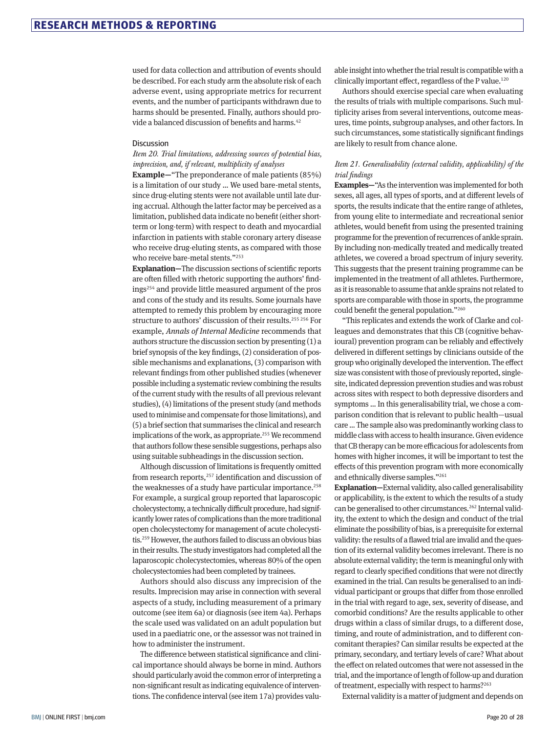used for data collection and attribution of events should be described. For each study arm the absolute risk of each adverse event, using appropriate metrics for recurrent events, and the number of participants withdrawn due to harms should be presented. Finally, authors should provide a balanced discussion of benefits and harms.<sup>42</sup>

#### **Discussion**

#### *Item 20. Trial limitations, addressing sources of potential bias, imprecision, and, if relevant, multiplicity of analyses*

**Example—**"The preponderance of male patients (85%) is a limitation of our study … We used bare-metal stents, since drug-eluting stents were not available until late during accrual. Although the latter factor may be perceived as a limitation, published data indicate no benefit (either shortterm or long-term) with respect to death and myocardial infarction in patients with stable coronary artery disease who receive drug-eluting stents, as compared with those who receive bare-metal stents."253

**Explanation—**The discussion sections of scientific reports are often filled with rhetoric supporting the authors' findings254 and provide little measured argument of the pros and cons of the study and its results. Some journals have attempted to remedy this problem by encouraging more structure to authors' discussion of their results.255 256 For example, *Annals of Internal Medicine* recommends that authors structure the discussion section by presenting (1) a brief synopsis of the key findings, (2) consideration of possible mechanisms and explanations, (3) comparison with relevant findings from other published studies (whenever possible including a systematic review combining the results of the current study with the results of all previous relevant studies), (4) limitations of the present study (and methods used to minimise and compensate for those limitations), and (5) a brief section that summarises the clinical and research implications of the work, as appropriate. $255$  We recommend that authors follow these sensible suggestions, perhaps also using suitable subheadings in the discussion section.

Although discussion of limitations is frequently omitted from research reports,<sup>257</sup> identification and discussion of the weaknesses of a study have particular importance.<sup>258</sup> For example, a surgical group reported that laparoscopic cholecystectomy, a technically difficult procedure, had significantly lower rates of complications than the more traditional open cholecystectomy for management of acute cholecystitis.259 However, the authors failed to discuss an obvious bias in their results. The study investigators had completed all the laparoscopic cholecystectomies, whereas 80% of the open cholecystectomies had been completed by trainees.

Authors should also discuss any imprecision of the results. Imprecision may arise in connection with several aspects of a study, including measurement of a primary outcome (see item 6a) or diagnosis (see item 4a). Perhaps the scale used was validated on an adult population but used in a paediatric one, or the assessor was not trained in how to administer the instrument.

The difference between statistical significance and clinical importance should always be borne in mind. Authors should particularly avoid the common error of interpreting a non-significant result as indicating equivalence of interventions. The confidence interval (see item 17a) provides valuable insight into whether the trial result is compatible with a clinically important effect, regardless of the P value.<sup>120</sup>

Authors should exercise special care when evaluating the results of trials with multiple comparisons. Such multiplicity arises from several interventions, outcome measures, time points, subgroup analyses, and other factors. In such circumstances, some statistically significant findings are likely to result from chance alone.

#### *Item 21. Generalisability (external validity, applicability) of the trial findings*

**Examples—**"As the intervention was implemented for both sexes, all ages, all types of sports, and at different levels of sports, the results indicate that the entire range of athletes, from young elite to intermediate and recreational senior athletes, would benefit from using the presented training programme for the prevention of recurrences of ankle sprain. By including non-medically treated and medically treated athletes, we covered a broad spectrum of injury severity. This suggests that the present training programme can be implemented in the treatment of all athletes. Furthermore, as it is reasonable to assume that ankle sprains not related to sports are comparable with those in sports, the programme could benefit the general population."260

"This replicates and extends the work of Clarke and colleagues and demonstrates that this CB (cognitive behavioural) prevention program can be reliably and effectively delivered in different settings by clinicians outside of the group who originally developed the intervention. The effect size was consistent with those of previously reported, singlesite, indicated depression prevention studies and was robust across sites with respect to both depressive disorders and symptoms … In this generalisability trial, we chose a comparison condition that is relevant to public health—usual care … The sample also was predominantly working class to middle class with access to health insurance. Given evidence that CB therapy can be more efficacious for adolescents from homes with higher incomes, it will be important to test the effects of this prevention program with more economically and ethnically diverse samples."261

**Explanation—**External validity, also called generalisability or applicability, is the extent to which the results of a study can be generalised to other circumstances.<sup>262</sup> Internal validity, the extent to which the design and conduct of the trial eliminate the possibility of bias, is a prerequisite for external validity: the results of a flawed trial are invalid and the question of its external validity becomes irrelevant. There is no absolute external validity; the term is meaningful only with regard to clearly specified conditions that were not directly examined in the trial. Can results be generalised to an individual participant or groups that differ from those enrolled in the trial with regard to age, sex, severity of disease, and comorbid conditions? Are the results applicable to other drugs within a class of similar drugs, to a different dose, timing, and route of administration, and to different concomitant therapies? Can similar results be expected at the primary, secondary, and tertiary levels of care? What about the effect on related outcomes that were not assessed in the trial, and the importance of length of follow-up and duration of treatment, especially with respect to harms?<sup>263</sup>

External validity is a matter of judgment and depends on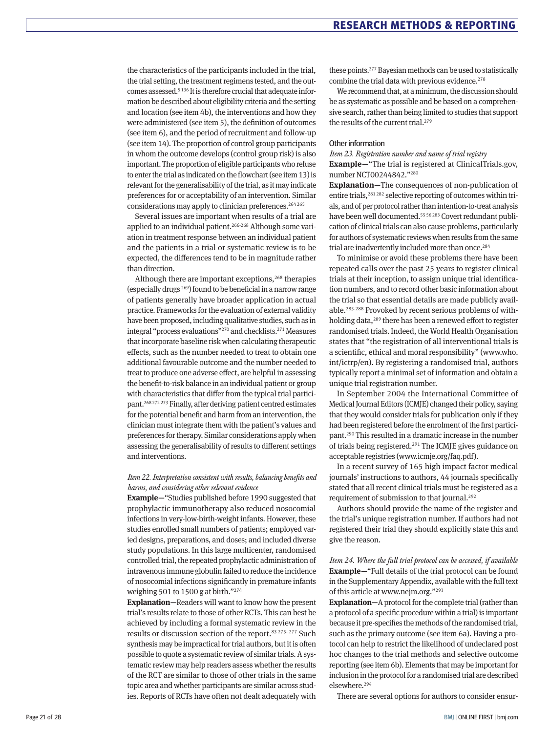the characteristics of the participants included in the trial, the trial setting, the treatment regimens tested, and the outcomes assessed.5136 It is therefore crucial that adequate information be described about eligibility criteria and the setting and location (see item 4b), the interventions and how they were administered (see item 5), the definition of outcomes (see item 6), and the period of recruitment and follow-up (see item 14). The proportion of control group participants in whom the outcome develops (control group risk) is also important. The proportion of eligible participants who refuse to enter the trial as indicated on the flowchart (see item 13) is relevant for the generalisability of the trial, as it may indicate preferences for or acceptability of an intervention. Similar considerations may apply to clinician preferences.<sup>264 265</sup>

Several issues are important when results of a trial are applied to an individual patient.266-268 Although some variation in treatment response between an individual patient and the patients in a trial or systematic review is to be expected, the differences tend to be in magnitude rather than direction.

Although there are important exceptions, $268$  therapies (especially drugs 269) found to be beneficial in a narrow range of patients generally have broader application in actual practice. Frameworks for the evaluation of external validity have been proposed, including qualitative studies, such as in integral "process evaluations"270 and checklists.271 Measures that incorporate baseline risk when calculating therapeutic effects, such as the number needed to treat to obtain one additional favourable outcome and the number needed to treat to produce one adverse effect, are helpful in assessing the benefit-to-risk balance in an individual patient or group with characteristics that differ from the typical trial participant.268 <sup>272</sup> 273 Finally, after deriving patient centred estimates for the potential benefit and harm from an intervention, the clinician must integrate them with the patient's values and preferences for therapy. Similar considerations apply when assessing the generalisability of results to different settings and interventions.

#### *Item 22. Interpretation consistent with results, balancing benefits and harms, and considering other relevant evidence*

**Example—**"Studies published before 1990 suggested that prophylactic immunotherapy also reduced nosocomial infections in very-low-birth-weight infants. However, these studies enrolled small numbers of patients; employed varied designs, preparations, and doses; and included diverse study populations. In this large multicenter, randomised controlled trial, the repeated prophylactic administration of intravenous immune globulin failed to reduce the incidence of nosocomial infections significantly in premature infants weighing 501 to 1500 g at birth."274

**Explanation—**Readers will want to know how the present trial's results relate to those of other RCTs. This can best be achieved by including a formal systematic review in the results or discussion section of the report.<sup>83 275- 277</sup> Such synthesis may be impractical for trial authors, but it is often possible to quote a systematic review of similar trials. A systematic review may help readers assess whether the results of the RCT are similar to those of other trials in the same topic area and whether participants are similar across studies. Reports of RCTs have often not dealt adequately with

these points.277 Bayesian methods can be used to statistically combine the trial data with previous evidence. $278$ 

We recommend that, at a minimum, the discussion should be as systematic as possible and be based on a comprehensive search, rather than being limited to studies that support the results of the current trial.<sup>279</sup>

#### Other information

#### *Item 23. Registration number and name of trial registry* **Example—**"The trial is registered at ClinicalTrials.gov, number NCT00244842."280

**Explanation—**The consequences of non-publication of entire trials, <sup>281 282</sup> selective reporting of outcomes within trials, and of per protocol rather than intention-to-treat analysis have been well documented.<sup>55 56 283</sup> Covert redundant publication of clinical trials can also cause problems, particularly for authors of systematic reviews when results from the same trial are inadvertently included more than once.<sup>284</sup>

To minimise or avoid these problems there have been repeated calls over the past 25 years to register clinical trials at their inception, to assign unique trial identification numbers, and to record other basic information about the trial so that essential details are made publicly available.285-288 Provoked by recent serious problems of withholding data,<sup>289</sup> there has been a renewed effort to register randomised trials. Indeed, the World Health Organisation states that "the registration of all interventional trials is a scientific, ethical and moral responsibility" (www.who. int/ictrp/en). By registering a randomised trial, authors typically report a minimal set of information and obtain a unique trial registration number.

In September 2004 the International Committee of Medical Journal Editors (ICMJE) changed their policy, saying that they would consider trials for publication only if they had been registered before the enrolment of the first participant.290 This resulted in a dramatic increase in the number of trials being registered.291 The ICMJE gives guidance on acceptable registries (www.icmje.org/faq.pdf).

In a recent survey of 165 high impact factor medical journals' instructions to authors, 44 journals specifically stated that all recent clinical trials must be registered as a requirement of submission to that journal.292

Authors should provide the name of the register and the trial's unique registration number. If authors had not registered their trial they should explicitly state this and give the reason.

*Item 24. Where the full trial protocol can be accessed, if available* **Example—**"Full details of the trial protocol can be found in the Supplementary Appendix, available with the full text of this article at www.nejm.org."293

**Explanation—**A protocol for the complete trial (rather than a protocol of a specific procedure within a trial) is important because it pre-specifies the methods of the randomised trial, such as the primary outcome (see item 6a). Having a protocol can help to restrict the likelihood of undeclared post hoc changes to the trial methods and selective outcome reporting (see item 6b). Elements that may be important for inclusion in the protocol for a randomised trial are described elsewhere.294

There are several options for authors to consider ensur-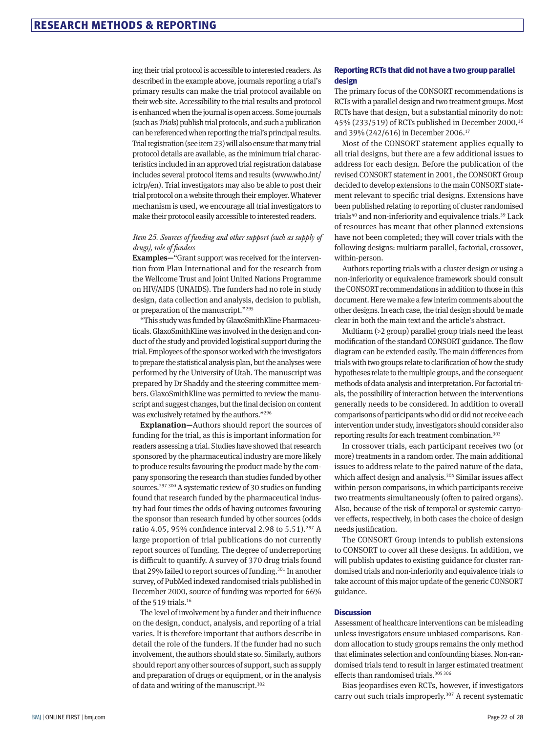ing their trial protocol is accessible to interested readers. As described in the example above, journals reporting a trial's primary results can make the trial protocol available on their web site. Accessibility to the trial results and protocol is enhanced when the journal is open access. Some journals (such as *Trials*) publish trial protocols, and such a publication can be referenced when reporting the trial's principal results. Trial registration (see item 23) will also ensure that many trial protocol details are available, as the minimum trial characteristics included in an approved trial registration database includes several protocol items and results (www.who.int/ ictrp/en). Trial investigators may also be able to post their trial protocol on a website through their employer. Whatever mechanism is used, we encourage all trial investigators to make their protocol easily accessible to interested readers.

# *Item 25. Sources of funding and other support (such as supply of drugs), role of funders*

**Examples—**"Grant support was received for the intervention from Plan International and for the research from the Wellcome Trust and Joint United Nations Programme on HIV/AIDS (UNAIDS). The funders had no role in study design, data collection and analysis, decision to publish, or preparation of the manuscript."295

"This study was funded by GlaxoSmithKline Pharmaceuticals. GlaxoSmithKline was involved in the design and conduct of the study and provided logistical support during the trial. Employees of the sponsor worked with the investigators to prepare the statistical analysis plan, but the analyses were performed by the University of Utah. The manuscript was prepared by Dr Shaddy and the steering committee members. GlaxoSmithKline was permitted to review the manuscript and suggest changes, but the final decision on content was exclusively retained by the authors."296

**Explanation—**Authors should report the sources of funding for the trial, as this is important information for readers assessing a trial. Studies have showed that research sponsored by the pharmaceutical industry are more likely to produce results favouring the product made by the company sponsoring the research than studies funded by other sources.297-300 A systematic review of 30 studies on funding found that research funded by the pharmaceutical industry had four times the odds of having outcomes favouring the sponsor than research funded by other sources (odds ratio 4.05, 95% confidence interval 2.98 to 5.51).<sup>297</sup> A large proportion of trial publications do not currently report sources of funding. The degree of underreporting is difficult to quantify. A survey of 370 drug trials found that 29% failed to report sources of funding.<sup>301</sup> In another survey, of PubMed indexed randomised trials published in December 2000, source of funding was reported for 66% of the 519 trials.<sup>16</sup>

The level of involvement by a funder and their influence on the design, conduct, analysis, and reporting of a trial varies. It is therefore important that authors describe in detail the role of the funders. If the funder had no such involvement, the authors should state so. Similarly, authors should report any other sources of support, such as supply and preparation of drugs or equipment, or in the analysis of data and writing of the manuscript.<sup>302</sup>

# **Reporting RCTs that did not have a two group parallel design**

The primary focus of the CONSORT recommendations is RCTs with a parallel design and two treatment groups. Most RCTs have that design, but a substantial minority do not: 45% (233/519) of RCTs published in December 2000,<sup>16</sup> and 39% (242/616) in December 2006. 17

Most of the CONSORT statement applies equally to all trial designs, but there are a few additional issues to address for each design. Before the publication of the revised CONSORT statement in 2001, the CONSORT Group decided to develop extensions to the main CONSORT statement relevant to specific trial designs. Extensions have been published relating to reporting of cluster randomised trials<sup>40</sup> and non-inferiority and equivalence trials.<sup>39</sup> Lack of resources has meant that other planned extensions have not been completed; they will cover trials with the following designs: multiarm parallel, factorial, crossover, within-person.

Authors reporting trials with a cluster design or using a non-inferiority or equivalence framework should consult the CONSORT recommendations in addition to those in this document. Here we make a few interim comments about the other designs. In each case, the trial design should be made clear in both the main text and the article's abstract.

Multiarm (>2 group) parallel group trials need the least modification of the standard CONSORT guidance. The flow diagram can be extended easily. The main differences from trials with two groups relate to clarification of how the study hypotheses relate to the multiple groups, and the consequent methods of data analysis and interpretation. For factorial trials, the possibility of interaction between the interventions generally needs to be considered. In addition to overall comparisons of participants who did or did not receive each intervention under study, investigators should consider also reporting results for each treatment combination.303

In crossover trials, each participant receives two (or more) treatments in a random order. The main additional issues to address relate to the paired nature of the data, which affect design and analysis.<sup>304</sup> Similar issues affect within-person comparisons, in which participants receive two treatments simultaneously (often to paired organs). Also, because of the risk of temporal or systemic carryover effects, respectively, in both cases the choice of design needs justification.

The CONSORT Group intends to publish extensions to CONSORT to cover all these designs. In addition, we will publish updates to existing guidance for cluster randomised trials and non-inferiority and equivalence trials to take account of this major update of the generic CONSORT guidance.

#### **Discussion**

Assessment of healthcare interventions can be misleading unless investigators ensure unbiased comparisons. Random allocation to study groups remains the only method that eliminates selection and confounding biases. Non-randomised trials tend to result in larger estimated treatment effects than randomised trials.<sup>305 306</sup>

Bias jeopardises even RCTs, however, if investigators carry out such trials improperly.<sup>307</sup> A recent systematic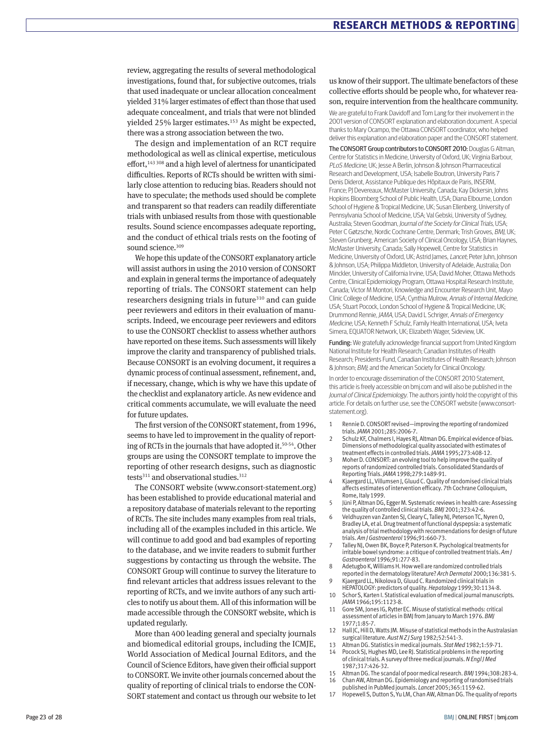review, aggregating the results of several methodological investigations, found that, for subjective outcomes, trials that used inadequate or unclear allocation concealment yielded 31% larger estimates of effect than those that used adequate concealment, and trials that were not blinded yielded 25% larger estimates.153 As might be expected, there was a strong association between the two.

The design and implementation of an RCT require methodological as well as clinical expertise, meticulous effort,<sup>143 308</sup> and a high level of alertness for unanticipated difficulties. Reports of RCTs should be written with similarly close attention to reducing bias. Readers should not have to speculate; the methods used should be complete and transparent so that readers can readily differentiate trials with unbiased results from those with questionable results. Sound science encompasses adequate reporting, and the conduct of ethical trials rests on the footing of sound science.<sup>309</sup>

We hope this update of the CONSORT explanatory article will assist authors in using the 2010 version of CONSORT and explain in general terms the importance of adequately reporting of trials. The CONSORT statement can help researchers designing trials in future<sup>310</sup> and can guide peer reviewers and editors in their evaluation of manuscripts. Indeed, we encourage peer reviewers and editors to use the CONSORT checklist to assess whether authors have reported on these items. Such assessments will likely improve the clarity and transparency of published trials. Because CONSORT is an evolving document, it requires a dynamic process of continual assessment, refinement, and, if necessary, change, which is why we have this update of the checklist and explanatory article. As new evidence and critical comments accumulate, we will evaluate the need for future updates.

The first version of the CONSORT statement, from 1996, seems to have led to improvement in the quality of reporting of RCTs in the journals that have adopted it.<sup>50-54</sup>. Other groups are using the CONSORT template to improve the reporting of other research designs, such as diagnostic tests $311$  and observational studies. $312$ 

The CONSORT website (www.consort-statement.org) has been established to provide educational material and a repository database of materials relevant to the reporting of RCTs. The site includes many examples from real trials, including all of the examples included in this article. We will continue to add good and bad examples of reporting to the database, and we invite readers to submit further suggestions by contacting us through the website. The CONSORT Group will continue to survey the literature to find relevant articles that address issues relevant to the reporting of RCTs, and we invite authors of any such articles to notify us about them. All of this information will be made accessible through the CONSORT website, which is updated regularly.

More than 400 leading general and specialty journals and biomedical editorial groups, including the ICMJE, World Association of Medical Journal Editors, and the Council of Science Editors, have given their official support to CONSORT. We invite other journals concerned about the quality of reporting of clinical trials to endorse the CON-SORT statement and contact us through our website to let

#### us know of their support. The ultimate benefactors of these collective efforts should be people who, for whatever reason, require intervention from the healthcare community.

We are grateful to Frank Davidoff and Tom Lang for their involvement in the 2001 version of CONSORT explanation and elaboration document. A special thanks to Mary Ocampo, the Ottawa CONSORT coordinator, who helped deliver this explanation and elaboration paper and the CONSORT statement.

The CONSORT Group contributors to CONSORT 2010: Douglas G Altman, Centre for Statistics in Medicine, University of Oxford, UK; Virginia Barbour, PLoS Medicine, UK; Jesse A Berlin, Johnson & Johnson Pharmaceutical Research and Development, USA; Isabelle Boutron, University Paris 7 Denis Diderot, Assistance Publique des Hôpitaux de Paris, INSERM, France; PJ Devereaux, McMaster University, Canada; Kay Dickersin, Johns Hopkins Bloomberg School of Public Health, USA; Diana Elbourne, London School of Hygiene & Tropical Medicine, UK; Susan Ellenberg, University of Pennsylvania School of Medicine, USA; Val Gebski, University of Sydney, Australia; Steven Goodman, Journal of the Society for Clinical Trials, USA; Peter C Gøtzsche, Nordic Cochrane Centre, Denmark; Trish Groves, BMJ, UK; Steven Grunberg, American Society of Clinical Oncology, USA; Brian Haynes, McMaster University, Canada; Sally Hopewell, Centre for Statistics in Medicine, University of Oxford, UK; Astrid James, Lancet; Peter Juhn, Johnson & Johnson, USA; Philippa Middleton, University of Adelaide, Australia; Don Minckler, University of California Irvine, USA; David Moher, Ottawa Methods Centre, Clinical Epidemiology Program, Ottawa Hospital Research Institute, Canada; Victor M Montori, Knowledge and Encounter Research Unit, Mayo Clinic College of Medicine, USA; Cynthia Mulrow, Annals of Internal Medicine, USA; Stuart Pocock, London School of Hygiene & Tropical Medicine, UK; Drummond Rennie, JAMA, USA; David L Schriger, Annals of Emergency Medicine, USA; Kenneth F Schulz, Family Health International, USA; Iveta Simera, EQUATOR Network, UK; Elizabeth Wager, Sideview, UK.

Funding: We gratefully acknowledge financial support from United Kingdom National Institute for Health Research; Canadian Institutes of Health Research; Presidents Fund, Canadian Institutes of Health Research; Johnson & Johnson; BMJ; and the American Society for Clinical Oncology.

In order to encourage dissemination of the CONSORT 2010 Statement, this article is freely accessible on bmj.com and will also be published in the Journal of Clinical Epidemiology. The authors jointly hold the copyright of this article. For details on further use, see the CONSORT website (www.consortstatement.org).

- 1 Rennie D. CONSORT revised—improving the reporting of randomized trials. *JAMA* 2001;285:2006-7.
- 2 Schulz KF, Chalmers I, Hayes RJ, Altman DG. Empirical evidence of bias. Dimensions of methodological quality associated with estimates of treatment effects in controlled trials. *JAMA* 1995;273:408-12.
- 3 Moher D. CONSORT: an evolving tool to help improve the quality of reports of randomized controlled trials. Consolidated Standards of Reporting Trials. *JAMA* 1998;279:1489-91.
- Kjaergard LL, Villumsen J, Gluud C. Quality of randomised clinical trials affects estimates of intervention efficacy. 7th Cochrane Colloquium, Rome, Italy 1999.
- 5 Jüni P, Altman DG, Egger M. Systematic reviews in health care: Assessing the quality of controlled clinical trials. *BMJ* 2001;323:42-6.
- 6 Veldhuyzen van Zanten SJ, Cleary C, Talley NJ, Peterson TC, Nyren O, Bradley LA, et al. Drug treatment of functional dyspepsia: a systematic analysis of trial methodology with recommendations for design of future trials. *Am J Gastroenterol* 1996;91:660-73.
- 7 Talley NJ, Owen BK, Boyce P, Paterson K. Psychological treatments for irritable bowel syndrome: a critique of controlled treatment trials. *Am J Gastroenterol* 1996;91:277-83.
- 8 Adetugbo K, Williams H. How well are randomized controlled trials reported in the dermatology literature? *Arch Dermatol* 2000;136:381-5. 9 Kjaergard LL, Nikolova D, Gluud C. Randomized clinical trials in
- HEPATOLOGY: predictors of quality. *Hepatology* 1999;30:1134-8. 10 Schor S, Karten I. Statistical evaluation of medical journal manuscripts.
- *JAMA* 1966;195:1123-8. 11 Gore SM, Jones IG, Rytter EC. Misuse of statistical methods: critical
- assessment of articles in BMJ from January to March 1976. *BMJ* 1977;1:85-7.
- 12 Hall JC, Hill D, Watts JM. Misuse of statistical methods in the Australasian surgical literature. *Aust N Z J Surg* 1982;52:541-3.
- 13 Altman DG. Statistics in medical journals. *Stat Med* 1982;1:59-71. Pocock SJ, Hughes MD, Lee RJ. Statistical problems in the reporting
- of clinical trials. A survey of three medical journals. *N Engl J Med* 1987;317:426-32.
- 15 Altman DG. The scandal of poor medical research. *BMJ* 1994;308:283-4. 16 Chan AW, Altman DG. Epidemiology and reporting of randomised trials
- published in PubMed journals. *Lancet* 2005;365:1159-62.
- 17 Hopewell S, Dutton S, Yu LM, Chan AW, Altman DG. The quality of reports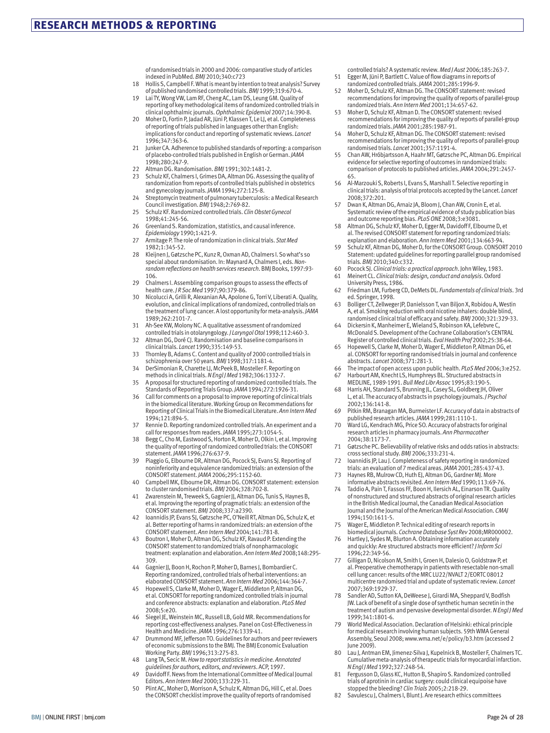of randomised trials in 2000 and 2006: comparative study of articles indexed in PubMed. *BMJ* 2010;340:c723

- 18 Hollis S, Campbell F. What is meant by intention to treat analysis? Survey of published randomised controlled trials. *BMJ* 1999;319:670-4.
- 19 Lai TY, Wong VW, Lam RF, Cheng AC, Lam DS, Leung GM. Quality of reporting of key methodological items of randomized controlled trials in clinical ophthalmic journals. *Ophthalmic Epidemiol* 2007;14:390-8.
- 20 Moher D, Fortin P, Jadad AR, Jüni P, Klassen T, Le LJ, et al. Completeness of reporting of trials published in languages other than English: implications for conduct and reporting of systematic reviews. *Lancet* 1996;347:363-6.
- 21 Junker CA. Adherence to published standards of reporting: a comparison of placebo-controlled trials published in English or German. *JAMA* 1998;280:247-9.
- 22 Altman DG. Randomisation. *BMJ* 1991;302:1481-2.
- 23 Schulz KF, Chalmers I, Grimes DA, Altman DG. Assessing the quality of randomization from reports of controlled trials published in obstetrics and gynecology journals. *JAMA* 1994;272:125-8.
- 24 Streptomycin treatment of pulmonary tuberculosis: a Medical Research Council investigation. *BMJ* 1948;2:769-82.
- 25 Schulz KF. Randomized controlled trials. *Clin Obstet Gynecol* 1998;41:245-56.
- 26 Greenland S. Randomization, statistics, and causal inference. *Epidemiology* 1990;1:421-9.
- 27 Armitage P. The role of randomization in clinical trials. *Stat Med* 1982;1:345-52.
- 28 Kleijnen J, Gøtzsche PC, Kunz R, Oxman AD, Chalmers I. So what's so special about randomisation. In: Maynard A, Chalmers I, eds. *Nonrandom reflections on health services research*. BMJ Books, 1997:93- 106.
- 29 Chalmers I. Assembling comparison groups to assess the effects of health care. *J R Soc Med* 1997;90:379-86.
- 30 Nicolucci A, Grilli R, Alexanian AA, Apolone G, Torri V, Liberati A. Quality, evolution, and clinical implications of randomized, controlled trials on the treatment of lung cancer. A lost opportunity for meta-analysis. *JAMA* 1989;262:2101-7.
- 31 Ah-See KW, Molony NC. A qualitative assessment of randomized controlled trials in otolaryngology. *J Laryngol Otol* 1998;112:460-3.
- 32 Altman DG, Doré CJ. Randomisation and baseline comparisons in clinical trials. *Lancet* 1990;335:149-53.
- 33 Thornley B, Adams C. Content and quality of 2000 controlled trials in schizophrenia over 50 years. *BMJ* 1998;317:1181-4.
- 34 DerSimonian R, Charette LJ, McPeek B, Mosteller F. Reporting on methods in clinical trials. *N Engl J Med* 1982;306:1332-7.
- 35 A proposal for structured reporting of randomized controlled trials. The Standards of Reporting Trials Group. *JAMA* 1994;272:1926-31.
- 36 Call for comments on a proposal to improve reporting of clinical trials in the biomedical literature. Working Group on Recommendations for Reporting of Clinical Trials in the Biomedical Literature. *Ann Intern Med* 1994;121:894-5.
- 37 Rennie D. Reporting randomized controlled trials. An experiment and a call for responses from readers. *JAMA* 1995;273:1054-5.
- 38 Begg C, Cho M, Eastwood S, Horton R, Moher D, Olkin I, et al. Improving the quality of reporting of randomized controlled trials: the CONSORT statement. *JAMA* 1996;276:637-9.
- 39 Piaggio G, Elbourne DR, Altman DG, Pocock SJ, Evans SJ. Reporting of noninferiority and equivalence randomized trials: an extension of the CONSORT statement. *JAMA* 2006;295:1152-60.
- 40 Campbell MK, Elbourne DR, Altman DG. CONSORT statement: extension to cluster randomised trials. *BMJ* 2004;328:702-8.
- 41 Zwarenstein M, Treweek S, Gagnier JJ, Altman DG, Tunis S, Haynes B, et al. Improving the reporting of pragmatic trials: an extension of the CONSORT statement. *BMJ* 2008;337:a2390.
- 42 Ioannidis JP, Evans SJ, Gøtzsche PC, O'Neill RT, Altman DG, Schulz K, et al. Better reporting of harms in randomized trials: an extension of the CONSORT statement. *Ann Intern Med* 2004;141:781-8.
- 43 Boutron I, Moher D, Altman DG, Schulz KF, Ravaud P. Extending the CONSORT statement to randomized trials of nonpharmacologic treatment: explanation and elaboration. *Ann Intern Med* 2008;148:295- 309.
- 44 Gagnier JJ, Boon H, Rochon P, Moher D, Barnes J, Bombardier C. Reporting randomized, controlled trials of herbal interventions: an elaborated CONSORT statement. *Ann Intern Med* 2006;144:364-7.
- 45 Hopewell S, Clarke M, Moher D, Wager E, Middleton P, Altman DG, et al. CONSORT for reporting randomized controlled trials in journal and conference abstracts: explanation and elaboration. *PLoS Med* 2008;5:e20.
- 46 Siegel JE, Weinstein MC, Russell LB, Gold MR. Recommendations for reporting cost-effectiveness analyses. Panel on Cost-Effectiveness in Health and Medicine. *JAMA* 1996;276:1339-41.
- 47 Drummond MF, Jefferson TO. Guidelines for authors and peer reviewers of economic submissions to the BMJ. The BMJ Economic Evaluation Working Party. *BMJ* 1996;313:275-83.
- 48 Lang TA, Secic M. *How to report statistics in medicine. Annotated guidelines for authors, editors, and reviewers*. ACP, 1997.
- 49 Davidoff F. News from the International Committee of Medical Journal Editors. *Ann Intern Med* 2000;133:229-31.
- 50 Plint AC, Moher D, Morrison A, Schulz K, Altman DG, Hill C, et al. Does the CONSORT checklist improve the quality of reports of randomised
- controlled trials? A systematic review. *Med J Aust* 2006;185:263-7.
- 51 Egger M, Jüni P, Bartlett C. Value of flow diagrams in reports of randomized controlled trials. *JAMA* 2001;285:1996-9.
- 52 Moher D, Schulz KF, Altman DG. The CONSORT statement: revised recommendations for improving the quality of reports of parallel-group randomized trials. *Ann Intern Med* 2001;134:657-62.
- 53 Moher D, Schulz KF, Altman D. The CONSORT statement: revised recommendations for improving the quality of reports of parallel-group randomized trials. *JAMA* 2001;285:1987-91.
- 54 Moher D, Schulz KF, Altman DG. The CONSORT statement: revised recommendations for improving the quality of reports of parallel-group
- randomised trials. *Lancet* 2001;357:1191-4. 55 Chan AW, Hróbjartsson A, Haahr MT, Gøtzsche PC, Altman DG. Empirical evidence for selective reporting of outcomes in randomized trials: comparison of protocols to published articles. *JAMA* 2004;291:2457- 65.
- 56 Al-Marzouki S, Roberts I, Evans S, Marshall T. Selective reporting in clinical trials: analysis of trial protocols accepted by the Lancet. *Lancet* 2008;372:201.
- 57 Dwan K, Altman DG, Arnaiz JA, Bloom J, Chan AW, Cronin E, et al. Systematic review of the empirical evidence of study publication bias and outcome reporting bias. *PLoS ONE* 2008;3:e3081.
- 58 Altman DG, Schulz KF, Moher D, Egger M, Davidoff F, Elbourne D, et al. The revised CONSORT statement for reporting randomized trials: explanation and elaboration. *Ann Intern Med* 2001;134:663-94.
- 59 Schulz KF, Altman DG, Moher D, for the CONSORT Group. CONSORT 2010 Statement: updated guidelines for reporting parallel group randomised trials. *BMJ* 2010;340:c332.
- 60 Pocock SJ. *Clinical trials: a practical approach*. John Wiley, 1983.
- 61 Meinert CL. *Clinical trials: design, conduct and analysis*. Oxford University Press, 1986.
- 62 Friedman LM, Furberg CD, DeMets DL. *Fundamentals of clinical trials*. 3rd ed. Springer, 1998.
- 63 Bolliger CT, Zellweger JP, Danielsson T, van Biljon X, Robidou A, Westin A, et al. Smoking reduction with oral nicotine inhalers: double blind, randomised clinical trial of efficacy and safety. *BMJ* 2000;321:329-33.
- 64 Dickersin K, Manheimer E, Wieland S, Robinson KA, Lefebvre C, McDonald S. Development of the Cochrane Collaboration's CENTRAL Register of controlled clinical trials. *Eval Health Prof* 2002;25:38-64.
- 65 Hopewell S, Clarke M, Moher D, Wager E, Middleton P, Altman DG, et al. CONSORT for reporting randomised trials in journal and conference abstracts. *Lancet* 2008;371:281-3.
- 66 The impact of open access upon public health. *PLoS Med* 2006;3:e252.
- 67 Harbourt AM, Knecht LS, Humphreys BL. Structured abstracts in MEDLINE, 1989-1991. *Bull Med Libr Assoc* 1995;83:190-5.
- 68 Harris AH, Standard S, Brunning JL, Casey SL, Goldberg JH, Oliver L, et al. The accuracy of abstracts in psychology journals. *J Psychol* 2002;136:141-8.
- 69 Pitkin RM, Branagan MA, Burmeister LF. Accuracy of data in abstracts of published research articles. *JAMA* 1999;281:1110-1.
- 70 Ward LG, Kendrach MG, Price SO. Accuracy of abstracts for original research articles in pharmacy journals. *Ann Pharmacother* 2004;38:1173-7.
- 71 Gøtzsche PC. Believability of relative risks and odds ratios in abstracts: cross sectional study. *BMJ* 2006;333:231-4.
- 72 Ioannidis JP, Lau J. Completeness of safety reporting in randomized trials: an evaluation of 7 medical areas. *JAMA* 2001;285:437-43.
- 73 Haynes RB, Mulrow CD, Huth EJ, Altman DG, Gardner MJ. More informative abstracts revisited. *Ann Intern Med* 1990;113:69-76.
- 74 Taddio A, Pain T, Fassos FF, Boon H, Ilersich AL, Einarson TR. Quality of nonstructured and structured abstracts of original research articles in the British Medical Journal, the Canadian Medical Association Journal and the Journal of the American Medical Association. *CMAJ* 1994;150:1611-5.
- 75 Wager E, Middleton P. Technical editing of research reports in biomedical journals. *Cochrane Database Syst Rev* 2008;MR000002.
- 76 Hartley J, Sydes M, Blurton A. Obtaining information accurately and quickly: Are structured abstracts more efficient? *J Inform Sci* 1996;22:349-56.
- 77 Gilligan D, Nicolson M, Smith I, Groen H, Dalesio O, Goldstraw P, et al. Preoperative chemotherapy in patients with resectable non-small cell lung cancer: results of the MRC LU22/NVALT 2/EORTC 08012 multicentre randomised trial and update of systematic review. *Lancet* 2007;369:1929-37.
- 78 Sandler AD, Sutton KA, DeWeese J, Girardi MA, Sheppard V, Bodfish JW. Lack of benefit of a single dose of synthetic human secretin in the treatment of autism and pervasive developmental disorder. *N Engl J Med* 1999;341:1801-6.
- 79 World Medical Association. Declaration of Helsinki: ethical principle for medical research involving human subjects. 59th WMA General Assembly, Seoul 2008; www.wma.net/e/policy/b3.htm (accessed 2 June 2009).
- 80 Lau J, Antman EM, Jimenez-Silva J, Kupelnick B, Mosteller F, Chalmers TC. Cumulative meta-analysis of therapeutic trials for myocardial infarction. *N Engl J Med* 1992;327:248-54.
- 81 Fergusson D, Glass KC, Hutton B, Shapiro S. Randomized controlled trials of aprotinin in cardiac surgery: could clinical equipoise have stopped the bleeding? *Clin Trials* 2005;2:218-29.
- 82 Savulescu J, Chalmers I, Blunt J. Are research ethics committees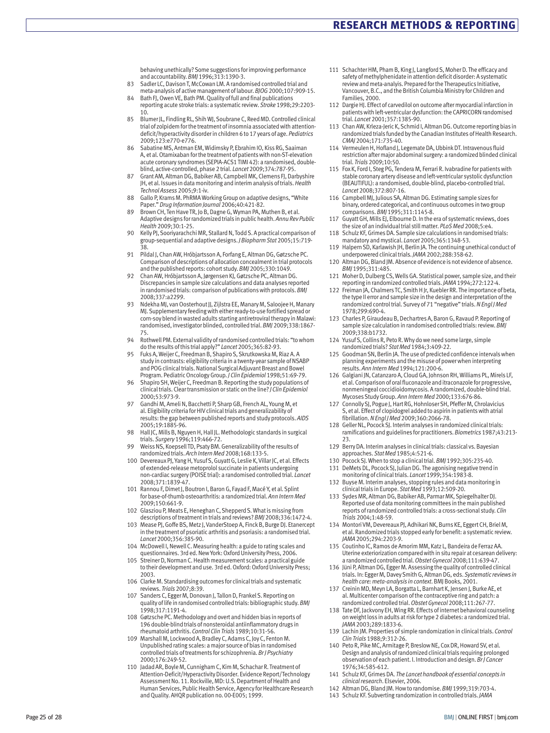behaving unethically? Some suggestions for improving performance and accountability. *BMJ* 1996;313:1390-3.

- 83 Sadler LC, Davison T, McCowan LM. A randomised controlled trial and meta-analysis of active management of labour. *BJOG* 2000;107:909-15. 84 Bath FJ, Owen VE, Bath PM. Quality of full and final publications
- reporting acute stroke trials: a systematic review. *Stroke* 1998;29:2203- 10.
- 85 Blumer JL, Findling RL, Shih WJ, Soubrane C, Reed MD. Controlled clinical trial of zolpidem for the treatment of insomnia associated with attentiondeficit/hyperactivity disorder in children 6 to 17 years of age. *Pediatrics* 2009;123:e770-e776.
- 86 Sabatine MS, Antman EM, Widimsky P, Ebrahim IO, Kiss RG, Saaiman A, et al. Otamixaban for the treatment of patients with non-ST-elevation acute coronary syndromes (SEPIA-ACS1 TIMI 42): a randomised, doubleblind, active-controlled, phase 2 trial. *Lancet* 2009;374:787-95.
- 87 Grant AM, Altman DG, Babiker AB, Campbell MK, Clemens FJ, Darbyshire JH, et al. Issues in data monitoring and interim analysis of trials. *Health Technol Assess* 2005;9:1-iv.
- 88 Gallo P, Krams M. PhRMA Working Group on adaptive designs, "White Paper." *Drug Information Journal* 2006;40:421-82.
- 89 Brown CH, Ten Have TR, Jo B, Dagne G, Wyman PA, Muthen B, et al. Adaptive designs for randomized trials in public health. *Annu Rev Public Health* 2009;30:1-25.
- 90 Kelly PJ, Sooriyarachchi MR, Stallard N, Todd S. A practical comparison of group-sequential and adaptive designs. *J Biopharm Stat* 2005;15:719- 38.
- 91 Pildal I, Chan AW, Hróbiartsson A, Forfang E, Altman DG, Gøtzsche PC Comparison of descriptions of allocation concealment in trial protocols and the published reports: cohort study. *BMJ* 2005;330:1049.
- 92 Chan AW, Hróbjartsson A, Jørgensen KJ, Gøtzsche PC, Altman DG. Discrepancies in sample size calculations and data analyses reported in randomised trials: comparison of publications with protocols. *BMJ* 2008;337:a2299.
- 93 Ndekha MJ, van Oosterhout JJ, Zijlstra EE, Manary M, Saloojee H, Manary MJ. Supplementary feeding with either ready-to-use fortified spread or corn-soy blend in wasted adults starting antiretroviral therapy in Malawi: randomised, investigator blinded, controlled trial. *BMJ* 2009;338:1867-
- 75. 94 Rothwell PM. External validity of randomised controlled trials: "to whom do the results of this trial apply?" *Lancet* 2005;365:82-93.
- 95 Fuks A, Weijer C, Freedman B, Shapiro S, Skrutkowska M, Riaz A. A study in contrasts: eligibility criteria in a twenty-year sample of NSABP and POG clinical trials. National Surgical Adjuvant Breast and Bowel Program. Pediatric Oncology Group. *J Clin Epidemiol* 1998;51:69-79.
- 96 Shapiro SH, Weijer C, Freedman B. Reporting the study populations of clinical trials. Clear transmission or static on the line? *J Clin Epidemiol* 2000;53:973-9.
- 97 Gandhi M, Ameli N, Bacchetti P, Sharp GB, French AL, Young M, et al. Eligibility criteria for HIV clinical trials and generalizability of results: the gap between published reports and study protocols. *AIDS* 2005;19:1885-96.
- 98 Hall JC, Mills B, Nguyen H, Hall JL. Methodologic standards in surgical trials. *Surgery* 1996;119:466-72.
- 99 Weiss NS, Koepsell TD, Psaty BM. Generalizability of the results of randomized trials. *Arch Intern Med* 2008;168:133-5.
- 100 Devereaux PJ, Yang H, Yusuf S, Guyatt G, Leslie K, Villar JC, et al. Effects of extended-release metoprolol succinate in patients undergoing non-cardiac surgery (POISE trial): a randomised controlled trial. *Lancet* 2008;371:1839-47.
- 101 Rannou F, Dimet J, Boutron I, Baron G, Fayad F, Macé Y, et al. Splint for base-of-thumb osteoarthritis: a randomized trial. *Ann Intern Med* 2009;150:661-9.
- 102 Glasziou P, Meats E, Heneghan C, Shepperd S. What is missing from descriptions of treatment in trials and reviews? *BMJ* 2008;336:1472-4.
- 103 Mease PJ, Goffe BS, Metz J, VanderStoep A, Finck B, Burge DJ. Etanercept in the treatment of psoriatic arthritis and psoriasis: a randomised trial. *Lancet* 2000;356:385-90.
- 104 McDowell I, Newell C. Measuring health: a guide to rating scales and questionnaires. 3rd ed. New York: Oxford University Press, 2006.
- 105 Streiner D, Norman C. Health measurement scales: a practical guide to their development and use. 3rd ed. Oxford: Oxford University Press; 2003.
- 106 Clarke M. Standardising outcomes for clinical trials and systematic reviews. *Trials* 2007;8:39.
- 107 Sanders C, Egger M, Donovan J, Tallon D, Frankel S. Reporting on quality of life in randomised controlled trials: bibliographic study. *BMJ* 1998;317:1191-4.
- 108 Gøtzsche PC. Methodology and overt and hidden bias in reports of 196 double-blind trials of nonsteroidal antiinflammatory drugs in rheumatoid arthritis. *Control Clin Trials* 1989;10:31-56.
- 109 Marshall M, Lockwood A, Bradley C, Adams C, Joy C, Fenton M. Unpublished rating scales: a major source of bias in randomised controlled trials of treatments for schizophrenia. *Br J Psychiatry* 2000;176:249-52.
- 110 Jadad AR, Boyle M, Cunnigham C, Kim M, Schachar R. Treatment of Attention-Deficit/Hyperactivity Disorder. Evidence Report/Technology Assessment No. 11. Rockville, MD: U.S. Department of Health and Human Services, Public Health Service, Agency for Healthcare Research and Quality. AHQR publication no. 00-E005; 1999.
- 111 Schachter HM, Pham B, King J, Langford S, Moher D. The efficacy and safety of methylphenidate in attention deficit disorder: A systematic review and meta-analyis. Prepared for the Therapeutics Initiative, Vancouver, B.C., and the British Columbia Ministry for Children and Families, 2000.
- 112 Dargie HJ. Effect of carvedilol on outcome after myocardial infarction in patients with left-ventricular dysfunction: the CAPRICORN randomised trial. *Lancet* 2001;357:1385-90.
- 113 Chan AW, Krleza-Jeric K, Schmid I, Altman DG. Outcome reporting bias in randomized trials funded by the Canadian Institutes of Health Research. *CMAJ* 2004;171:735-40.
- 114 Vermeulen H, Hofland J, Legemate DA, Ubbink DT. Intravenous fluid restriction after major abdominal surgery: a randomized blinded clinical trial. *Trials* 2009;10:50.
- 115 Fox K, Ford I, Steg PG, Tendera M, Ferrari R. Ivabradine for patients with stable coronary artery disease and left-ventricular systolic dysfunction (BEAUTIFUL): a randomised, double-blind, placebo-controlled trial. *Lancet* 2008;372:807-16.
- 116 Campbell MJ, Julious SA, Altman DG. Estimating sample sizes for binary, ordered categorical, and continuous outcomes in two group comparisons. *BMJ* 1995;311:1145-8.
- Guyatt GH, Mills EJ, Elbourne D. In the era of systematic reviews, does the size of an individual trial still matter. *PLoS Med* 2008;5:e4.
- 118 Schulz KF, Grimes DA. Sample size calculations in randomised trials: mandatory and mystical. *Lancet* 2005;365:1348-53.
- 119 Halpern SD, Karlawish JH, Berlin JA. The continuing unethical conduct of underpowered clinical trials. *JAMA* 2002;288:358-62.
- 120 Altman DG, Bland JM. Absence of evidence is not evidence of absence. *BMJ* 1995;311:485.
- 121 Moher D, Dulberg CS, Wells GA. Statistical power, sample size, and their reporting in randomized controlled trials. *JAMA* 1994;272:122-4.
- 122 Freiman JA, Chalmers TC, Smith H Jr, Kuebler RR. The importance of beta, the type II error and sample size in the design and interpretation of the randomized control trial. Survey of 71 "negative" trials. *N Engl J Med* 1978;299:690-4.
- 123 Charles P, Giraudeau B, Dechartres A, Baron G, Ravaud P. Reporting of sample size calculation in randomised controlled trials: review. *BMJ* 2009;338:b1732.
- 124 Yusuf S, Collins R, Peto R. Why do we need some large, simple randomized trials? *Stat Med* 1984;3:409-22.
- 125 Goodman SN, Berlin JA. The use of predicted confidence intervals when planning experiments and the misuse of power when interpreting results. *Ann Intern Med* 1994;121:200-6.
- 126 Galgiani JN, Catanzaro A, Cloud GA, Johnson RH, Williams PL, Mirels LF, et al. Comparison of oral fluconazole and itraconazole for progressive, nonmeningeal coccidioidomycosis. A randomized, double-blind trial. Mycoses Study Group. *Ann Intern Med* 2000;133:676-86.
- 127 Connolly SJ, Pogue J, Hart RG, Hohnloser SH, Pfeffer M, Chrolavicius S, et al. Effect of clopidogrel added to aspirin in patients with atrial fibrillation. *N Engl J Med* 2009;360:2066-78.
- 128 Geller NL, Pocock SJ. Interim analyses in randomized clinical trials: ramifications and guidelines for practitioners. *Biometrics* 1987;43:213- 23.
- 129 Berry DA. Interim analyses in clinical trials: classical vs. Bayesian approaches. *Stat Med* 1985;4:521-6.
- 130 Pocock SJ. When to stop a clinical trial. *BMJ* 1992;305:235-40.
- 131 DeMets DL, Pocock SJ, Julian DG. The agonising negative trend in monitoring of clinical trials. *Lancet* 1999;354:1983-8.
- 132 Buyse M. Interim analyses, stopping rules and data monitoring in clinical trials in Europe. *Stat Med* 1993;12:509-20.
- 133 Sydes MR, Altman DG, Babiker AB, Parmar MK, Spiegelhalter DJ. Reported use of data monitoring committees in the main published reports of randomized controlled trials: a cross-sectional study. *Clin Trials* 2004;1:48-59.
- 134 Montori VM, Devereaux PJ, Adhikari NK, Burns KE, Eggert CH, Briel M, et al. Randomized trials stopped early for benefit: a systematic review. *JAMA* 2005;294:2203-9.
- 135 Coutinho IC, Ramos de Amorim MM, Katz L, Bandeira de Ferraz AA. Uterine exteriorization compared with in situ repair at cesarean delivery: a randomized controlled trial. *Obstet Gynecol* 2008;111:639-47.
- 136 Jüni P, Altman DG, Egger M. Assessing the quality of controlled clinical trials. In: Egger M, Davey Smith G, Altman DG, eds. *Systematic reviews in health care: meta-analysis in context*. BMJ Books, 2001.
- 137 Creinin MD, Meyn LA, Borgatta L, Barnhart K, Jensen J, Burke AE, et al. Multicenter comparison of the contraceptive ring and patch: a randomized controlled trial. *Obstet Gynecol* 2008;111:267-77.
- 138 Tate DF, Jackvony EH, Wing RR. Effects of internet behavioral counseling on weight loss in adults at risk for type 2 diabetes: a randomized trial. *JAMA* 2003;289:1833-6.
- 139 Lachin JM. Properties of simple randomization in clinical trials. *Control Clin Trials* 1988;9:312-26.
- 140 Peto R, Pike MC, Armitage P, Breslow NE, Cox DR, Howard SV, et al. Design and analysis of randomized clinical trials requiring prolonged observation of each patient. I. Introduction and design. *Br J Cancer* 1976;34:585-612.
- 141 Schulz KF, Grimes DA. *The Lancet handbook of essential concepts in clinical research*. Elsevier, 2006.
- 142 Altman DG, Bland JM. How to randomise. *BMJ* 1999;319:703-4.
- 143 Schulz KF. Subverting randomization in controlled trials. *JAMA*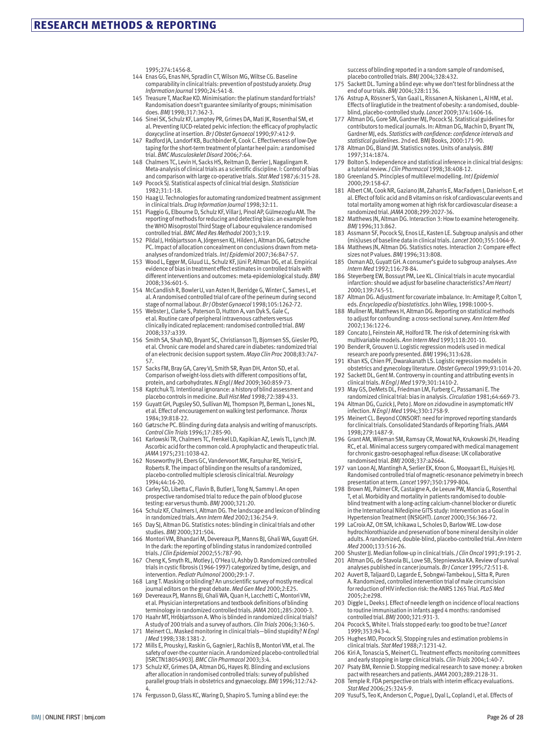1995;274:1456-8.

- 144 Enas GG, Enas NH, Spradlin CT, Wilson MG, Wiltse CG. Baseline comparability in clinical trials: prevention of poststudy anxiety. *Drug Information Journal* 1990;24:541-8.
- 145 Treasure T, MacRae KD. Minimisation: the platinum standard for trials? Randomisation doesn't guarantee similarity of groups; minimisation does. *BMJ* 1998;317:362-3.
- 146 Sinei SK, Schulz KF, Lamptey PR, Grimes DA, Mati JK, Rosenthal SM, et al. Preventing IUCD-related pelvic infection: the efficacy of prophylactic doxycycline at insertion. *Br J Obstet Gynaecol* 1990;97:412-9.
- 147 Radford JA, Landorf KB, Buchbinder R, Cook C. Effectiveness of low-Dye taping for the short-term treatment of plantar heel pain: a randomised trial. *BMC Musculoskelet Disord* 2006;7:64.
- 148 Chalmers TC, Levin H, Sacks HS, Reitman D, Berrier J, Nagalingam R. Meta-analysis of clinical trials as a scientific discipline. I: Control of bias and comparison with large co-operative trials. *Stat Med* 1987;6:315-28. 149 Pocock SJ. Statistical aspects of clinical trial design. *Statistician*
- 1982;31:1-18.
- 150 Haag U. Technologies for automating randomized treatment assignment in clinical trials. *Drug Information Journal* 1998;32:11.
- 151 Piaggio G, Elbourne D, Schulz KF, Villar J, Pinol AP, Gülmezoglu AM. The reporting of methods for reducing and detecting bias: an example from the WHO Misoprostol Third Stage of Labour equivalence randomised controlled trial. *BMC Med Res Methodol* 2003;3:19.
- 152 Pildal J, Hróbjartsson A, Jórgensen KJ, Hilden J, Altman DG, Gøtzsche PC. Impact of allocation concealment on conclusions drawn from metaanalyses of randomized trials. *Int J Epidemiol* 2007;36:847-57.
- 153 Wood L, Egger M, Gluud LL, Schulz KF, Jüni P, Altman DG, et al. Empirical evidence of bias in treatment effect estimates in controlled trials with different interventions and outcomes: meta-epidemiological study. *BMJ* 2008;336:601-5.
- 154 McCandlish R, Bowler U, van Asten H, Berridge G, Winter C, Sames L, et al. A randomised controlled trial of care of the perineum during second stage of normal labour. *Br J Obstet Gynaecol* 1998;105:1262-72.
- 155 Webster J, Clarke S, Paterson D, Hutton A, van Dyk S, Gale C, et al. Routine care of peripheral intravenous catheters versus clinically indicated replacement: randomised controlled trial. *BMJ* 2008;337:a339.
- 156 Smith SA, Shah ND, Bryant SC, Christianson TJ, Bjornsen SS, Giesler PD, et al. Chronic care model and shared care in diabetes: randomized trial of an electronic decision support system. *Mayo Clin Proc* 2008;83:747-
- 57. 157 Sacks FM, Bray GA, Carey VJ, Smith SR, Ryan DH, Anton SD, et al. Comparison of weight-loss diets with different compositions of fat, protein, and carbohydrates. *N Engl J Med* 2009;360:859-73.
- 158 Kaptchuk TJ. Intentional ignorance: a history of blind assessment and placebo controls in medicine. *Bull Hist Med* 1998;72:389-433.
- 159 Guyatt GH, Pugsley SO, Sullivan MJ, Thompson PJ, Berman L, Jones NL, et al. Effect of encouragement on walking test performance. *Thorax* 1984;39:818-22.
- 160 Gøtzsche PC. Blinding during data analysis and writing of manuscripts. *Control Clin Trials* 1996;17:285-90.
- 161 Karlowski TR, Chalmers TC, Frenkel LD, Kapikian AZ, Lewis TL, Lynch JM. Ascorbic acid for the common cold. A prophylactic and therapeutic trial. *JAMA* 1975;231:1038-42.
- 162 Noseworthy JH, Ebers GC, Vandervoort MK, Farquhar RE, Yetisir E, Roberts R. The impact of blinding on the results of a randomized, placebo-controlled multiple sclerosis clinical trial. *Neurology* 1994;44:16-20.
- 163 Carley SD, Libetta C, Flavin B, Butler J, Tong N, Sammy I. An open prospective randomised trial to reduce the pain of blood glucose testing: ear versus thumb. *BMJ* 2000;321:20.
- 164 Schulz KF, Chalmers I, Altman DG. The landscape and lexicon of blinding in randomized trials. *Ann Intern Med* 2002;136:254-9.
- 165 Day SJ, Altman DG. Statistics notes: blinding in clinical trials and other studies. *BMJ* 2000;321:504.
- 166 Montori VM, Bhandari M, Devereaux PJ, Manns BJ, Ghali WA, Guyatt GH. In the dark: the reporting of blinding status in randomized controlled trials. *J Clin Epidemiol* 2002;55:787-90.
- 167 Cheng K, Smyth RL, Motley J, O'Hea U, Ashby D. Randomized controlled trials in cystic fibrosis (1966-1997) categorized by time, design, and intervention. *Pediatr Pulmonol* 2000;29:1-7.
- 168 Lang T. Masking or blinding? An unscientific survey of mostly medical journal editors on the great debate. *Med Gen Med* 2000;2:E25.
- 169 Devereaux PJ, Manns BJ, Ghali WA, Quan H, Lacchetti C, Montori VM, et al. Physician interpretations and textbook definitions of blinding terminology in randomized controlled trials. *JAMA* 2001;285:2000-3.
- 170 Haahr MT, Hróbjartsson A. Who is blinded in randomized clinical trials? A study of 200 trials and a survey of authors. *Clin Trials* 2006;3:360-5.
- 171 Meinert CL. Masked monitoring in clinical trials—blind stupidity? *N Engl J Med* 1998;338:1381-2.
- 172 Mills E, Prousky J, Raskin G, Gagnier J, Rachlis B, Montori VM, et al. The safety of over-the-counter niacin. A randomized placebo-controlled trial [ISRCTN18054903]. *BMC Clin Pharmacol* 2003;3:4.
- 173 Schulz KF, Grimes DA, Altman DG, Hayes RJ. Blinding and exclusions after allocation in randomised controlled trials: survey of published parallel group trials in obstetrics and gynaecology. *BMJ* 1996;312:742- 4.
- 174 Fergusson D, Glass KC, Waring D, Shapiro S. Turning a blind eye: the

success of blinding reported in a random sample of randomised, placebo controlled trials. *BMJ* 2004;328:432.

- 175 Sackett DL. Turning a blind eye: why we don't test for blindness at the end of our trials. *BMJ* 2004;328:1136.
- 176 Astrup A, Rössner S, Van Gaal L, Rissanen A, Niskanen L, Al HM, et al. Effects of liraglutide in the treatment of obesity: a randomised, doubleblind, placebo-controlled study. *Lancet* 2009;374:1606-16.
- 177 Altman DG, Gore SM, Gardner MJ, Pocock SJ. Statistical guidelines for contributors to medical journals. In: Altman DG, Machin D, Bryant TN, Gardner MJ, eds. *Statistics with confidence: confidence intervals and statistical guidelines*. 2nd ed. BMJ Books, 2000:171-90.
- 178 Altman DG, Bland JM. Statistics notes. Units of analysis. *BMJ* 1997;314:1874.
- 179 Bolton S. Independence and statistical inference in clinical trial designs: a tutorial review. *J Clin Pharmacol* 1998;38:408-12.
- 180 Greenland S. Principles of multilevel modelling. *Int J Epidemiol* 2000;29:158-67.
- 181 Albert CM, Cook NR, Gaziano JM, Zaharris E, MacFadyen J, Danielson E, et al. Effect of folic acid and B vitamins on risk of cardiovascular events and total mortality among women at high risk for cardiovascular disease: a randomized trial. *JAMA* 2008;299:2027-36.
- 182 Matthews JN, Altman DG. Interaction 3: How to examine heterogeneity. *BMJ* 1996;313:862.
- 183 Assmann SF, Pocock SJ, Enos LE, Kasten LE. Subgroup analysis and other (mis)uses of baseline data in clinical trials. *Lancet* 2000;355:1064-9.
- 184 Matthews JN, Altman DG. Statistics notes. Interaction 2: Compare effect sizes not P values. *BMJ* 1996;313:808.
- 185 Oxman AD, Guyatt GH. A consumer's guide to subgroup analyses. *Ann Intern Med* 1992;116:78-84.
- 186 Steyerberg EW, Bossuyt PM, Lee KL. Clinical trials in acute myocardial infarction: should we adjust for baseline characteristics? *Am Heart J* 2000;139:745-51.
- Altman DG. Adjustment for covariate imbalance. In: Armitage P, Colton T, eds. *Encyclopedia of biostatistics*. John Wiley, 1998:1000-5.
- 188 Mullner M, Matthews H, Altman DG. Reporting on statistical methods to adjust for confounding: a cross-sectional survey. *Ann Intern Med* 2002;136:122-6.
- 189 Concato J, Feinstein AR, Holford TR. The risk of determining risk with multivariable models. *Ann Intern Med* 1993;118:201-10.
- 190 Bender R, Grouven U. Logistic regression models used in medical research are poorly presented. *BMJ* 1996;313:628.
- 191 Khan KS, Chien PF, Dwarakanath LS. Logistic regression models in obstetrics and gynecology literature. *Obstet Gynecol* 1999;93:1014-20.
- 192 Sackett DL, Gent M. Controversy in counting and attributing events in clinical trials. *N Engl J Med* 1979;301:1410-2. 193 May GS, DeMets DL, Friedman LM, Furberg C, Passamani E. The
- randomized clinical trial: bias in analysis. *Circulation* 1981;64:669-73.
- 194 Altman DG, Cuzick J, Peto J. More on zidovudine in asymptomatic HIV infection. *N Engl J Med* 1994;330:1758-9.
- 195 Meinert CL. Beyond CONSORT: need for improved reporting standards for clinical trials. Consolidated Standards of Reporting Trials. *JAMA* 1998;279:1487-9.
- 196 Grant AM, Wileman SM, Ramsay CR, Mowat NA, Krukowski ZH, Heading RC, et al. Minimal access surgery compared with medical management for chronic gastro-oesophageal reflux disease: UK collaborative randomised trial. *BMJ* 2008;337:a2664.
- 197 van Loon AJ, Mantingh A, Serlier EK, Kroon G, Mooyaart EL, Huisjes HJ. Randomised controlled trial of magnetic-resonance pelvimetry in breech presentation at term. *Lancet* 1997;350:1799-804.
- 198 Brown MJ, Palmer CR, Castaigne A, de Leeuw PW, Mancia G, Rosenthal T, et al. Morbidity and mortality in patients randomised to doubleblind treatment with a long-acting calcium-channel blocker or diuretic in the International Nifedipine GITS study: Intervention as a Goal in Hypertension Treatment (INSIGHT). *Lancet* 2000;356:366-72.
- 199 LaCroix AZ, Ott SM, Ichikawa L, Scholes D, Barlow WE. Low-dose hydrochlorothiazide and preservation of bone mineral density in older adults. A randomized, double-blind, placebo-controlled trial. *Ann Intern Med* 2000;133:516-26.
- 200 Shuster JJ. Median follow-up in clinical trials. *J Clin Oncol* 1991;9:191-2. 201 Altman DG, de Stavola BL, Love SB, Stepniewska KA. Review of survival
- analyses published in cancer journals. *Br J Cancer* 1995;72:511-8. 202 Auvert B, Taljaard D, Lagarde E, Sobngwi-Tambekou J, Sitta R, Puren A. Randomized, controlled intervention trial of male circumcision for reduction of HIV infection risk: the ANRS 1265 Trial. *PLoS Med* 2005;2:e298.
- 203 Diggle L, Deeks J. Effect of needle length on incidence of local reactions to routine immunisation in infants aged 4 months: randomised controlled trial. *BMJ* 2000;321:931-3.
- 204 Pocock S, White I. Trials stopped early: too good to be true? *Lancet* 1999;353:943-4.
- 205 Hughes MD, Pocock SJ. Stopping rules and estimation problems in clinical trials. *Stat Med* 1988;7:1231-42.
- 206 Kiri A, Tonascia S, Meinert CL. Treatment effects monitoring committees and early stopping in large clinical trials. *Clin Trials* 2004;1:40-7.
- 207 Psaty BM, Rennie D. Stopping medical research to save money: a broken pact with researchers and patients. *JAMA* 2003;289:2128-31.
- 208 Temple R. FDA perspective on trials with interim efficacy evaluations. *Stat Med* 2006;25:3245-9.
- 209 Yusuf S, Teo K, Anderson C, Pogue J, Dyal L, Copland I, et al. Effects of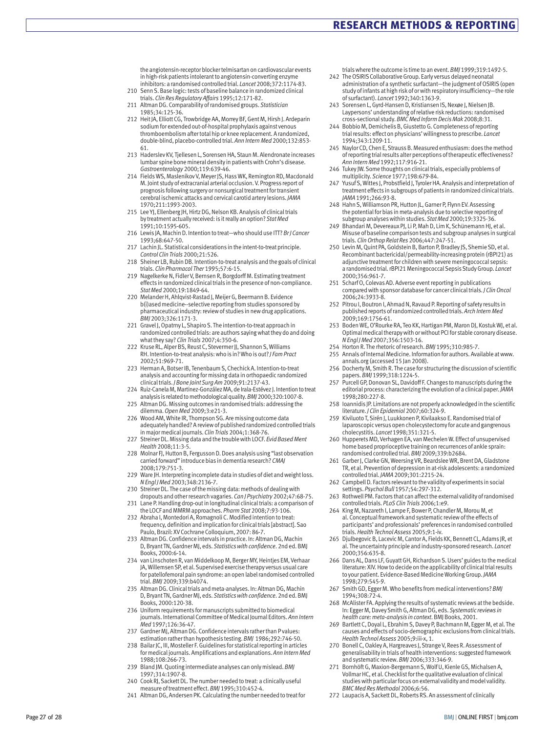the angiotensin-receptor blocker telmisartan on cardiovascular events in high-risk patients intolerant to angiotensin-converting enzyme inhibitors: a randomised controlled trial. *Lancet* 2008;372:1174-83.

- 210 Senn S. Base logic: tests of baseline balance in randomized clinical trials. *Clin Res Regulatory Affairs* 1995;12:171-82.
- 211 Altman DG. Comparability of randomised groups. *Statistician* 1985;34:125-36.
- 212 Heit JA, Elliott CG, Trowbridge AA, Morrey BF, Gent M, Hirsh J. Ardeparin sodium for extended out-of-hospital prophylaxis against venous thromboembolism after total hip or knee replacement. A randomized, double-blind, placebo-controlled trial. *Ann Intern Med* 2000;132:853- 61.
- 213 Haderslev KV, Tjellesen L, Sorensen HA, Staun M. Alendronate increases lumbar spine bone mineral density in patients with Crohn's disease. *Gastroenterology* 2000;119:639-46.
- 214 Fields WS, Maslenikov V, Meyer JS, Hass WK, Remington RD, Macdonald M. Joint study of extracranial arterial occlusion. V. Progress report of prognosis following surgery or nonsurgical treatment for transient cerebral ischemic attacks and cervical carotid artery lesions. *JAMA* 1970;211:1993-2003.
- 215 Lee YJ, Ellenberg JH, Hirtz DG, Nelson KB. Analysis of clinical trials by treatment actually received: is it really an option? *Stat Med*
- 1991;10:1595-605. 216 Lewis JA, Machin D. Intention to treat—who should use ITT? *Br J Cancer* 1993;68:647-50.
- 217 Lachin JL. Statistical considerations in the intent-to-treat principle. *Control Clin Trials* 2000;21:526.
- 218 Sheiner LB, Rubin DB. Intention-to-treat analysis and the goals of clinical trials. *Clin Pharmacol Ther* 1995;57:6-15.
- 219 Nagelkerke N, Fidler V, Bernsen R, Borgdorff M. Estimating treatment effects in randomized clinical trials in the presence of non-compliance. *Stat Med* 2000;19:1849-64.
- 220 Melander H, Ahlqvist-Rastad J, Meijer G, Beermann B. Evidence b(i)ased medicine--selective reporting from studies sponsored by pharmaceutical industry: review of studies in new drug applications. *BMJ* 2003;326:1171-3.
- 221 Gravel J, Opatrny L, Shapiro S. The intention-to-treat approach in randomized controlled trials: are authors saying what they do and doing what they say? *Clin Trials* 2007;4:350-6.
- 222 Kruse RL, Alper BS, Reust C, Stevermer JJ, Shannon S, Williams RH. Intention-to-treat analysis: who is in? Who is out? *J Fam Pract* 2002;51:969-71.
- 223 Herman A, Botser IB, Tenenbaum S, Chechick A. Intention-to-treat analysis and accounting for missing data in orthopaedic randomized
- clinical trials. *J Bone Joint Surg Am* 2009;91:2137-43. 224 Ruiz-Canela M, Martinez-González MA, de Irala-Estévez J. Intention to treat analysis is related to methodological quality. *BMJ*2000;320:1007-8.
- 225 Altman DG. Missing outcomes in randomised trials: addressing the dilemma. *Open Med* 2009;3:e21-3.
- 226 Wood AM, White IR, Thompson SG. Are missing outcome data adequately handled? A review of published randomized controlled trials in major medical journals. *Clin Trials* 2004;1:368-76.
- 227 Streiner DL. Missing data and the trouble with LOCF. *Evid Based Ment Health* 2008;11:3-5.
- 228 Molnar FJ, Hutton B, Fergusson D. Does analysis using "last observation carried forward" introduce bias in dementia research? *CMAJ* 2008;179:751-3.
- 229 Ware JH. Interpreting incomplete data in studies of diet and weight loss. *N Engl J Med* 2003;348:2136-7.
- 230 Streiner DL. The case of the missing data: methods of dealing with dropouts and other research vagaries. *Can J Psychiatry* 2002;47:68-75.
- 231 Lane P. Handling drop-out in longitudinal clinical trials: a comparison of the LOCF and MMRM approaches. *Pharm Stat* 2008;7:93-106.
- 232 Abraha I, Montedori A, Romagnoli C. Modified intention to treat: frequency, definition and implication for clinical trials [abstract]. Sao Paulo, Brazil: XV Cochrane Colloquium, 2007: 86-7.
- 233 Altman DG. Confidence intervals in practice. In: Altman DG, Machin D, Bryant TN, Gardner MJ, eds. *Statistics with confidence*. 2nd ed. BMJ Books, 2000:6-14.
- 234 van Linschoten R, van Middelkoop M, Berger MY, Heintjes EM, Verhaar JA, Willemsen SP, et al. Supervised exercise therapy versus usual care for patellofemoral pain syndrome: an open label randomised controlled trial. *BMJ* 2009;339:b4074.
- 235 Altman DG. Clinical trials and meta-analyses. In: Altman DG, Machin D, Bryant TN, Gardner MJ, eds. *Statistics with confidence*. 2nd ed. BMJ Books, 2000:120-38.
- 236 Uniform requirements for manuscripts submitted to biomedical journals. International Committee of Medical Journal Editors. *Ann Intern Med* 1997;126:36-47.
- 237 Gardner MJ, Altman DG. Confidence intervals rather than P values: estimation rather than hypothesis testing. *BMJ* 1986;292:746-50.
- 238 Bailar JC, III, Mosteller F. Guidelines for statistical reporting in articles for medical journals. Amplifications and explanations. *Ann Intern Med* 1988;108:266-73.
- 239 Bland JM. Quoting intermediate analyses can only mislead. *BMJ* 1997;314:1907-8.
- 240 Cook RJ, Sackett DL. The number needed to treat: a clinically useful measure of treatment effect. *BMJ* 1995;310:452-4.
- 241 Altman DG, Andersen PK. Calculating the number needed to treat for

**RESEARCH METHODS & REPORTING**

trials where the outcome is time to an event. *BMJ* 1999;319:1492-5.

- 242 The OSIRIS Collaborative Group. Early versus delayed neonatal administration of a synthetic surfactant—the judgment of OSIRIS (open study of infants at high risk of or with respiratory insufficiency—the role of surfactant). *Lancet* 1992;340:1363-9.
- 243 Sorensen L, Gyrd-Hansen D, Kristiansen IS, Nexøe J, Nielsen JB. Laypersons' understanding of relative risk reductions: randomised cross-sectional study. *BMC Med Inform Decis Mak* 2008;8:31.
- 244 Bobbio M, Demichelis B, Giustetto G. Completeness of reporting trial results: effect on physicians' willingness to prescribe. *Lancet* 1994;343:1209-11.
- 245 Naylor CD, Chen E, Strauss B. Measured enthusiasm: does the method of reporting trial results alter perceptions of therapeutic effectiveness? *Ann Intern Med* 1992;117:916-21.
- 246 Tukey JW. Some thoughts on clinical trials, especially problems of multiplicity. *Science* 1977;198:679-84.
- 247 Yusuf S, Wittes J, Probstfield J, Tyroler HA. Analysis and interpretation of treatment effects in subgroups of patients in randomized clinical trials. *JAMA* 1991;266:93-8.
- 248 Hahn S, Williamson PR, Hutton JL, Garner P, Flynn EV. Assessing the potential for bias in meta-analysis due to selective reporting of subgroup analyses within studies. *Stat Med* 2000;19:3325-36.
- 249 Bhandari M, Devereaux PJ, Li P, Mah D, Lim K, Schünemann HJ, et al. Misuse of baseline comparison tests and subgroup analyses in surgical trials. *Clin Orthop Relat Res* 2006;447:247-51.
- 250 Levin M, Quint PA, Goldstein B, Barton P, Bradley JS, Shemie SD, et al. Recombinant bactericidal/permeability-increasing protein (rBPI21) as adjunctive treatment for children with severe meningococcal sepsis: a randomised trial. rBPI21 Meningococcal Sepsis Study Group. *Lancet* 2000;356:961-7.
- 251 Scharf O, Colevas AD. Adverse event reporting in publications compared with sponsor database for cancer clinical trials. *J Clin Oncol* 2006;24:3933-8.
- 252 Pitrou I, Boutron I, Ahmad N, Ravaud P. Reporting of safety results in published reports of randomized controlled trials. *Arch Intern Med* 2009;169:1756-61.
- 253 Boden WE, O'Rourke RA, Teo KK, Hartigan PM, Maron DJ, Kostuk WJ, et al. Optimal medical therapy with or without PCI for stable coronary disease. *N Engl J Med* 2007;356:1503-16.
- 254 Horton R. The rhetoric of research. *BMJ* 1995;310:985-7.
- 255 Annals of Internal Medicine. Information for authors. Available at www. annals.org (accessed 15 Jan 2008).
- 256 Docherty M, Smith R. The case for structuring the discussion of scientific papers. *BMJ* 1999;318:1224-5.
- 257 Purcell GP, Donovan SL, Davidoff F. Changes to manuscripts during the editorial process: characterizing the evolution of a clinical paper. *JAMA* 1998;280:227-8.
- 258 Ioannidis JP. Limitations are not properly acknowledged in the scientific literature. *J Clin Epidemiol* 2007;60:324-9.
- 259 Kiviluoto T, Sirén J, Luukkonen P, Kivilaakso E. Randomised trial of laparoscopic versus open cholecystectomy for acute and gangrenous cholecystitis. *Lancet* 1998;351:321-5.
- 260 Hupperets MD, Verhagen EA, van Mechelen W. Effect of unsupervised home based proprioceptive training on recurrences of ankle sprain: randomised controlled trial. *BMJ* 2009;339:b2684.
- 261 Garber J, Clarke GN, Weersing VR, Beardslee WR, Brent DA, Gladstone TR, et al. Prevention of depression in at-risk adolescents: a randomized controlled trial. *JAMA* 2009;301:2215-24.
- 262 Campbell D. Factors relevant to the validity of experiments in social settings. *Psychol Bull* 1957;54:297-312.
- 263 Rothwell PM. Factors that can affect the external validity of randomised controlled trials. *PLoS Clin Trials* 2006;1:e9.
- 264 King M, Nazareth I, Lampe F, Bower P, Chandler M, Morou M, et al. Conceptual framework and systematic review of the effects of participants' and professionals' preferences in randomised controlled trials. *Health Technol Assess* 2005;9:1-iv.
- 265 Djulbegovic B, Lacevic M, Cantor A, Fields KK, Bennett CL, Adams JR, et al. The uncertainty principle and industry-sponsored research. *Lancet* 2000;356:635-8.
- 266 Dans AL, Dans LF, Guyatt GH, Richardson S. Users' guides to the medical literature: XIV. How to decide on the applicability of clinical trial results to your patient. Evidence-Based Medicine Working Group. *JAMA* 1998;279:545-9.
- 267 Smith GD, Egger M. Who benefits from medical interventions? *BMJ* 1994;308:72-4.
- 268 McAlister FA. Applying the results of systematic reviews at the bedside. In: Egger M, Davey Smith G, Altman DG, eds. *Systematic reviews in health care: meta-analysis in context*. BMJ Books, 2001.
- 269 Bartlett C, Doyal L, Ebrahim S, Davey P, Bachmann M, Egger M, et al. The causes and effects of socio-demographic exclusions from clinical trials. *Health Technol Assess* 2005;9:iii-x, 1.
- 270 Bonell C, Oakley A, Hargreaves J, Strange V, Rees R. Assessment of generalisability in trials of health interventions: suggested framework and systematic review. *BMJ* 2006;333:346-9.
- 271 Bornhöft G, Maxion-Bergemann S, Wolf U, Kienle GS, Michalsen A, Vollmar HC, et al. Checklist for the qualitative evaluation of clinical studies with particular focus on external validity and model validity. *BMC Med Res Methodol* 2006;6:56.
- 272 Laupacis A, Sackett DL, Roberts RS. An assessment of clinically